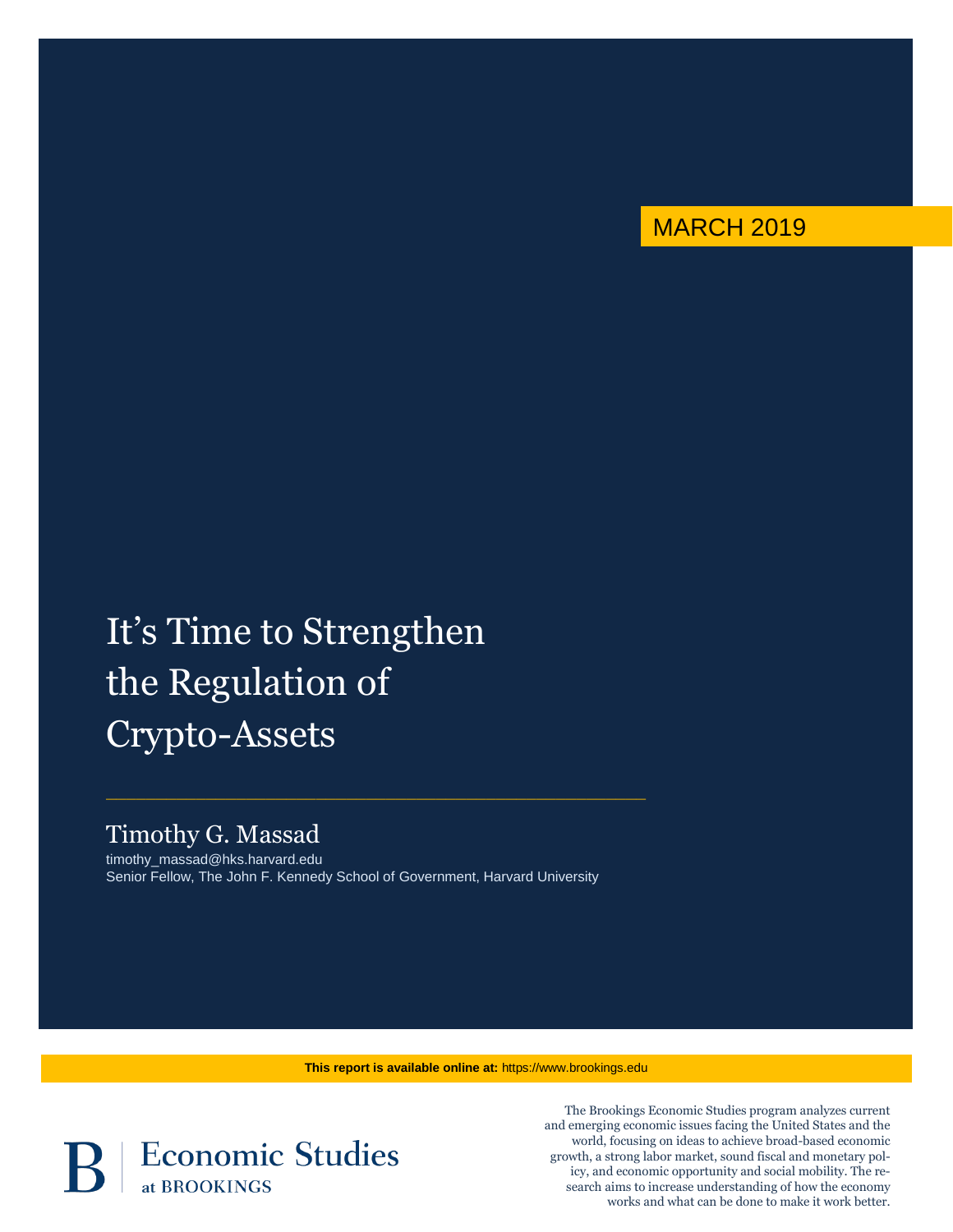

# It's Time to Strengthen the Regulation of Crypto-Assets

# Timothy G. Massad

timothy\_massad@hks.harvard.edu Senior Fellow, The John F. Kennedy School of Government, Harvard University

 $\_$  , and the set of the set of the set of the set of the set of the set of the set of the set of the set of the set of the set of the set of the set of the set of the set of the set of the set of the set of the set of th

**This report is available online at:** https://www.brookings.edu



The Brookings Economic Studies program analyzes current and emerging economic issues facing the United States and the world, focusing on ideas to achieve broad-based economic growth, a strong labor market, sound fiscal and monetary policy, and economic opportunity and social mobility. The research aims to increase understanding of how the economy works and what can be done to make it work better.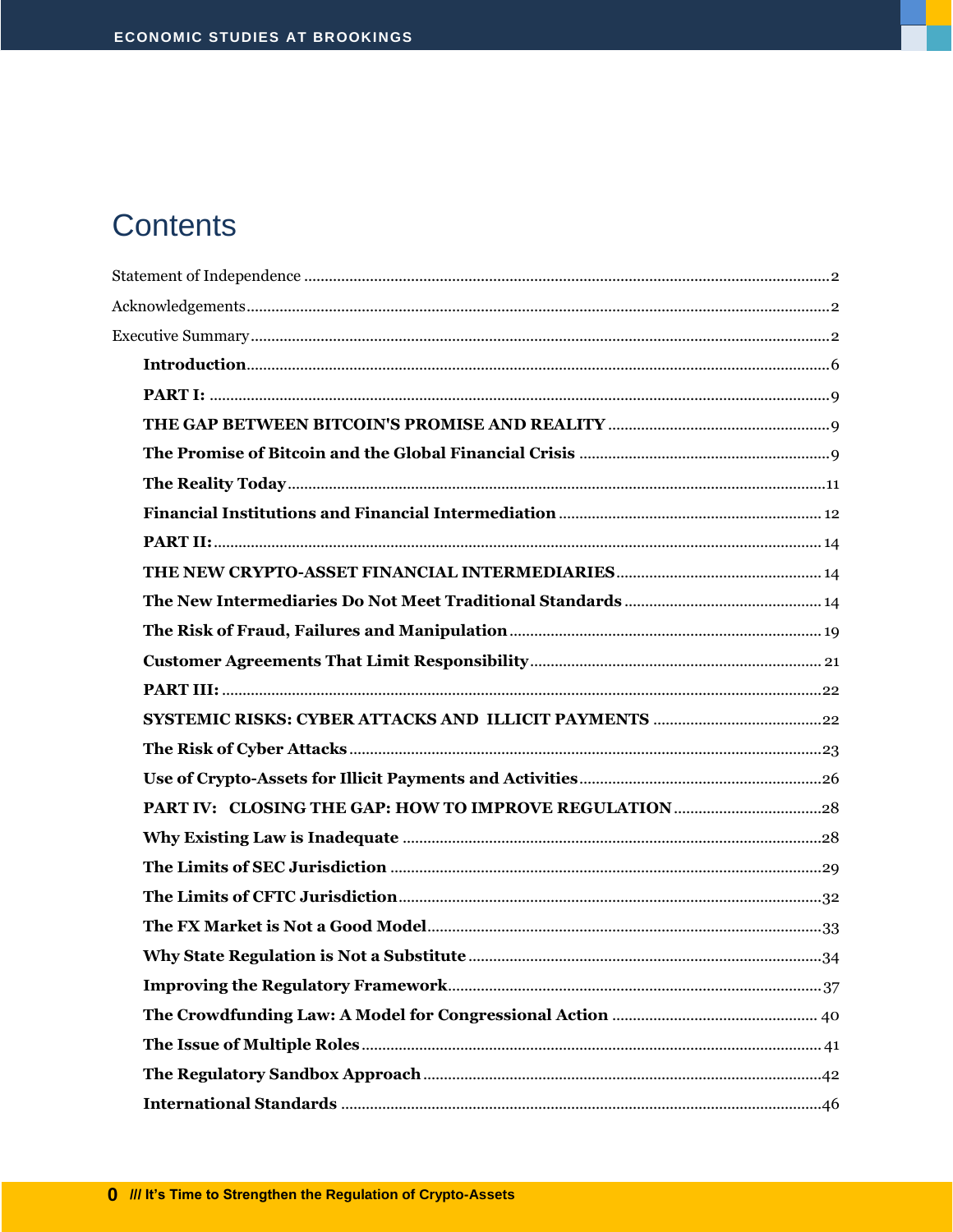# **Contents**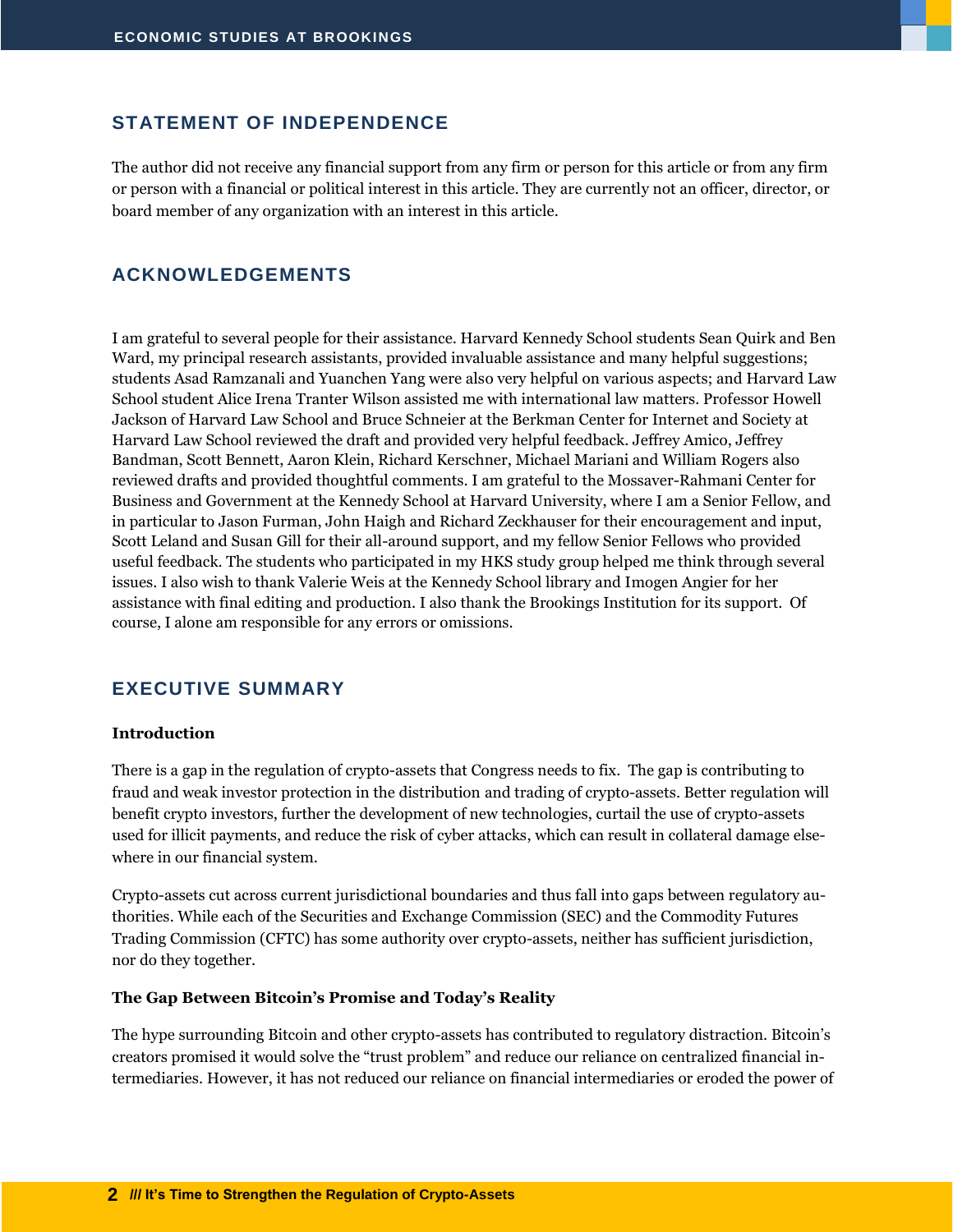#### <span id="page-3-0"></span>**STATEMENT OF INDEPENDENCE**

<span id="page-3-1"></span>The author did not receive any financial support from any firm or person for this article or from any firm or person with a financial or political interest in this article. They are currently not an officer, director, or board member of any organization with an interest in this article.

#### **ACKNOWLEDGEMENTS**

I am grateful to several people for their assistance. Harvard Kennedy School students Sean Quirk and Ben Ward, my principal research assistants, provided invaluable assistance and many helpful suggestions; students Asad Ramzanali and Yuanchen Yang were also very helpful on various aspects; and Harvard Law School student Alice Irena Tranter Wilson assisted me with international law matters. Professor Howell Jackson of Harvard Law School and Bruce Schneier at the Berkman Center for Internet and Society at Harvard Law School reviewed the draft and provided very helpful feedback. Jeffrey Amico, Jeffrey Bandman, Scott Bennett, Aaron Klein, Richard Kerschner, Michael Mariani and William Rogers also reviewed drafts and provided thoughtful comments. I am grateful to the Mossaver-Rahmani Center for Business and Government at the Kennedy School at Harvard University, where I am a Senior Fellow, and in particular to Jason Furman, John Haigh and Richard Zeckhauser for their encouragement and input, Scott Leland and Susan Gill for their all-around support, and my fellow Senior Fellows who provided useful feedback. The students who participated in my HKS study group helped me think through several issues. I also wish to thank Valerie Weis at the Kennedy School library and Imogen Angier for her assistance with final editing and production. I also thank the Brookings Institution for its support. Of course, I alone am responsible for any errors or omissions.

#### <span id="page-3-2"></span>**EXECUTIVE SUMMARY**

#### **Introduction**

There is a gap in the regulation of crypto-assets that Congress needs to fix. The gap is contributing to fraud and weak investor protection in the distribution and trading of crypto-assets. Better regulation will benefit crypto investors, further the development of new technologies, curtail the use of crypto-assets used for illicit payments, and reduce the risk of cyber attacks, which can result in collateral damage elsewhere in our financial system.

Crypto-assets cut across current jurisdictional boundaries and thus fall into gaps between regulatory authorities. While each of the Securities and Exchange Commission (SEC) and the Commodity Futures Trading Commission (CFTC) has some authority over crypto-assets, neither has sufficient jurisdiction, nor do they together.

#### **The Gap Between Bitcoin's Promise and Today's Reality**

The hype surrounding Bitcoin and other crypto-assets has contributed to regulatory distraction. Bitcoin's creators promised it would solve the "trust problem" and reduce our reliance on centralized financial intermediaries. However, it has not reduced our reliance on financial intermediaries or eroded the power of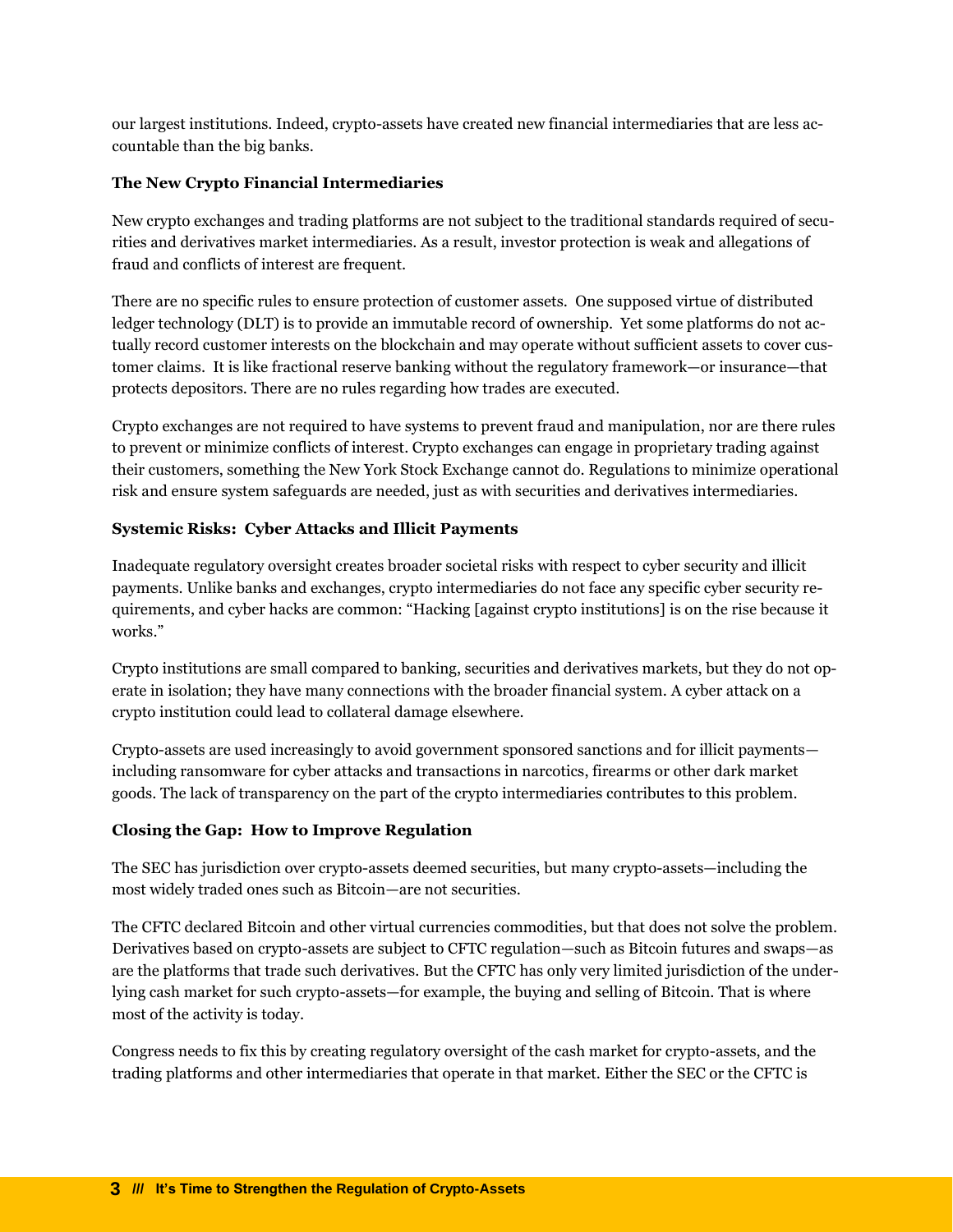our largest institutions. Indeed, crypto-assets have created new financial intermediaries that are less accountable than the big banks.

#### **The New Crypto Financial Intermediaries**

New crypto exchanges and trading platforms are not subject to the traditional standards required of securities and derivatives market intermediaries. As a result, investor protection is weak and allegations of fraud and conflicts of interest are frequent.

There are no specific rules to ensure protection of customer assets. One supposed virtue of distributed ledger technology (DLT) is to provide an immutable record of ownership. Yet some platforms do not actually record customer interests on the blockchain and may operate without sufficient assets to cover customer claims. It is like fractional reserve banking without the regulatory framework—or insurance—that protects depositors. There are no rules regarding how trades are executed.

Crypto exchanges are not required to have systems to prevent fraud and manipulation, nor are there rules to prevent or minimize conflicts of interest. Crypto exchanges can engage in proprietary trading against their customers, something the New York Stock Exchange cannot do. Regulations to minimize operational risk and ensure system safeguards are needed, just as with securities and derivatives intermediaries.

#### **Systemic Risks: Cyber Attacks and Illicit Payments**

Inadequate regulatory oversight creates broader societal risks with respect to cyber security and illicit payments. Unlike banks and exchanges, crypto intermediaries do not face any specific cyber security requirements, and cyber hacks are common: "Hacking [against crypto institutions] is on the rise because it works."

Crypto institutions are small compared to banking, securities and derivatives markets, but they do not operate in isolation; they have many connections with the broader financial system. A cyber attack on a crypto institution could lead to collateral damage elsewhere.

Crypto-assets are used increasingly to avoid government sponsored sanctions and for illicit payments including ransomware for cyber attacks and transactions in narcotics, firearms or other dark market goods. The lack of transparency on the part of the crypto intermediaries contributes to this problem.

#### **Closing the Gap: How to Improve Regulation**

The SEC has jurisdiction over crypto-assets deemed securities, but many crypto-assets—including the most widely traded ones such as Bitcoin—are not securities.

The CFTC declared Bitcoin and other virtual currencies commodities, but that does not solve the problem. Derivatives based on crypto-assets are subject to CFTC regulation—such as Bitcoin futures and swaps—as are the platforms that trade such derivatives. But the CFTC has only very limited jurisdiction of the underlying cash market for such crypto-assets—for example, the buying and selling of Bitcoin. That is where most of the activity is today.

Congress needs to fix this by creating regulatory oversight of the cash market for crypto-assets, and the trading platforms and other intermediaries that operate in that market. Either the SEC or the CFTC is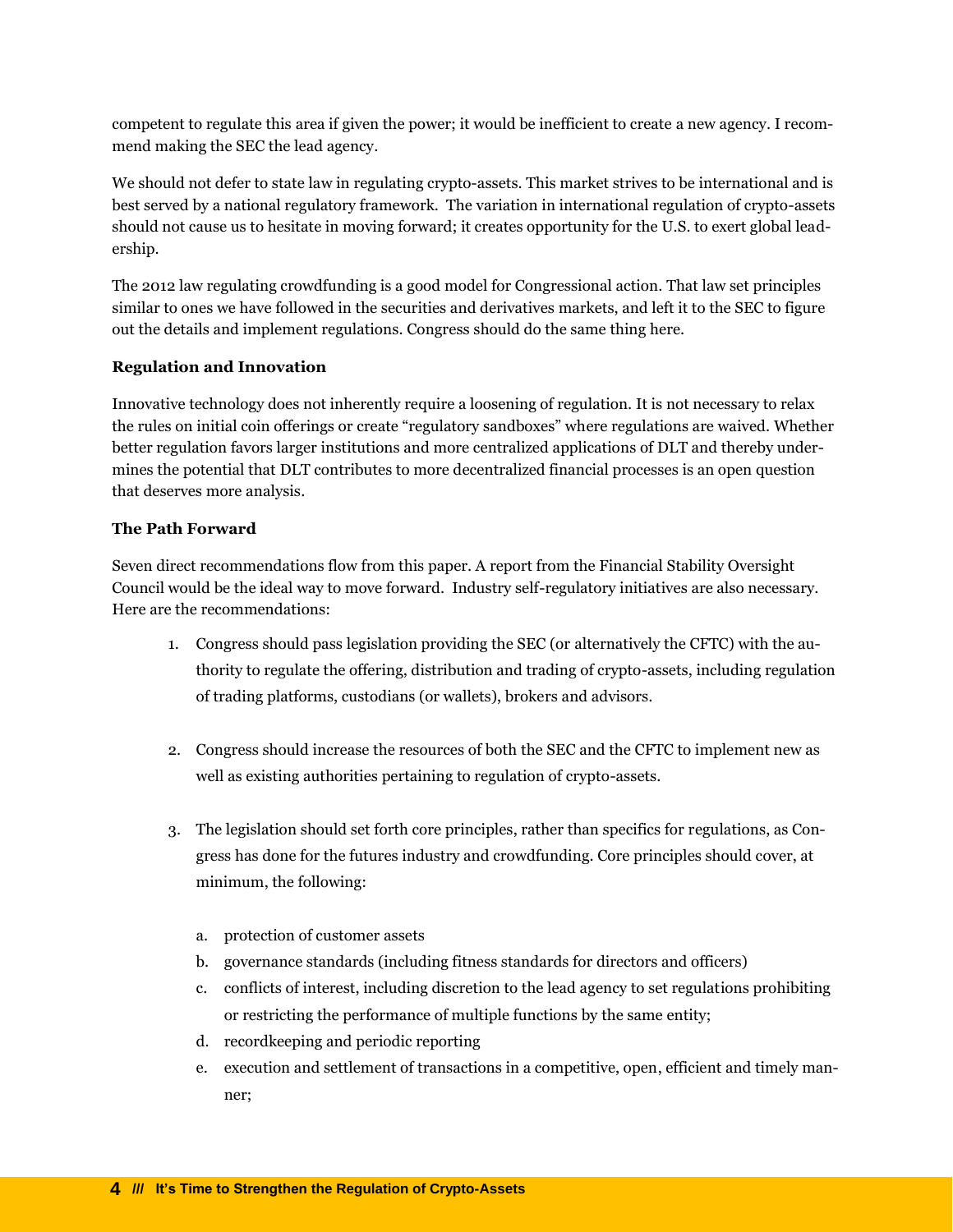competent to regulate this area if given the power; it would be inefficient to create a new agency. I recommend making the SEC the lead agency.

We should not defer to state law in regulating crypto-assets. This market strives to be international and is best served by a national regulatory framework. The variation in international regulation of crypto-assets should not cause us to hesitate in moving forward; it creates opportunity for the U.S. to exert global leadership.

The 2012 law regulating crowdfunding is a good model for Congressional action. That law set principles similar to ones we have followed in the securities and derivatives markets, and left it to the SEC to figure out the details and implement regulations. Congress should do the same thing here.

#### **Regulation and Innovation**

Innovative technology does not inherently require a loosening of regulation. It is not necessary to relax the rules on initial coin offerings or create "regulatory sandboxes" where regulations are waived. Whether better regulation favors larger institutions and more centralized applications of DLT and thereby undermines the potential that DLT contributes to more decentralized financial processes is an open question that deserves more analysis.

#### **The Path Forward**

Seven direct recommendations flow from this paper. A report from the Financial Stability Oversight Council would be the ideal way to move forward. Industry self-regulatory initiatives are also necessary. Here are the recommendations:

- 1. Congress should pass legislation providing the SEC (or alternatively the CFTC) with the authority to regulate the offering, distribution and trading of crypto-assets, including regulation of trading platforms, custodians (or wallets), brokers and advisors.
- 2. Congress should increase the resources of both the SEC and the CFTC to implement new as well as existing authorities pertaining to regulation of crypto-assets.
- 3. The legislation should set forth core principles, rather than specifics for regulations, as Congress has done for the futures industry and crowdfunding. Core principles should cover, at minimum, the following:
	- a. protection of customer assets
	- b. governance standards (including fitness standards for directors and officers)
	- c. conflicts of interest, including discretion to the lead agency to set regulations prohibiting or restricting the performance of multiple functions by the same entity;
	- d. recordkeeping and periodic reporting
	- e. execution and settlement of transactions in a competitive, open, efficient and timely manner;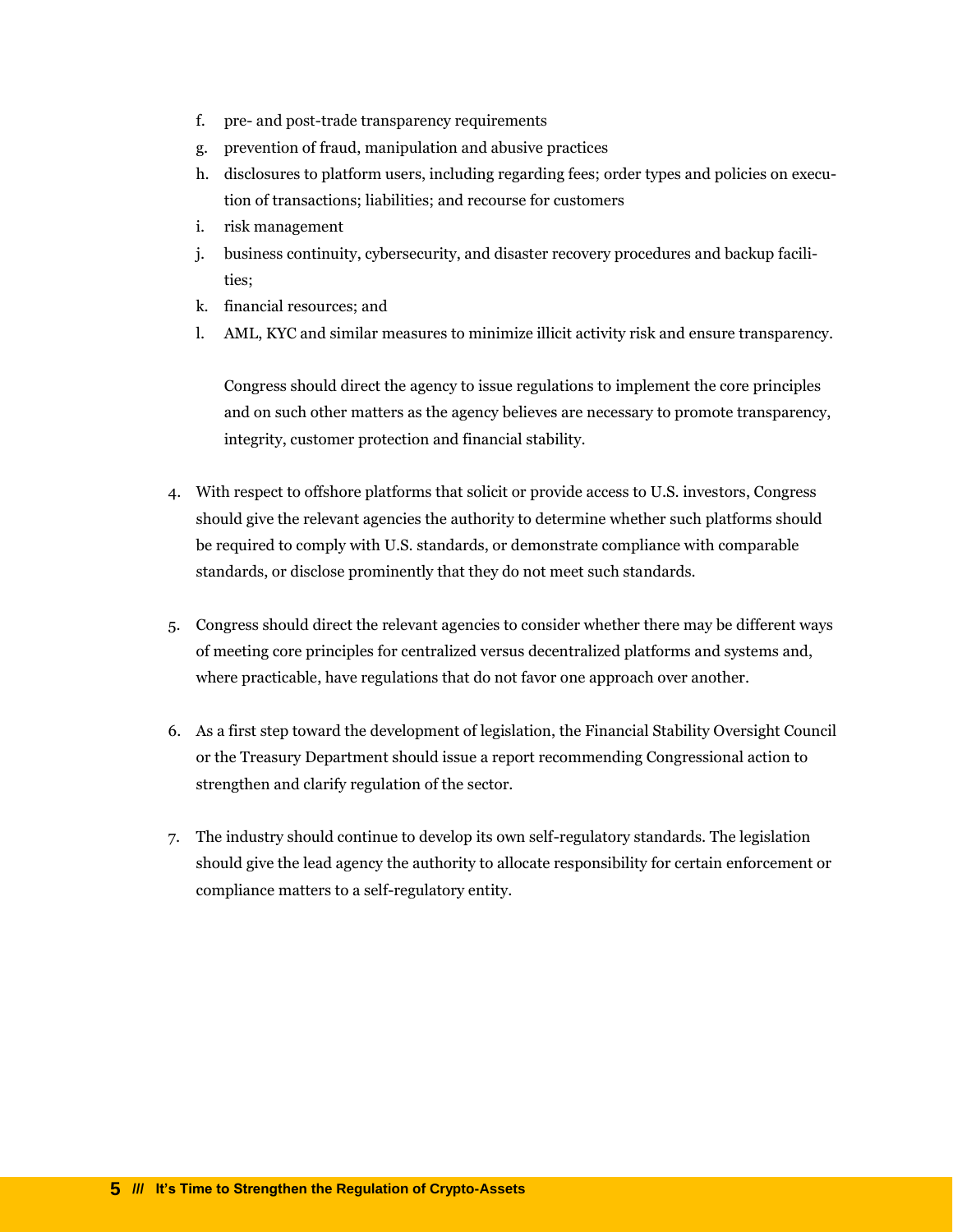- f. pre- and post-trade transparency requirements
- g. prevention of fraud, manipulation and abusive practices
- h. disclosures to platform users, including regarding fees; order types and policies on execution of transactions; liabilities; and recourse for customers
- i. risk management
- j. business continuity, cybersecurity, and disaster recovery procedures and backup facilities;
- k. financial resources; and
- l. AML, KYC and similar measures to minimize illicit activity risk and ensure transparency.

Congress should direct the agency to issue regulations to implement the core principles and on such other matters as the agency believes are necessary to promote transparency, integrity, customer protection and financial stability.

- 4. With respect to offshore platforms that solicit or provide access to U.S. investors, Congress should give the relevant agencies the authority to determine whether such platforms should be required to comply with U.S. standards, or demonstrate compliance with comparable standards, or disclose prominently that they do not meet such standards.
- 5. Congress should direct the relevant agencies to consider whether there may be different ways of meeting core principles for centralized versus decentralized platforms and systems and, where practicable, have regulations that do not favor one approach over another.
- 6. As a first step toward the development of legislation, the Financial Stability Oversight Council or the Treasury Department should issue a report recommending Congressional action to strengthen and clarify regulation of the sector.
- 7. The industry should continue to develop its own self-regulatory standards. The legislation should give the lead agency the authority to allocate responsibility for certain enforcement or compliance matters to a self-regulatory entity.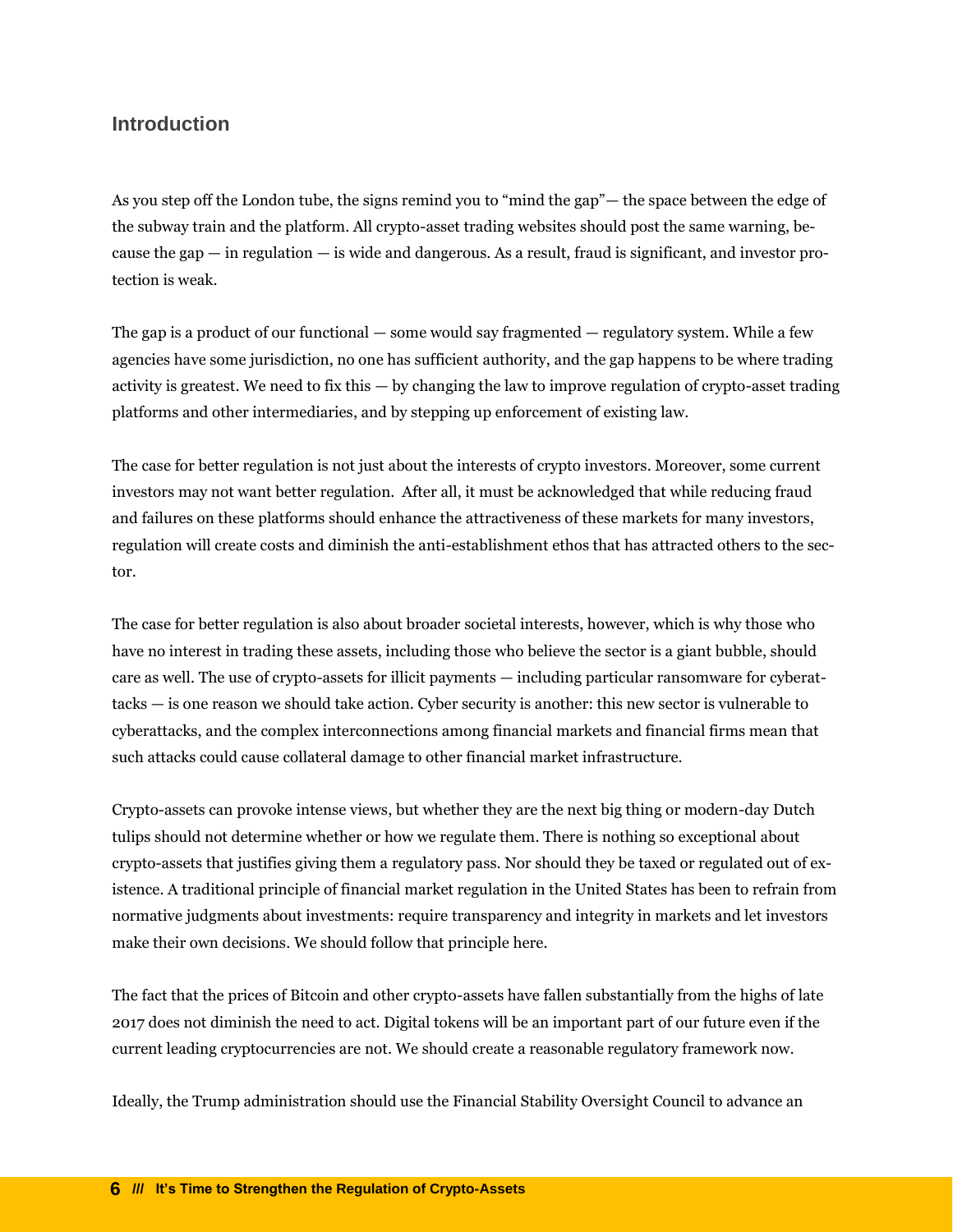#### <span id="page-7-0"></span>**Introduction**

As you step off the London tube, the signs remind you to "mind the gap"— the space between the edge of the subway train and the platform. All crypto-asset trading websites should post the same warning, because the gap  $-$  in regulation  $-$  is wide and dangerous. As a result, fraud is significant, and investor protection is weak.

The gap is a product of our functional — some would say fragmented — regulatory system. While a few agencies have some jurisdiction, no one has sufficient authority, and the gap happens to be where trading activity is greatest. We need to fix this — by changing the law to improve regulation of crypto-asset trading platforms and other intermediaries, and by stepping up enforcement of existing law.

The case for better regulation is not just about the interests of crypto investors. Moreover, some current investors may not want better regulation. After all, it must be acknowledged that while reducing fraud and failures on these platforms should enhance the attractiveness of these markets for many investors, regulation will create costs and diminish the anti-establishment ethos that has attracted others to the sector.

The case for better regulation is also about broader societal interests, however, which is why those who have no interest in trading these assets, including those who believe the sector is a giant bubble, should care as well. The use of crypto-assets for illicit payments — including particular ransomware for cyberattacks — is one reason we should take action. Cyber security is another: this new sector is vulnerable to cyberattacks, and the complex interconnections among financial markets and financial firms mean that such attacks could cause collateral damage to other financial market infrastructure.

Crypto-assets can provoke intense views, but whether they are the next big thing or modern-day Dutch tulips should not determine whether or how we regulate them. There is nothing so exceptional about crypto-assets that justifies giving them a regulatory pass. Nor should they be taxed or regulated out of existence. A traditional principle of financial market regulation in the United States has been to refrain from normative judgments about investments: require transparency and integrity in markets and let investors make their own decisions. We should follow that principle here.

The fact that the prices of Bitcoin and other crypto-assets have fallen substantially from the highs of late 2017 does not diminish the need to act. Digital tokens will be an important part of our future even if the current leading cryptocurrencies are not. We should create a reasonable regulatory framework now.

Ideally, the Trump administration should use the Financial Stability Oversight Council to advance an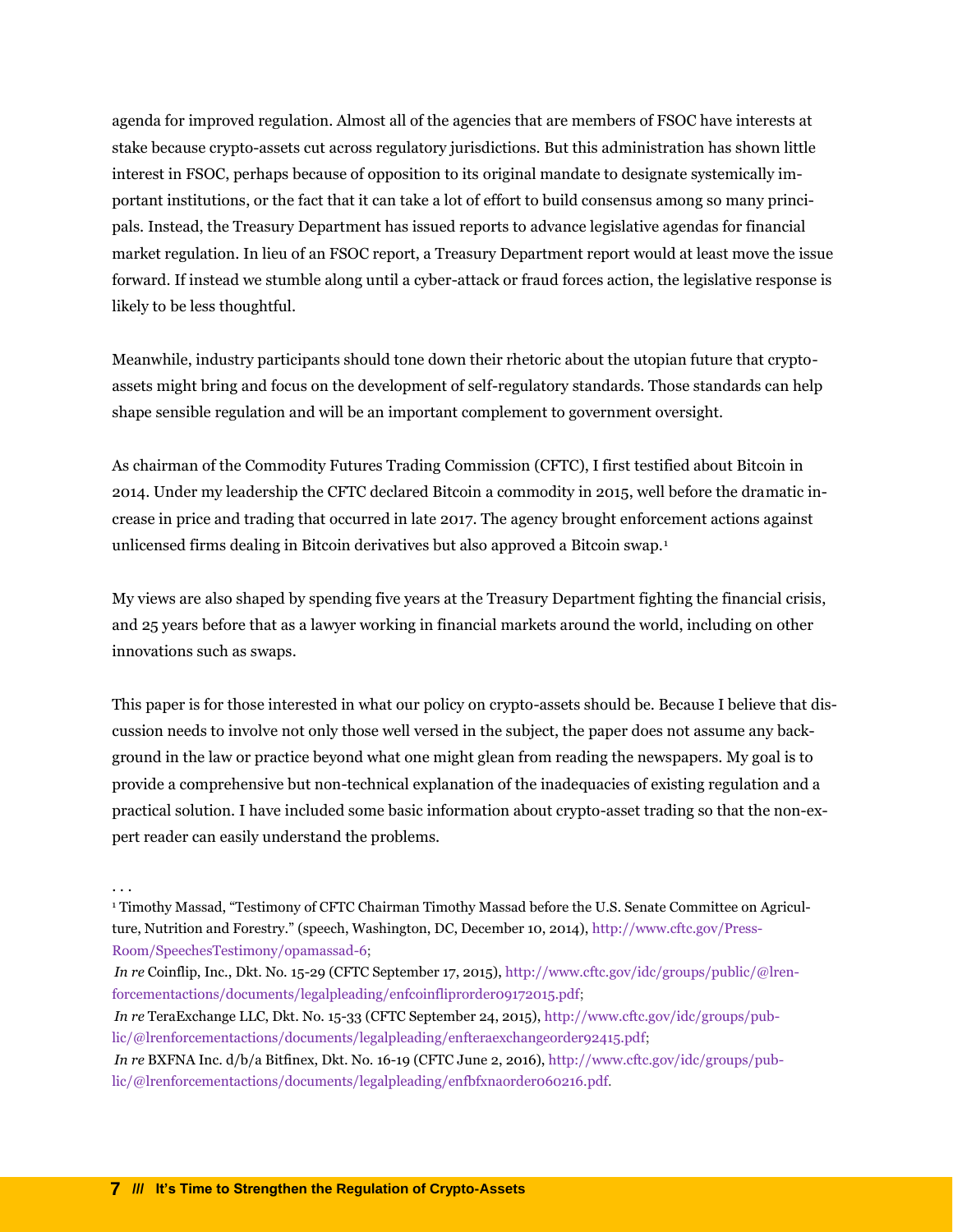agenda for improved regulation. Almost all of the agencies that are members of FSOC have interests at stake because crypto-assets cut across regulatory jurisdictions. But this administration has shown little interest in FSOC, perhaps because of opposition to its original mandate to designate systemically important institutions, or the fact that it can take a lot of effort to build consensus among so many principals. Instead, the Treasury Department has issued reports to advance legislative agendas for financial market regulation. In lieu of an FSOC report, a Treasury Department report would at least move the issue forward. If instead we stumble along until a cyber-attack or fraud forces action, the legislative response is likely to be less thoughtful.

Meanwhile, industry participants should tone down their rhetoric about the utopian future that cryptoassets might bring and focus on the development of self-regulatory standards. Those standards can help shape sensible regulation and will be an important complement to government oversight.

As chairman of the Commodity Futures Trading Commission (CFTC), I first testified about Bitcoin in 2014. Under my leadership the CFTC declared Bitcoin a commodity in 2015, well before the dramatic increase in price and trading that occurred in late 2017. The agency brought enforcement actions against unlicensed firms dealing in Bitcoin derivatives but also approved a Bitcoin swap.<sup>1</sup>

My views are also shaped by spending five years at the Treasury Department fighting the financial crisis, and 25 years before that as a lawyer working in financial markets around the world, including on other innovations such as swaps.

This paper is for those interested in what our policy on crypto-assets should be. Because I believe that discussion needs to involve not only those well versed in the subject, the paper does not assume any background in the law or practice beyond what one might glean from reading the newspapers. My goal is to provide a comprehensive but non-technical explanation of the inadequacies of existing regulation and a practical solution. I have included some basic information about crypto-asset trading so that the non-expert reader can easily understand the problems.

<sup>. . .</sup>

<sup>1</sup> Timothy Massad, "Testimony of CFTC Chairman Timothy Massad before the U.S. Senate Committee on Agriculture, Nutrition and Forestry." (speech, Washington, DC, December 10, 2014), [http://www.cftc.gov/Press-](https://www.cftc.gov/PressRoom/SpeechesTestimony/opamassad-6)[Room/SpeechesTestimony/opamassad-6;](https://www.cftc.gov/PressRoom/SpeechesTestimony/opamassad-6)

*In re* Coinflip, Inc., Dkt. No. 15-29 (CFTC September 17, 2015), [http://www.cftc.gov/idc/groups/public/@lren](https://www.cftc.gov/idc/groups/public/@lrenforcementactions/documents/legalpleading/enfcoinfliprorder09172015.pdf)[forcementactions/documents/legalpleading/enfcoinfliprorder09172015.pdf;](https://www.cftc.gov/idc/groups/public/@lrenforcementactions/documents/legalpleading/enfcoinfliprorder09172015.pdf)

*In re* TeraExchange LLC, Dkt. No. 15-33 (CFTC September 24, 2015), [http://www.cftc.gov/idc/groups/pub](https://www.cftc.gov/idc/groups/public/@lrenforcementactions/documents/legalpleading/enfteraexchangeorder92415.pdf)[lic/@lrenforcementactions/documents/legalpleading/enfteraexchangeorder92415.pdf;](https://www.cftc.gov/idc/groups/public/@lrenforcementactions/documents/legalpleading/enfteraexchangeorder92415.pdf)

*In re* BXFNA Inc. d/b/a Bitfinex, Dkt. No. 16-19 (CFTC June 2, 2016), [http://www.cftc.gov/idc/groups/pub](https://www.cftc.gov/idc/groups/public/@lrenforcementactions/documents/legalpleading/enfbfxnaorder060216.pdf)[lic/@lrenforcementactions/documents/legalpleading/enfbfxnaorder060216.pdf.](https://www.cftc.gov/idc/groups/public/@lrenforcementactions/documents/legalpleading/enfbfxnaorder060216.pdf)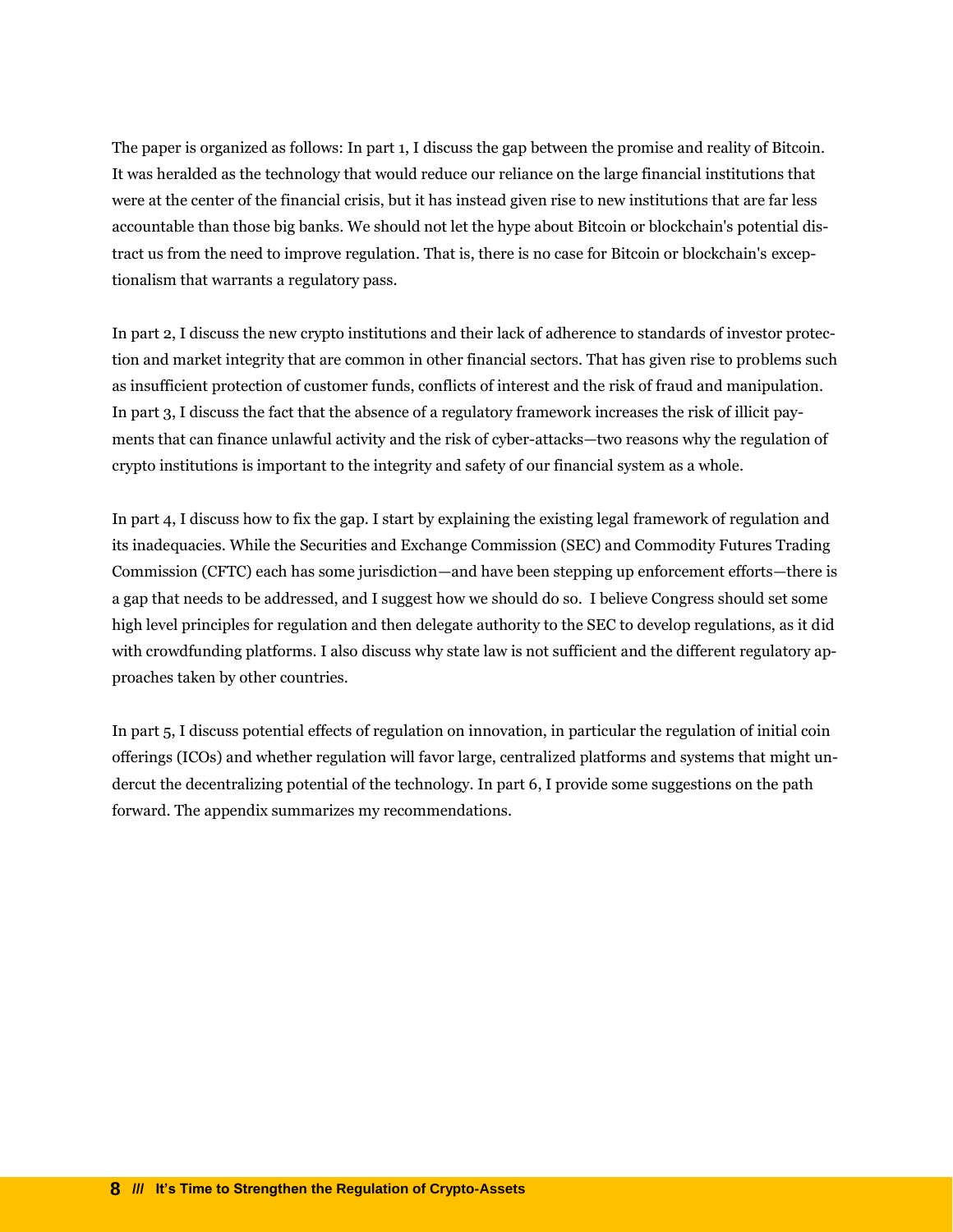The paper is organized as follows: In part 1, I discuss the gap between the promise and reality of Bitcoin. It was heralded as the technology that would reduce our reliance on the large financial institutions that were at the center of the financial crisis, but it has instead given rise to new institutions that are far less accountable than those big banks. We should not let the hype about Bitcoin or blockchain's potential distract us from the need to improve regulation. That is, there is no case for Bitcoin or blockchain's exceptionalism that warrants a regulatory pass.

In part 2, I discuss the new crypto institutions and their lack of adherence to standards of investor protection and market integrity that are common in other financial sectors. That has given rise to problems such as insufficient protection of customer funds, conflicts of interest and the risk of fraud and manipulation. In part 3, I discuss the fact that the absence of a regulatory framework increases the risk of illicit payments that can finance unlawful activity and the risk of cyber-attacks—two reasons why the regulation of crypto institutions is important to the integrity and safety of our financial system as a whole.

In part 4, I discuss how to fix the gap. I start by explaining the existing legal framework of regulation and its inadequacies. While the Securities and Exchange Commission (SEC) and Commodity Futures Trading Commission (CFTC) each has some jurisdiction—and have been stepping up enforcement efforts—there is a gap that needs to be addressed, and I suggest how we should do so. I believe Congress should set some high level principles for regulation and then delegate authority to the SEC to develop regulations, as it did with crowdfunding platforms. I also discuss why state law is not sufficient and the different regulatory approaches taken by other countries.

In part 5, I discuss potential effects of regulation on innovation, in particular the regulation of initial coin offerings (ICOs) and whether regulation will favor large, centralized platforms and systems that might undercut the decentralizing potential of the technology. In part 6, I provide some suggestions on the path forward. The appendix summarizes my recommendations.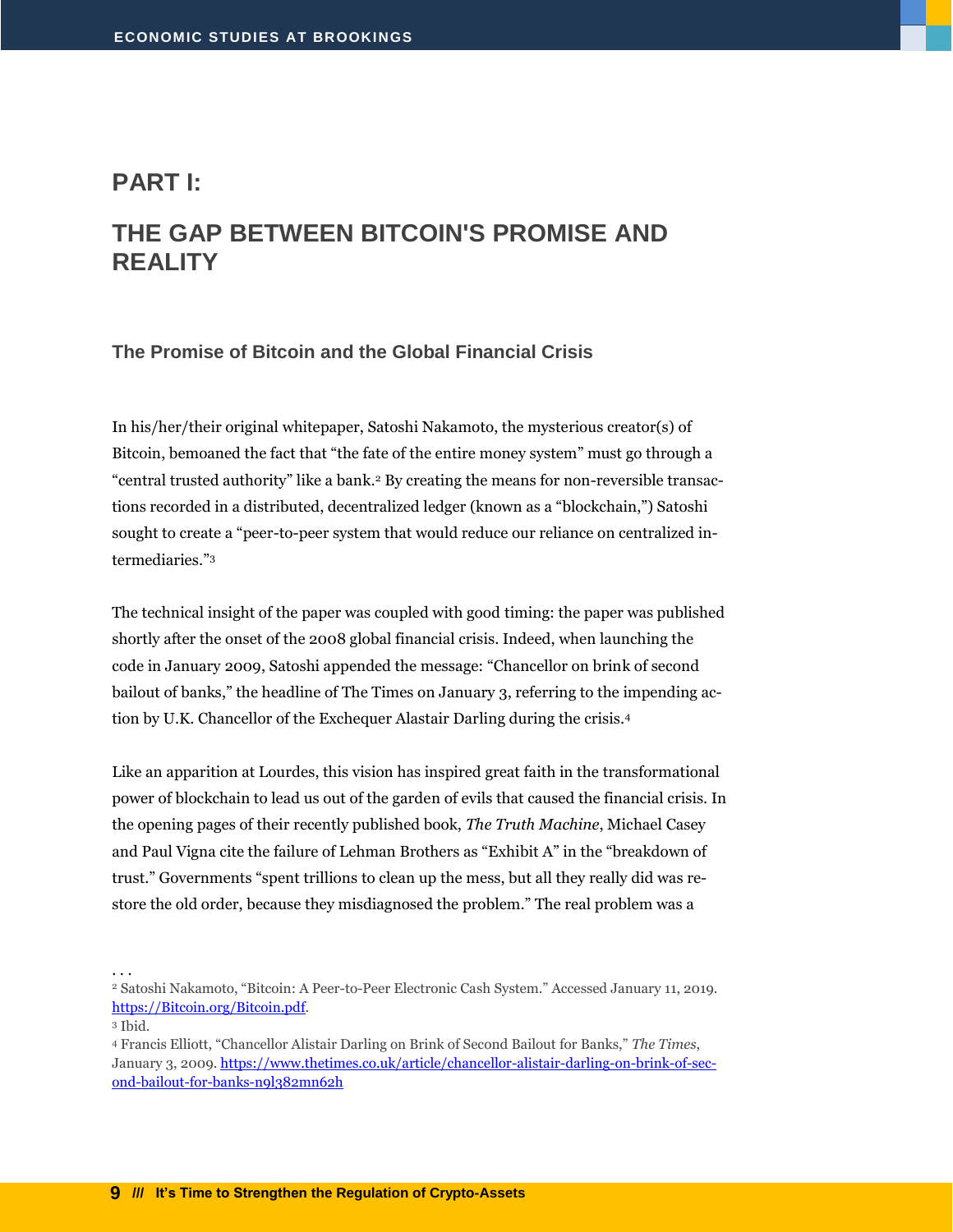#### <span id="page-10-0"></span>**PART I:**

## <span id="page-10-1"></span>**THE GAP BETWEEN BITCOIN'S PROMISE AND REALITY**

#### <span id="page-10-2"></span>**The Promise of Bitcoin and the Global Financial Crisis**

In his/her/their original whitepaper, Satoshi Nakamoto, the mysterious creator(s) of Bitcoin, bemoaned the fact that "the fate of the entire money system" must go through a "central trusted authority" like a bank.<sup>2</sup> By creating the means for non-reversible transactions recorded in a distributed, decentralized ledger (known as a "blockchain,") Satoshi sought to create a "peer-to-peer system that would reduce our reliance on centralized intermediaries."<sup>3</sup>

The technical insight of the paper was coupled with good timing: the paper was published shortly after the onset of the 2008 global financial crisis. Indeed, when launching the code in January 2009, Satoshi appended the message: "Chancellor on brink of second bailout of banks," the headline of The Times on January 3, referring to the impending action by U.K. Chancellor of the Exchequer Alastair Darling during the crisis.<sup>4</sup>

Like an apparition at Lourdes, this vision has inspired great faith in the transformational power of blockchain to lead us out of the garden of evils that caused the financial crisis. In the opening pages of their recently published book, *The Truth Machine*, Michael Casey and Paul Vigna cite the failure of Lehman Brothers as "Exhibit A" in the "breakdown of trust." Governments "spent trillions to clean up the mess, but all they really did was restore the old order, because they misdiagnosed the problem." The real problem was a

<sup>2</sup> Satoshi Nakamoto, "Bitcoin: A Peer-to-Peer Electronic Cash System." Accessed January 11, 2019. [https://Bitcoin.org/Bitcoin.pdf.](https://bitcoin.org/Bitcoin.pdf)

<sup>3</sup> Ibid.

<sup>4</sup> Francis Elliott, "Chancellor Alistair Darling on Brink of Second Bailout for Banks," *The Times*, January 3, 2009. [https://www.thetimes.co.uk/article/chancellor-alistair-darling-on-brink-of-sec](https://www.thetimes.co.uk/article/chancellor-alistair-darling-on-brink-of-second-bailout-for-banks-n9l382mn62h)[ond-bailout-for-banks-n9l382mn62h](https://www.thetimes.co.uk/article/chancellor-alistair-darling-on-brink-of-second-bailout-for-banks-n9l382mn62h)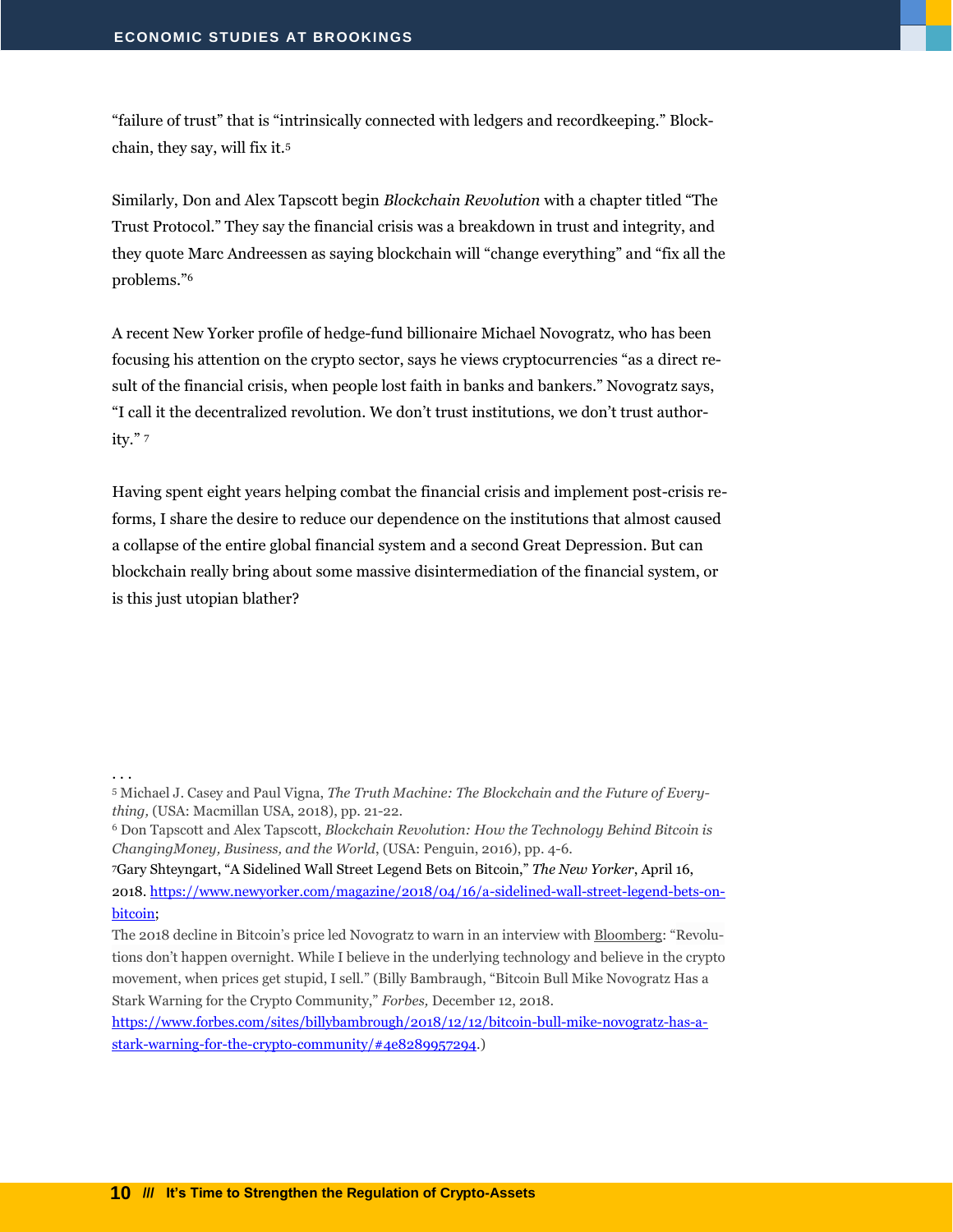"failure of trust" that is "intrinsically connected with ledgers and recordkeeping." Blockchain, they say, will fix it.<sup>5</sup>

Similarly, Don and Alex Tapscott begin *Blockchain Revolution* with a chapter titled "The Trust Protocol." They say the financial crisis was a breakdown in trust and integrity, and they quote Marc Andreessen as saying blockchain will "change everything" and "fix all the problems."<sup>6</sup>

A recent New Yorker profile of hedge-fund billionaire Michael Novogratz, who has been focusing his attention on the crypto sector, says he views cryptocurrencies "as a direct result of the financial crisis, when people lost faith in banks and bankers." Novogratz says, "I call it the decentralized revolution. We don't trust institutions, we don't trust authority." <sup>7</sup>

Having spent eight years helping combat the financial crisis and implement post-crisis reforms, I share the desire to reduce our dependence on the institutions that almost caused a collapse of the entire global financial system and a second Great Depression. But can blockchain really bring about some massive disintermediation of the financial system, or is this just utopian blather?

. . .

<sup>7</sup>Gary Shteyngart, "A Sidelined Wall Street Legend Bets on Bitcoin," *The New Yorker*, April 16, 2018[. https://www.newyorker.com/magazine/2018/04/16/a-sidelined-wall-street-legend-bets-on](https://www.newyorker.com/magazine/2018/04/16/a-sidelined-wall-street-legend-bets-on-bitcoin)[bitcoin;](https://www.newyorker.com/magazine/2018/04/16/a-sidelined-wall-street-legend-bets-on-bitcoin)

The 2018 decline in Bitcoin's price led Novogratz to warn in an interview with [Bloomberg](https://www.bloomberg.com/news/articles/2018-12-11/mike-novogratz-explains-why-he-s-still-all-in-on-cryptocurrency?srnd=businessweek-v2): "Revolutions don't happen overnight. While I believe in the underlying technology and believe in the crypto movement, when prices get stupid, I sell." (Billy Bambraugh, "Bitcoin Bull Mike Novogratz Has a Stark Warning for the Crypto Community," *Forbes,* December 12, 2018.

[https://www.forbes.com/sites/billybambrough/2018/12/12/bitcoin-bull-mike-novogratz-has-a](https://www.forbes.com/sites/billybambrough/2018/12/12/bitcoin-bull-mike-novogratz-has-a-stark-warning-for-the-crypto-community/#4e8289957294)[stark-warning-for-the-crypto-community/#4e8289957294.\)](https://www.forbes.com/sites/billybambrough/2018/12/12/bitcoin-bull-mike-novogratz-has-a-stark-warning-for-the-crypto-community/#4e8289957294)

<sup>5</sup> Michael J. Casey and Paul Vigna, *The Truth Machine: The Blockchain and the Future of Everything,* (USA: Macmillan USA, 2018), pp. 21-22.

<sup>6</sup> Don Tapscott and Alex Tapscott, *Blockchain Revolution: How the Technology Behind Bitcoin is ChangingMoney, Business, and the World*, (USA: Penguin, 2016), pp. 4-6.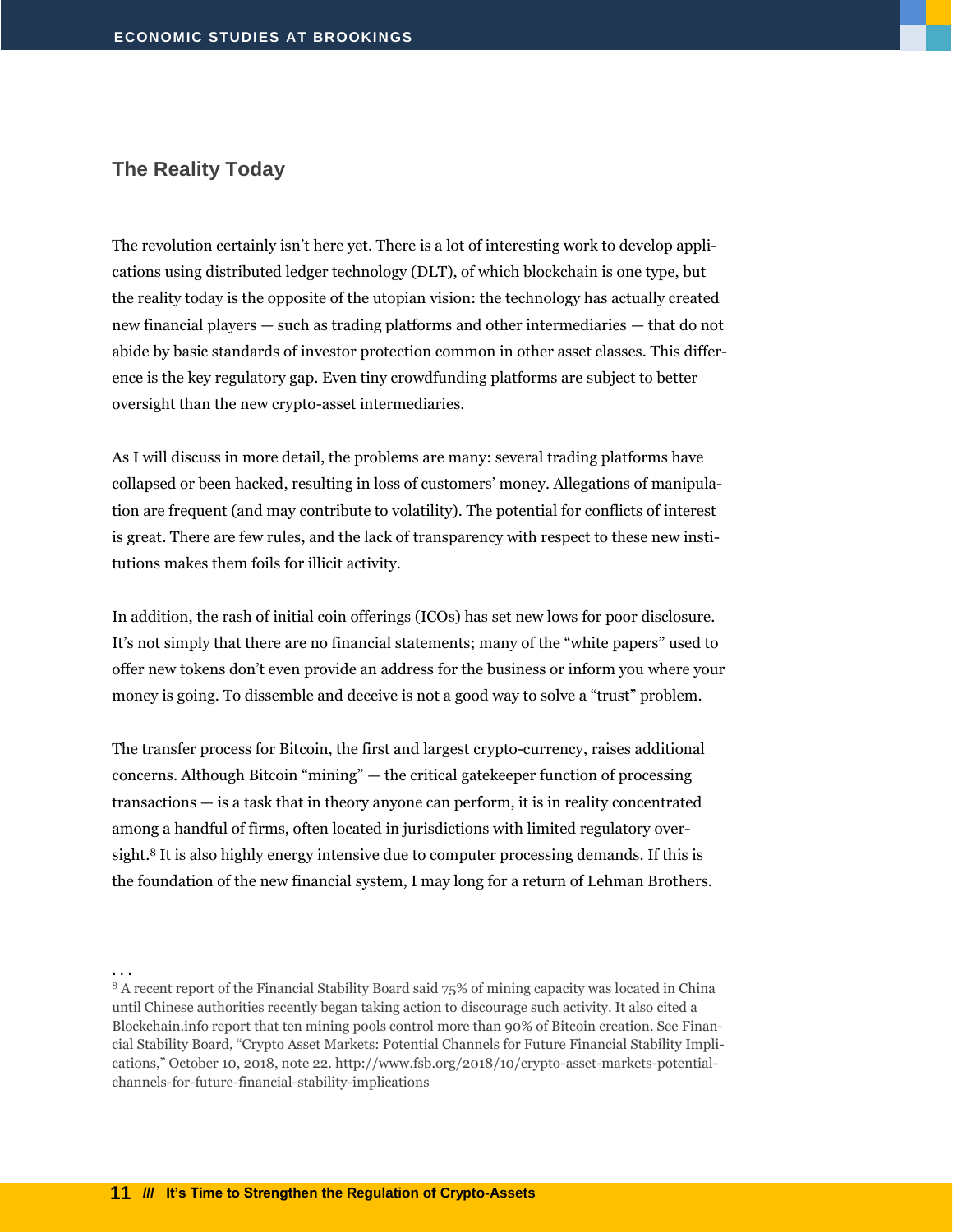#### <span id="page-12-0"></span>**The Reality Today**

. . .

The revolution certainly isn't here yet. There is a lot of interesting work to develop applications using distributed ledger technology (DLT), of which blockchain is one type, but the reality today is the opposite of the utopian vision: the technology has actually created new financial players — such as trading platforms and other intermediaries — that do not abide by basic standards of investor protection common in other asset classes. This difference is the key regulatory gap. Even tiny crowdfunding platforms are subject to better oversight than the new crypto-asset intermediaries.

As I will discuss in more detail, the problems are many: several trading platforms have collapsed or been hacked, resulting in loss of customers' money. Allegations of manipulation are frequent (and may contribute to volatility). The potential for conflicts of interest is great. There are few rules, and the lack of transparency with respect to these new institutions makes them foils for illicit activity.

In addition, the rash of initial coin offerings (ICOs) has set new lows for poor disclosure. It's not simply that there are no financial statements; many of the "white papers" used to offer new tokens don't even provide an address for the business or inform you where your money is going. To dissemble and deceive is not a good way to solve a "trust" problem.

The transfer process for Bitcoin, the first and largest crypto-currency, raises additional concerns. Although Bitcoin "mining" — the critical gatekeeper function of processing transactions — is a task that in theory anyone can perform, it is in reality concentrated among a handful of firms, often located in jurisdictions with limited regulatory oversight.<sup>8</sup> It is also highly energy intensive due to computer processing demands. If this is the foundation of the new financial system, I may long for a return of Lehman Brothers.

<sup>8</sup> A recent report of the Financial Stability Board said 75% of mining capacity was located in China until Chinese authorities recently began taking action to discourage such activity. It also cited a Blockchain.info report that ten mining pools control more than 90% of Bitcoin creation. See Financial Stability Board, "Crypto Asset Markets: Potential Channels for Future Financial Stability Implications," October 10, 2018, note 22. http://www.fsb.org/2018/10/crypto-asset-markets-potentialchannels-for-future-financial-stability-implications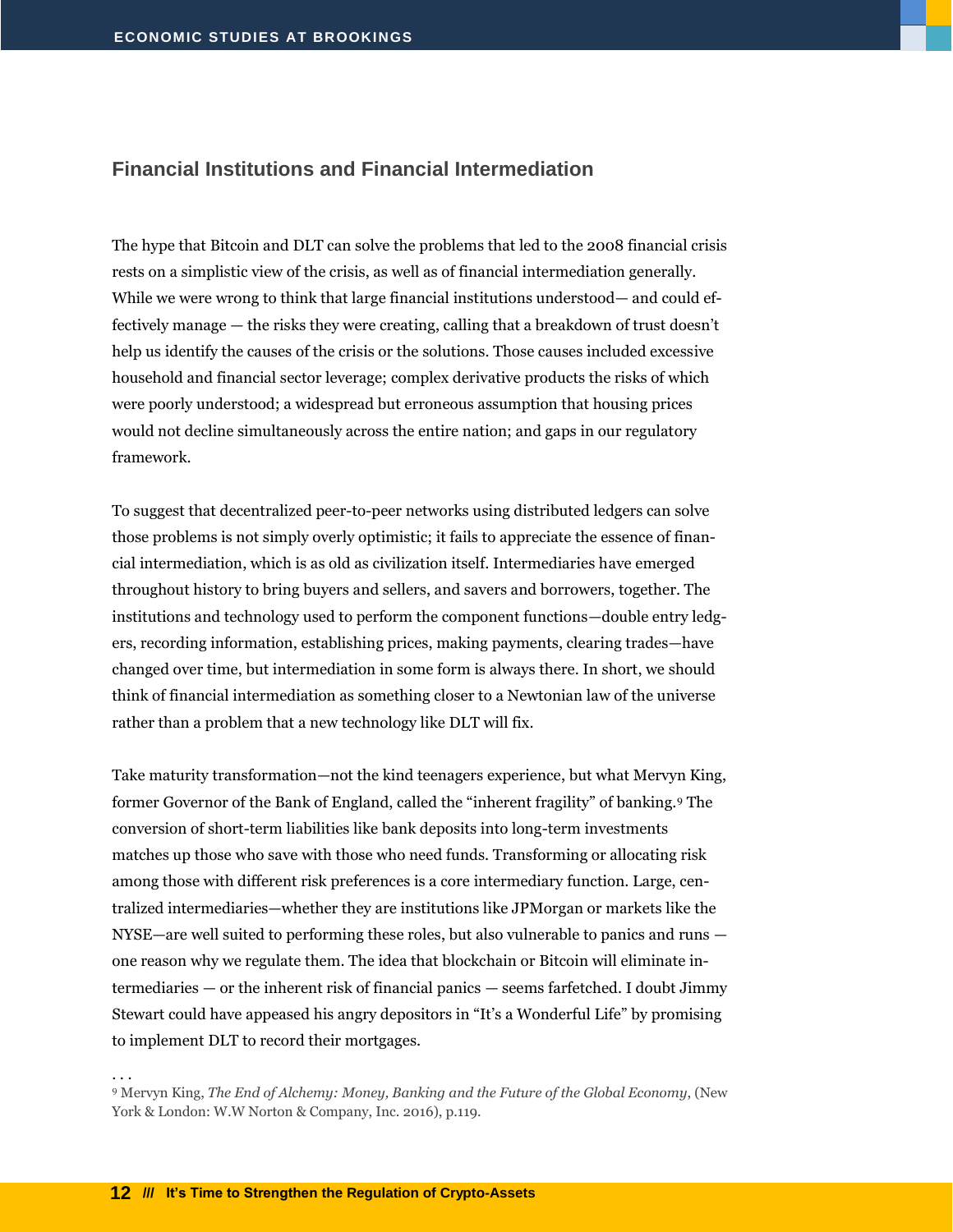#### <span id="page-13-0"></span>**Financial Institutions and Financial Intermediation**

The hype that Bitcoin and DLT can solve the problems that led to the 2008 financial crisis rests on a simplistic view of the crisis, as well as of financial intermediation generally. While we were wrong to think that large financial institutions understood— and could effectively manage — the risks they were creating, calling that a breakdown of trust doesn't help us identify the causes of the crisis or the solutions. Those causes included excessive household and financial sector leverage; complex derivative products the risks of which were poorly understood; a widespread but erroneous assumption that housing prices would not decline simultaneously across the entire nation; and gaps in our regulatory framework.

To suggest that decentralized peer-to-peer networks using distributed ledgers can solve those problems is not simply overly optimistic; it fails to appreciate the essence of financial intermediation, which is as old as civilization itself. Intermediaries have emerged throughout history to bring buyers and sellers, and savers and borrowers, together. The institutions and technology used to perform the component functions—double entry ledgers, recording information, establishing prices, making payments, clearing trades—have changed over time, but intermediation in some form is always there. In short, we should think of financial intermediation as something closer to a Newtonian law of the universe rather than a problem that a new technology like DLT will fix.

Take maturity transformation—not the kind teenagers experience, but what Mervyn King, former Governor of the Bank of England, called the "inherent fragility" of banking.<sup>9</sup> The conversion of short-term liabilities like bank deposits into long-term investments matches up those who save with those who need funds. Transforming or allocating risk among those with different risk preferences is a core intermediary function. Large, centralized intermediaries—whether they are institutions like JPMorgan or markets like the NYSE—are well suited to performing these roles, but also vulnerable to panics and runs one reason why we regulate them. The idea that blockchain or Bitcoin will eliminate intermediaries — or the inherent risk of financial panics — seems farfetched. I doubt Jimmy Stewart could have appeased his angry depositors in "It's a Wonderful Life" by promising to implement DLT to record their mortgages.

<sup>9</sup> Mervyn King, *The End of Alchemy: Money, Banking and the Future of the Global Economy*, (New York & London: W.W Norton & Company, Inc. 2016), p.119.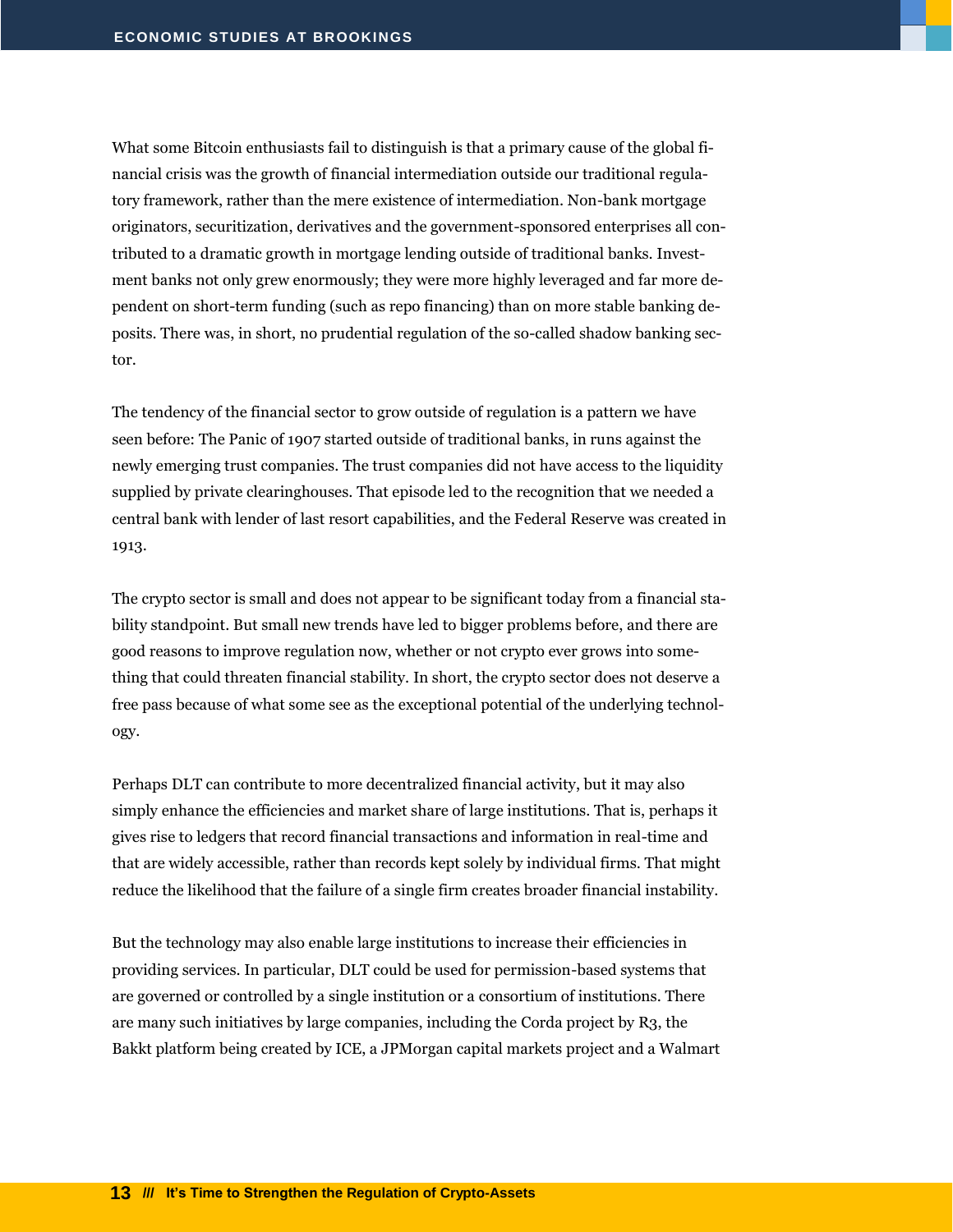What some Bitcoin enthusiasts fail to distinguish is that a primary cause of the global financial crisis was the growth of financial intermediation outside our traditional regulatory framework, rather than the mere existence of intermediation. Non-bank mortgage originators, securitization, derivatives and the government-sponsored enterprises all contributed to a dramatic growth in mortgage lending outside of traditional banks. Investment banks not only grew enormously; they were more highly leveraged and far more dependent on short-term funding (such as repo financing) than on more stable banking deposits. There was, in short, no prudential regulation of the so-called shadow banking sector.

The tendency of the financial sector to grow outside of regulation is a pattern we have seen before: The Panic of 1907 started outside of traditional banks, in runs against the newly emerging trust companies. The trust companies did not have access to the liquidity supplied by private clearinghouses. That episode led to the recognition that we needed a central bank with lender of last resort capabilities, and the Federal Reserve was created in 1913.

The crypto sector is small and does not appear to be significant today from a financial stability standpoint. But small new trends have led to bigger problems before, and there are good reasons to improve regulation now, whether or not crypto ever grows into something that could threaten financial stability. In short, the crypto sector does not deserve a free pass because of what some see as the exceptional potential of the underlying technology.

Perhaps DLT can contribute to more decentralized financial activity, but it may also simply enhance the efficiencies and market share of large institutions. That is, perhaps it gives rise to ledgers that record financial transactions and information in real-time and that are widely accessible, rather than records kept solely by individual firms. That might reduce the likelihood that the failure of a single firm creates broader financial instability.

But the technology may also enable large institutions to increase their efficiencies in providing services. In particular, DLT could be used for permission-based systems that are governed or controlled by a single institution or a consortium of institutions. There are many such initiatives by large companies, including the Corda project by R3, the Bakkt platform being created by ICE, a JPMorgan capital markets project and a Walmart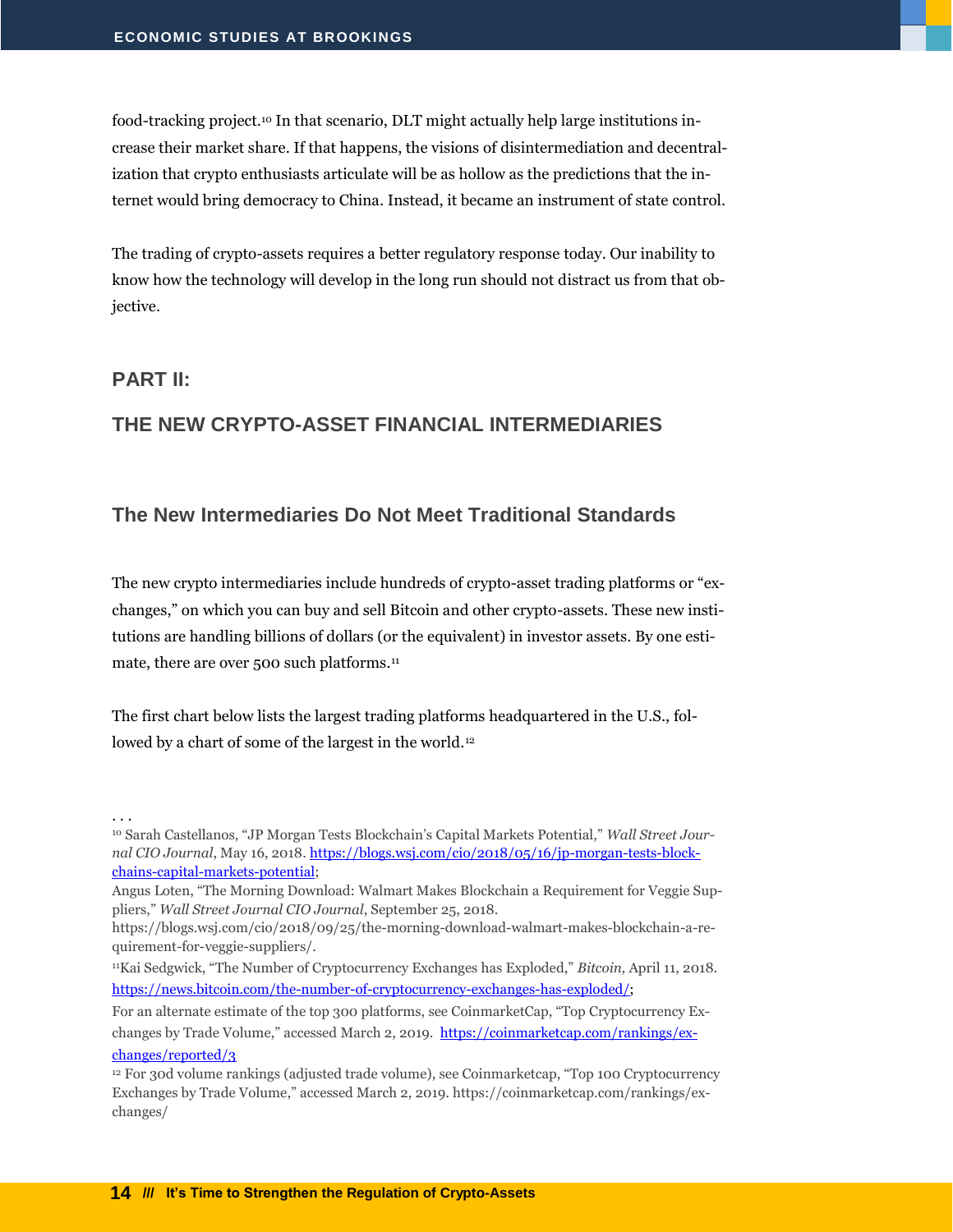food-tracking project.<sup>10</sup> In that scenario, DLT might actually help large institutions increase their market share. If that happens, the visions of disintermediation and decentralization that crypto enthusiasts articulate will be as hollow as the predictions that the internet would bring democracy to China. Instead, it became an instrument of state control.

The trading of crypto-assets requires a better regulatory response today. Our inability to know how the technology will develop in the long run should not distract us from that objective.

#### <span id="page-15-0"></span>**PART II:**

. . .

#### <span id="page-15-1"></span>**THE NEW CRYPTO-ASSET FINANCIAL INTERMEDIARIES**

#### <span id="page-15-2"></span>**The New Intermediaries Do Not Meet Traditional Standards**

The new crypto intermediaries include hundreds of crypto-asset trading platforms or "exchanges," on which you can buy and sell Bitcoin and other crypto-assets. These new institutions are handling billions of dollars (or the equivalent) in investor assets. By one estimate, there are over 500 such platforms.<sup>11</sup>

The first chart below lists the largest trading platforms headquartered in the U.S., followed by a chart of some of the largest in the world.<sup>12</sup>

<sup>10</sup> Sarah Castellanos, "JP Morgan Tests Blockchain's Capital Markets Potential," *Wall Street Journal CIO Journal*, May 16, 2018. [https://blogs.wsj.com/cio/2018/05/16/jp-morgan-tests-block](https://blogs.wsj.com/cio/2018/05/16/jp-morgan-tests-blockchains-capital-markets-potential)[chains-capital-markets-potential;](https://blogs.wsj.com/cio/2018/05/16/jp-morgan-tests-blockchains-capital-markets-potential)

Angus Loten, "The Morning Download: Walmart Makes Blockchain a Requirement for Veggie Suppliers," *Wall Street Journal CIO Journal*, September 25, 2018.

https://blogs.wsj.com/cio/2018/09/25/the-morning-download-walmart-makes-blockchain-a-requirement-for-veggie-suppliers/.

<sup>11</sup>Kai Sedgwick, "The Number of Cryptocurrency Exchanges has Exploded," *Bitcoin,* April 11, 2018. [https://news.bitcoin.com/the-number-of-cryptocurrency-exchanges-has-exploded/;](https://news.bitcoin.com/the-number-of-cryptocurrency-exchanges-has-exploded/)

For an alternate estimate of the top 300 platforms, see CoinmarketCap, "Top Cryptocurrency Exchanges by Trade Volume," accessed March 2, 2019. [https://coinmarketcap.com/rankings/ex](https://coinmarketcap.com/rankings/exchanges/reported/3)[changes/reported/3](https://coinmarketcap.com/rankings/exchanges/reported/3)

<sup>12</sup> For 30d volume rankings (adjusted trade volume), see Coinmarketcap, "Top 100 Cryptocurrency Exchanges by Trade Volume," accessed March 2, 2019. https://coinmarketcap.com/rankings/exchanges/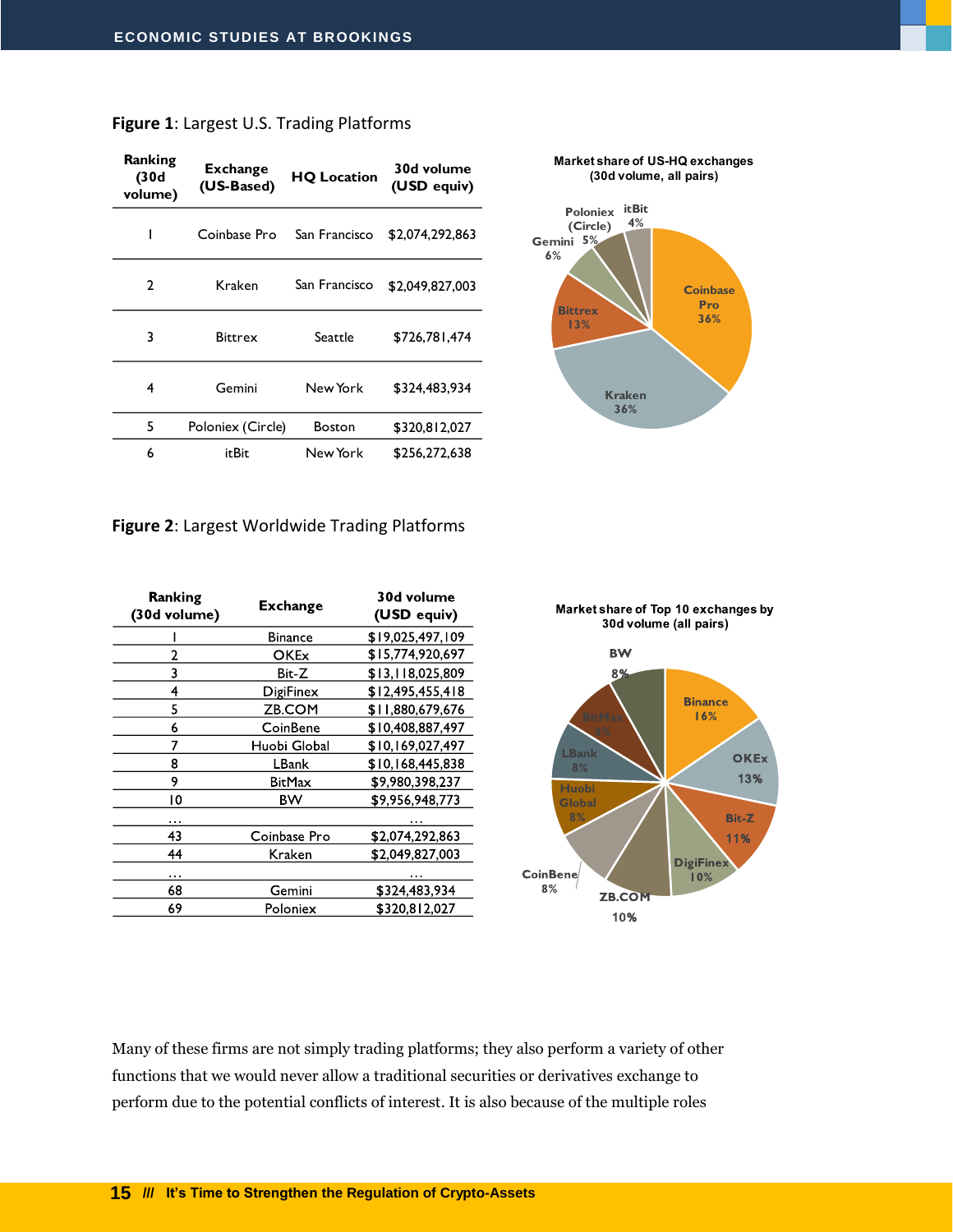| Ranking<br>(30d<br>volume) | <b>Exchange</b><br>(US-Based) | <b>HQ Location</b> | 30d volume<br>(USD equiv) |
|----------------------------|-------------------------------|--------------------|---------------------------|
| ı                          | Coinbase Pro                  | San Francisco      | \$2,074,292,863           |
| 2                          | Kraken                        | San Francisco      | \$2,049,827,003           |
| 3                          | <b>Bittrex</b>                | Seattle            | \$726,781,474             |
| 4                          | Gemini                        | New York           | \$324,483,934             |
| 5                          | Poloniex (Circle)             | Boston             | \$320,812,027             |
| 6                          | itBit                         | New York           | \$256.272.638             |



**Market share of US-HQ exchanges**

#### **Figure 2**: Largest Worldwide Trading Platforms

| Ranking<br>(30d volume) | <b>Exchange</b> | 30d volume<br>(USD equiv) |
|-------------------------|-----------------|---------------------------|
|                         | Binance         | \$19,025,497,109          |
| 2                       | OKEx            | \$15,774,920,697          |
| 3                       | Bit-Z           | \$13,118,025,809          |
| 4                       | DigiFinex       | \$12,495,455,418          |
| 5                       | ZB.COM          | \$11,880,679,676          |
| 6                       | CoinBene        | \$10,408,887,497          |
| 7                       | Huobi Global    | \$10,169,027,497          |
| 8                       | LBank           | \$10,168,445,838          |
| 9                       | BitMax          | \$9,980,398,237           |
| 10                      | ВW              | \$9,956,948,773           |
|                         |                 |                           |
| 43                      | Coinbase Pro    | \$2,074,292,863           |
| 44                      | Kraken          | \$2,049,827,003           |
| .                       |                 |                           |
| 68                      | Gemini          | \$324,483,934             |
| 69                      | Poloniex        | \$320,812,027             |
|                         |                 |                           |



Many of these firms are not simply trading platforms; they also perform a variety of other functions that we would never allow a traditional securities or derivatives exchange to perform due to the potential conflicts of interest. It is also because of the multiple roles

**15 /// It's Time to Strengthen the Regulation of Crypto-Assets**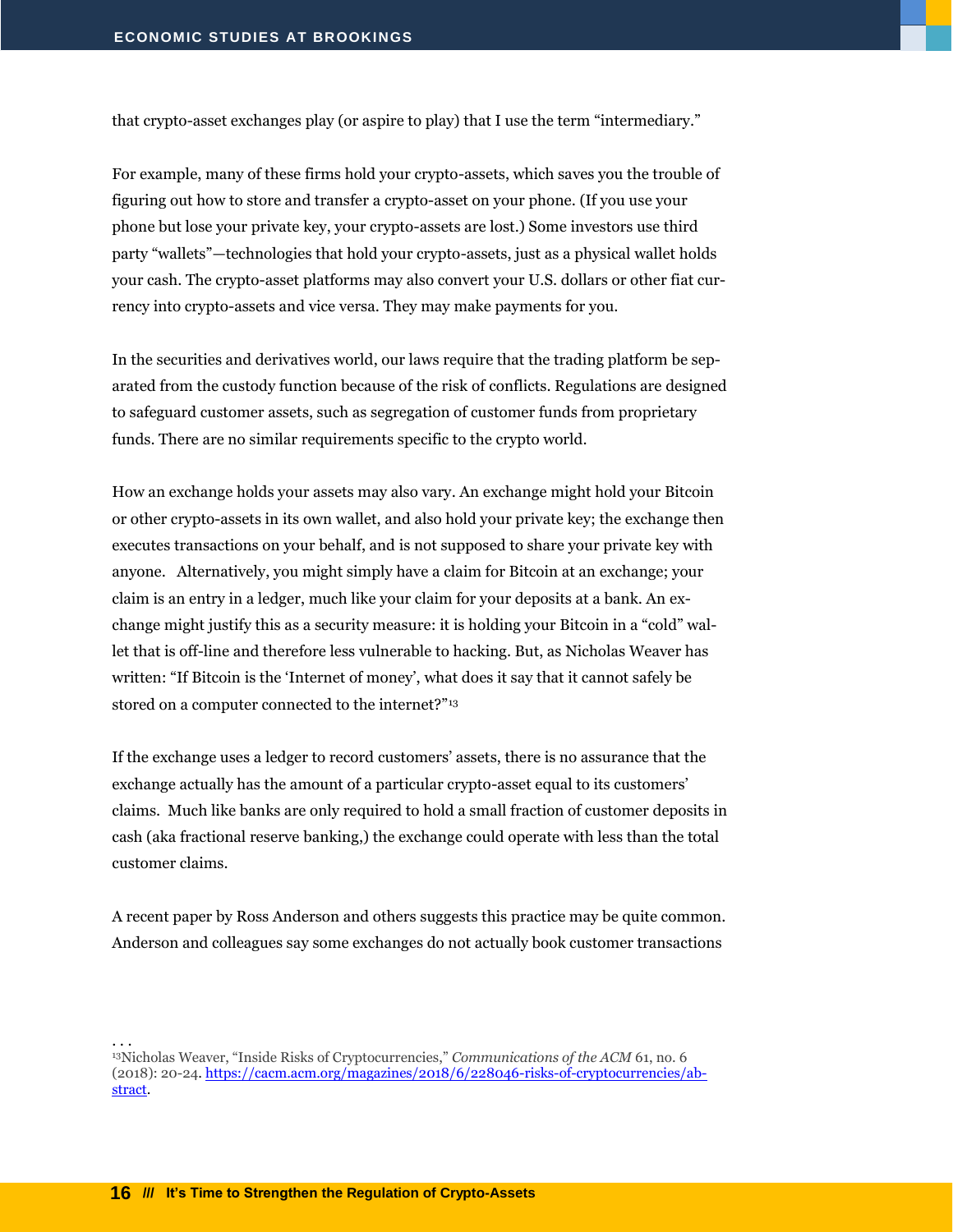that crypto-asset exchanges play (or aspire to play) that I use the term "intermediary."

For example, many of these firms hold your crypto-assets, which saves you the trouble of figuring out how to store and transfer a crypto-asset on your phone. (If you use your phone but lose your private key, your crypto-assets are lost.) Some investors use third party "wallets"—technologies that hold your crypto-assets, just as a physical wallet holds your cash. The crypto-asset platforms may also convert your U.S. dollars or other fiat currency into crypto-assets and vice versa. They may make payments for you.

In the securities and derivatives world, our laws require that the trading platform be separated from the custody function because of the risk of conflicts. Regulations are designed to safeguard customer assets, such as segregation of customer funds from proprietary funds. There are no similar requirements specific to the crypto world.

How an exchange holds your assets may also vary. An exchange might hold your Bitcoin or other crypto-assets in its own wallet, and also hold your private key; the exchange then executes transactions on your behalf, and is not supposed to share your private key with anyone. Alternatively, you might simply have a claim for Bitcoin at an exchange; your claim is an entry in a ledger, much like your claim for your deposits at a bank. An exchange might justify this as a security measure: it is holding your Bitcoin in a "cold" wallet that is off-line and therefore less vulnerable to hacking. But, as Nicholas Weaver has written: "If Bitcoin is the 'Internet of money', what does it say that it cannot safely be stored on a computer connected to the internet?"<sup>13</sup>

If the exchange uses a ledger to record customers' assets, there is no assurance that the exchange actually has the amount of a particular crypto-asset equal to its customers' claims. Much like banks are only required to hold a small fraction of customer deposits in cash (aka fractional reserve banking,) the exchange could operate with less than the total customer claims.

A recent paper by Ross Anderson and others suggests this practice may be quite common. Anderson and colleagues say some exchanges do not actually book customer transactions

<sup>13</sup>Nicholas Weaver, "Inside Risks of Cryptocurrencies," *Communications of the ACM* 61, no. 6 (2018): 20-24. [https://cacm.acm.org/magazines/2018/6/228046-risks-of-cryptocurrencies/ab](https://cacm.acm.org/magazines/2018/6/228046-risks-of-cryptocurrencies/abstract)[stract.](https://cacm.acm.org/magazines/2018/6/228046-risks-of-cryptocurrencies/abstract)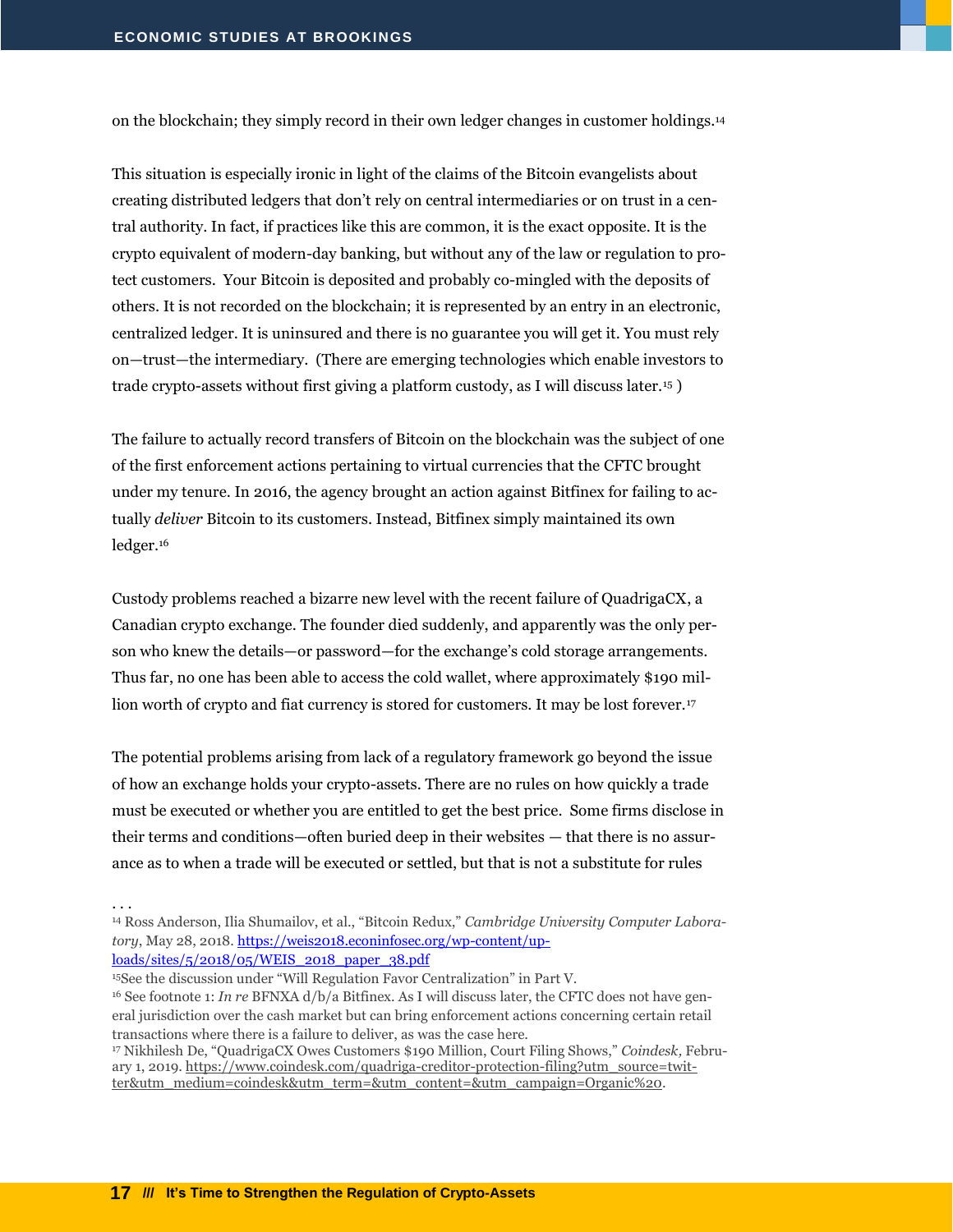on the blockchain; they simply record in their own ledger changes in customer holdings.<sup>14</sup>

This situation is especially ironic in light of the claims of the Bitcoin evangelists about creating distributed ledgers that don't rely on central intermediaries or on trust in a central authority. In fact, if practices like this are common, it is the exact opposite. It is the crypto equivalent of modern-day banking, but without any of the law or regulation to protect customers. Your Bitcoin is deposited and probably co-mingled with the deposits of others. It is not recorded on the blockchain; it is represented by an entry in an electronic, centralized ledger. It is uninsured and there is no guarantee you will get it. You must rely on—trust—the intermediary. (There are emerging technologies which enable investors to trade crypto-assets without first giving a platform custody, as I will discuss later.<sup>15</sup> )

The failure to actually record transfers of Bitcoin on the blockchain was the subject of one of the first enforcement actions pertaining to virtual currencies that the CFTC brought under my tenure. In 2016, the agency brought an action against Bitfinex for failing to actually *deliver* Bitcoin to its customers. Instead, Bitfinex simply maintained its own ledger.<sup>16</sup>

Custody problems reached a bizarre new level with the recent failure of QuadrigaCX, a Canadian crypto exchange. The founder died suddenly, and apparently was the only person who knew the details—or password—for the exchange's cold storage arrangements. Thus far, no one has been able to access the cold wallet, where approximately \$190 million worth of crypto and fiat currency is stored for customers. It may be lost forever.<sup>17</sup>

The potential problems arising from lack of a regulatory framework go beyond the issue of how an exchange holds your crypto-assets. There are no rules on how quickly a trade must be executed or whether you are entitled to get the best price. Some firms disclose in their terms and conditions—often buried deep in their websites — that there is no assurance as to when a trade will be executed or settled, but that is not a substitute for rules

. . .

<sup>14</sup> Ross Anderson, Ilia Shumailov, et al., "Bitcoin Redux," *Cambridge University Computer Laboratory*, May 28, 2018[. https://weis2018.econinfosec.org/wp-content/up](https://weis2018.econinfosec.org/wp-content/uploads/sites/5/2018/05/WEIS_2018_paper_38.pdf)[loads/sites/5/2018/05/WEIS\\_2018\\_paper\\_38.pdf](https://weis2018.econinfosec.org/wp-content/uploads/sites/5/2018/05/WEIS_2018_paper_38.pdf)

<sup>15</sup>See the discussion under "Will Regulation Favor Centralization" in Part V.

- <sup>16</sup> See footnote 1: *In re* BFNXA d/b/a Bitfinex. As I will discuss later, the CFTC does not have general jurisdiction over the cash market but can bring enforcement actions concerning certain retail transactions where there is a failure to deliver, as was the case here.
- <sup>17</sup> Nikhilesh De, "QuadrigaCX Owes Customers \$190 Million, Court Filing Shows," *Coindesk,* February 1, 2019[. https://www.coindesk.com/quadriga-creditor-protection-filing?utm\\_source=twit](https://www.coindesk.com/quadriga-creditor-protection-filing?utm_source=twitter&utm_medium=coindesk&utm_term=&utm_content=&utm_campaign=Organic%20)[ter&utm\\_medium=coindesk&utm\\_term=&utm\\_content=&utm\\_campaign=Organic%20.](https://www.coindesk.com/quadriga-creditor-protection-filing?utm_source=twitter&utm_medium=coindesk&utm_term=&utm_content=&utm_campaign=Organic%20)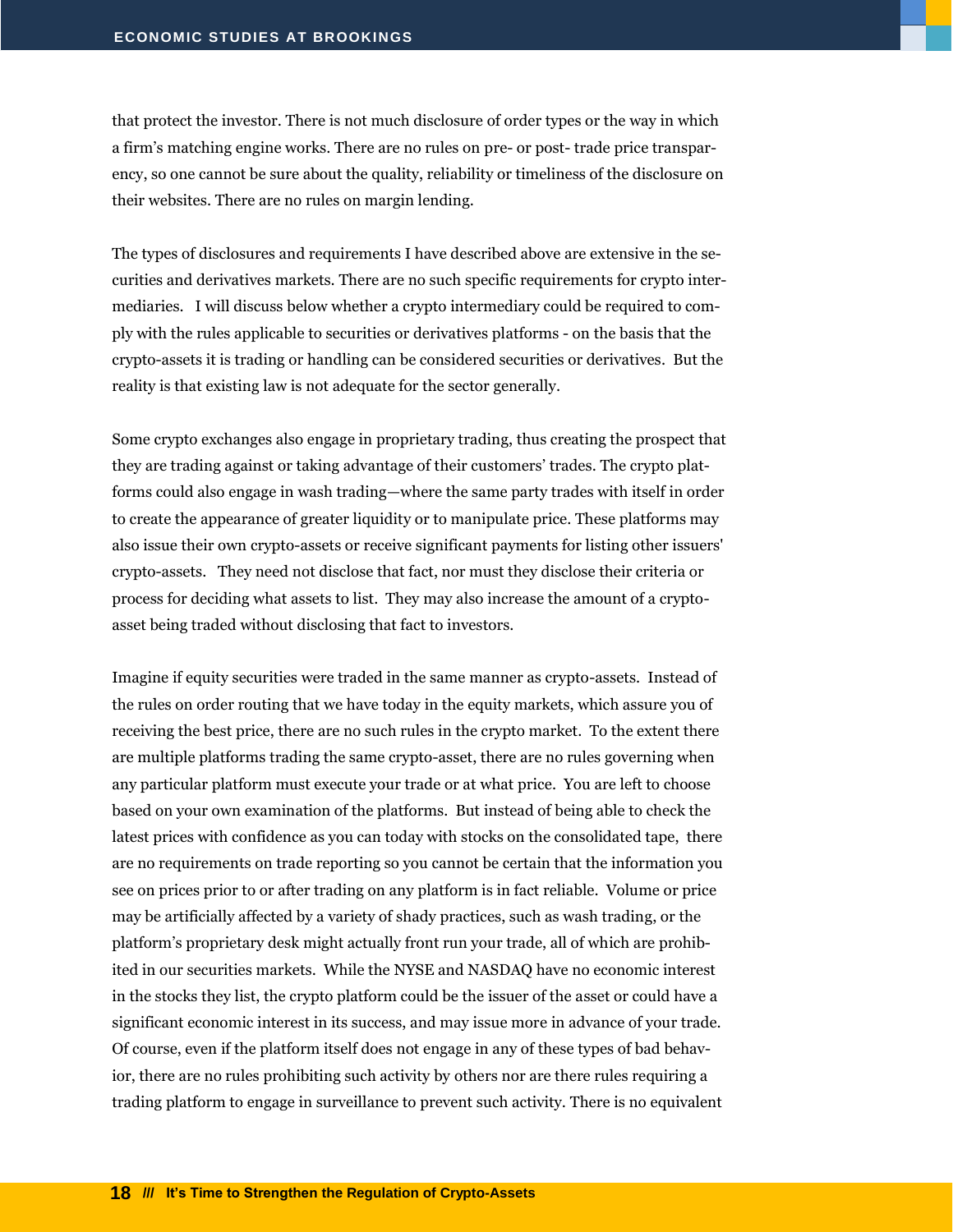that protect the investor. There is not much disclosure of order types or the way in which a firm's matching engine works. There are no rules on pre- or post- trade price transparency, so one cannot be sure about the quality, reliability or timeliness of the disclosure on their websites. There are no rules on margin lending.

The types of disclosures and requirements I have described above are extensive in the securities and derivatives markets. There are no such specific requirements for crypto intermediaries. I will discuss below whether a crypto intermediary could be required to comply with the rules applicable to securities or derivatives platforms - on the basis that the crypto-assets it is trading or handling can be considered securities or derivatives. But the reality is that existing law is not adequate for the sector generally.

Some crypto exchanges also engage in proprietary trading, thus creating the prospect that they are trading against or taking advantage of their customers' trades. The crypto platforms could also engage in wash trading—where the same party trades with itself in order to create the appearance of greater liquidity or to manipulate price. These platforms may also issue their own crypto-assets or receive significant payments for listing other issuers' crypto-assets. They need not disclose that fact, nor must they disclose their criteria or process for deciding what assets to list. They may also increase the amount of a cryptoasset being traded without disclosing that fact to investors.

Imagine if equity securities were traded in the same manner as crypto-assets. Instead of the rules on order routing that we have today in the equity markets, which assure you of receiving the best price, there are no such rules in the crypto market. To the extent there are multiple platforms trading the same crypto-asset, there are no rules governing when any particular platform must execute your trade or at what price. You are left to choose based on your own examination of the platforms. But instead of being able to check the latest prices with confidence as you can today with stocks on the consolidated tape, there are no requirements on trade reporting so you cannot be certain that the information you see on prices prior to or after trading on any platform is in fact reliable. Volume or price may be artificially affected by a variety of shady practices, such as wash trading, or the platform's proprietary desk might actually front run your trade, all of which are prohibited in our securities markets. While the NYSE and NASDAQ have no economic interest in the stocks they list, the crypto platform could be the issuer of the asset or could have a significant economic interest in its success, and may issue more in advance of your trade. Of course, even if the platform itself does not engage in any of these types of bad behavior, there are no rules prohibiting such activity by others nor are there rules requiring a trading platform to engage in surveillance to prevent such activity. There is no equivalent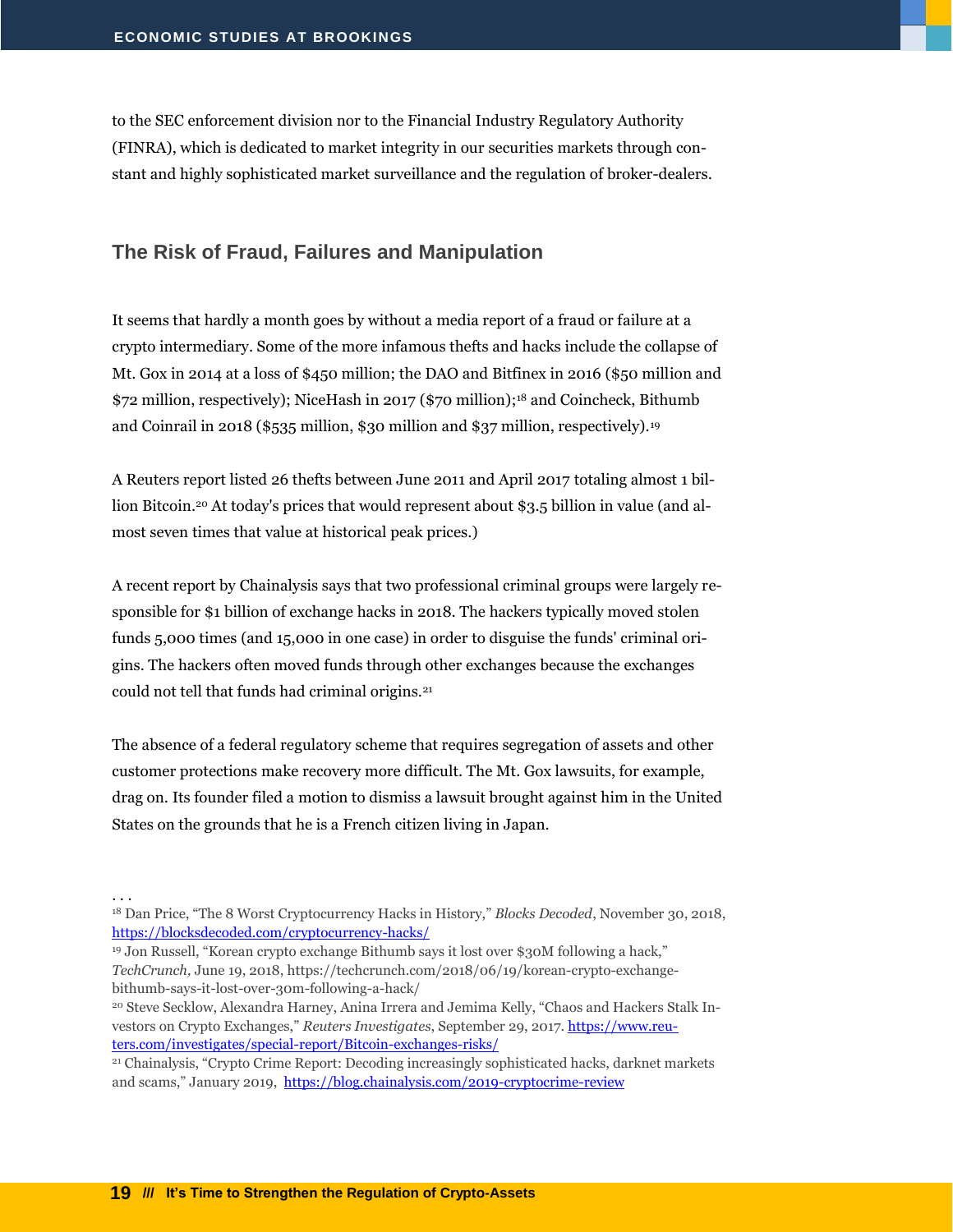to the SEC enforcement division nor to the Financial Industry Regulatory Authority (FINRA), which is dedicated to market integrity in our securities markets through constant and highly sophisticated market surveillance and the regulation of broker-dealers.

#### <span id="page-20-0"></span>**The Risk of Fraud, Failures and Manipulation**

It seems that hardly a month goes by without a media report of a fraud or failure at a crypto intermediary. Some of the more infamous thefts and hacks include the collapse of Mt. Gox in 2014 at a loss of \$450 million; the DAO and Bitfinex in 2016 (\$50 million and \$72 million, respectively); NiceHash in 2017 (\$70 million); <sup>18</sup> and Coincheck, Bithumb and Coinrail in 2018 (\$535 million, \$30 million and \$37 million, respectively).<sup>19</sup>

A Reuters report listed 26 thefts between June 2011 and April 2017 totaling almost 1 billion Bitcoin.<sup>20</sup> At today's prices that would represent about \$3.5 billion in value (and almost seven times that value at historical peak prices.)

A recent report by Chainalysis says that two professional criminal groups were largely responsible for \$1 billion of exchange hacks in 2018. The hackers typically moved stolen funds 5,000 times (and 15,000 in one case) in order to disguise the funds' criminal origins. The hackers often moved funds through other exchanges because the exchanges could not tell that funds had criminal origins.<sup>21</sup>

The absence of a federal regulatory scheme that requires segregation of assets and other customer protections make recovery more difficult. The Mt. Gox lawsuits, for example, drag on. Its founder filed a motion to dismiss a lawsuit brought against him in the United States on the grounds that he is a French citizen living in Japan.

. . .

<sup>18</sup> Dan Price, "The 8 Worst Cryptocurrency Hacks in History," *Blocks Decoded*, November 30, 2018, <https://blocksdecoded.com/cryptocurrency-hacks/>

<sup>19</sup> Jon Russell, "Korean crypto exchange Bithumb says it lost over \$30M following a hack," *TechCrunch,* June 19, 2018, https://techcrunch.com/2018/06/19/korean-crypto-exchangebithumb-says-it-lost-over-30m-following-a-hack/

<sup>20</sup> Steve Secklow, Alexandra Harney, Anina Irrera and Jemima Kelly, "Chaos and Hackers Stalk Investors on Crypto Exchanges," *Reuters Investigates*, September 29, 2017. [https://www.reu](https://www.reuters.com/investigates/special-report/Bitcoin-exchanges-risks/)[ters.com/investigates/special-report/Bitcoin-exchanges-risks/](https://www.reuters.com/investigates/special-report/Bitcoin-exchanges-risks/)

<sup>21</sup> Chainalysis, "Crypto Crime Report: Decoding increasingly sophisticated hacks, darknet markets and scams," January 2019, <https://blog.chainalysis.com/2019-cryptocrime-review>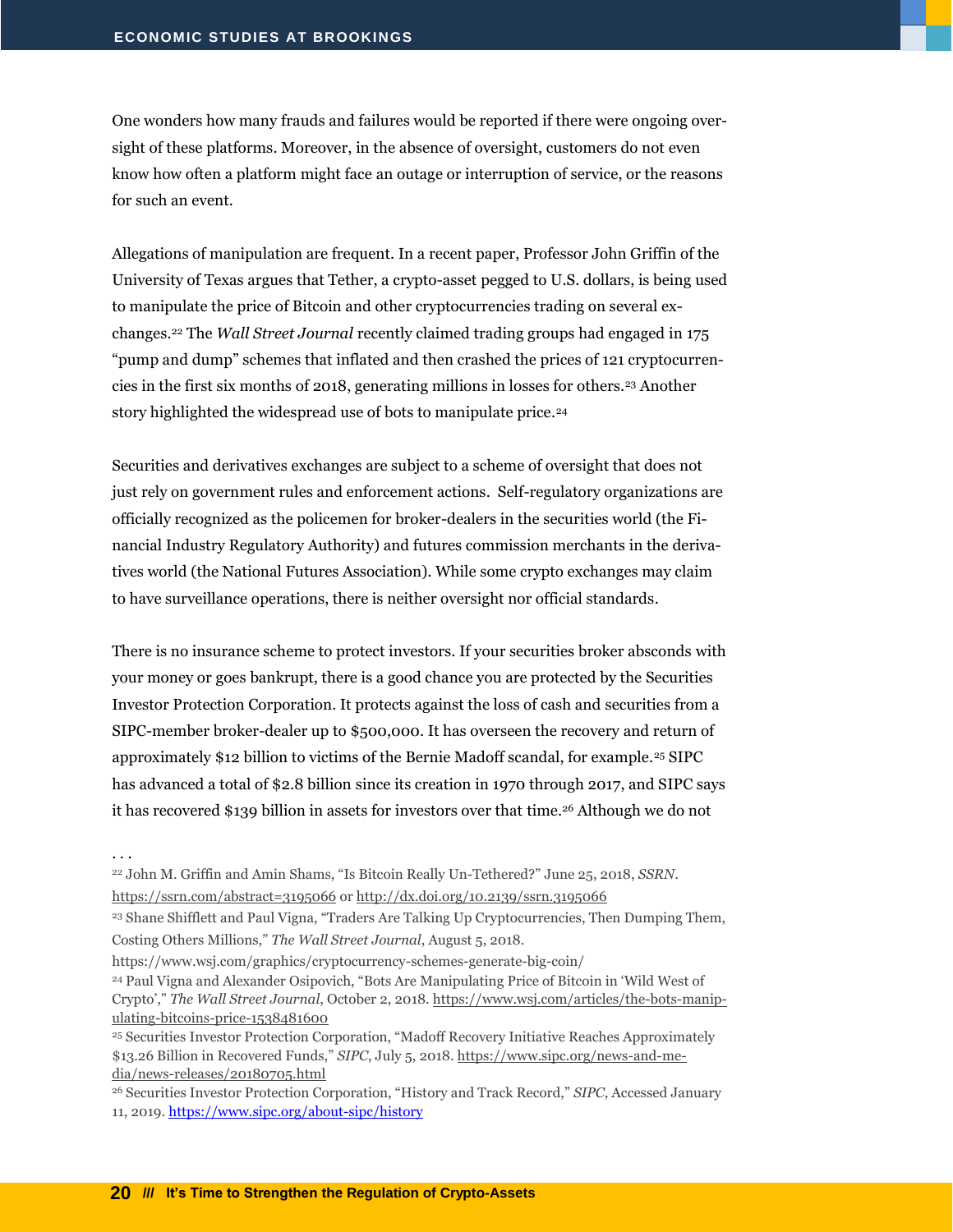One wonders how many frauds and failures would be reported if there were ongoing oversight of these platforms. Moreover, in the absence of oversight, customers do not even know how often a platform might face an outage or interruption of service, or the reasons for such an event.

Allegations of manipulation are frequent. In a recent paper, Professor John Griffin of the University of Texas argues that Tether, a crypto-asset pegged to U.S. dollars, is being used to manipulate the price of Bitcoin and other cryptocurrencies trading on several exchanges.<sup>22</sup> The *Wall Street Journal* recently claimed trading groups had engaged in 175 "pump and dump" schemes that inflated and then crashed the prices of 121 cryptocurrencies in the first six months of 2018, generating millions in losses for others.<sup>23</sup> Another story highlighted the widespread use of bots to manipulate price.<sup>24</sup>

Securities and derivatives exchanges are subject to a scheme of oversight that does not just rely on government rules and enforcement actions. Self-regulatory organizations are officially recognized as the policemen for broker-dealers in the securities world (the Financial Industry Regulatory Authority) and futures commission merchants in the derivatives world (the National Futures Association). While some crypto exchanges may claim to have surveillance operations, there is neither oversight nor official standards.

There is no insurance scheme to protect investors. If your securities broker absconds with your money or goes bankrupt, there is a good chance you are protected by the Securities Investor Protection Corporation. It protects against the loss of cash and securities from a SIPC-member broker-dealer up to \$500,000. It has overseen the recovery and return of approximately \$12 billion to victims of the Bernie Madoff scandal, for example.<sup>25</sup> SIPC has advanced a total of \$2.8 billion since its creation in 1970 through 2017, and SIPC says it has recovered \$139 billion in assets for investors over that time.<sup>26</sup> Although we do not

. . .

<sup>22</sup> John M. Griffin and Amin Shams, "Is Bitcoin Really Un-Tethered?" June 25, 2018, *SSRN*. <https://ssrn.com/abstract=3195066> or [http://dx.doi.org/10.2139/ssrn.3195066](https://dx.doi.org/10.2139/ssrn.3195066)

<sup>23</sup> Shane Shifflett and Paul Vigna, "Traders Are Talking Up Cryptocurrencies, Then Dumping Them,

Costing Others Millions," *The Wall Street Journal*, August 5, 2018.

https://www.wsj.com/graphics/cryptocurrency-schemes-generate-big-coin/

<sup>24</sup> Paul Vigna and Alexander Osipovich, "Bots Are Manipulating Price of Bitcoin in 'Wild West of Crypto'," *The Wall Street Journal*, October 2, 2018[. https://www.wsj.com/articles/the-bots-manip](https://www.wsj.com/articles/the-bots-manipulating-bitcoins-price-1538481600)[ulating-bitcoins-price-1538481600](https://www.wsj.com/articles/the-bots-manipulating-bitcoins-price-1538481600)

<sup>25</sup> Securities Investor Protection Corporation, "Madoff Recovery Initiative Reaches Approximately \$13.26 Billion in Recovered Funds," *SIPC*, July 5, 2018. [https://www.sipc.org/news-and-me](https://www.sipc.org/news-and-media/news-releases/20180705.html)[dia/news-releases/20180705.html](https://www.sipc.org/news-and-media/news-releases/20180705.html)

<sup>26</sup> Securities Investor Protection Corporation, "History and Track Record," *SIPC*, Accessed January 11, 2019[. https://www.sipc.org/about-sipc/history](https://www.sipc.org/about-sipc/history)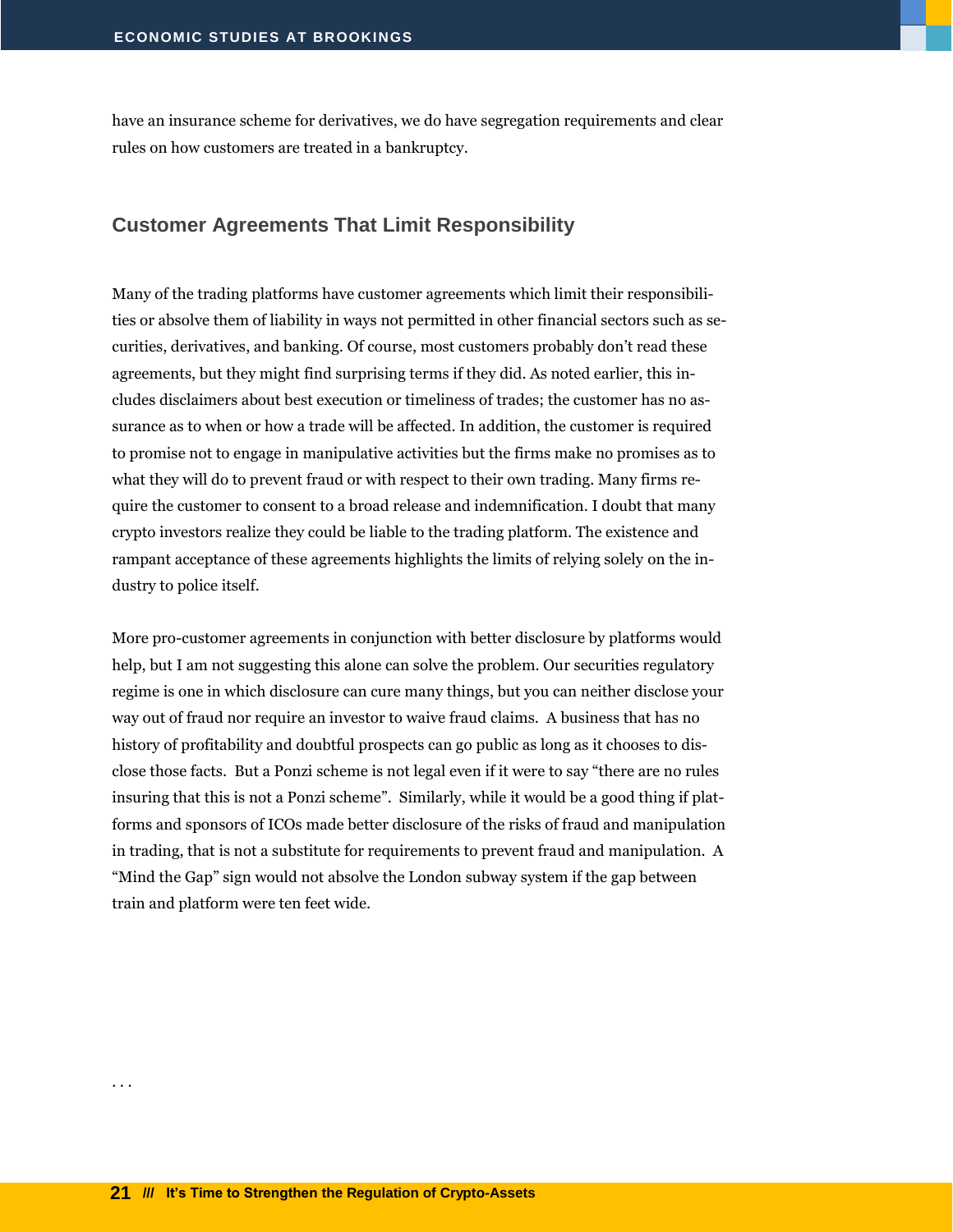have an insurance scheme for derivatives, we do have segregation requirements and clear rules on how customers are treated in a bankruptcy.

#### <span id="page-22-0"></span>**Customer Agreements That Limit Responsibility**

Many of the trading platforms have customer agreements which limit their responsibilities or absolve them of liability in ways not permitted in other financial sectors such as securities, derivatives, and banking. Of course, most customers probably don't read these agreements, but they might find surprising terms if they did. As noted earlier, this includes disclaimers about best execution or timeliness of trades; the customer has no assurance as to when or how a trade will be affected. In addition, the customer is required to promise not to engage in manipulative activities but the firms make no promises as to what they will do to prevent fraud or with respect to their own trading. Many firms require the customer to consent to a broad release and indemnification. I doubt that many crypto investors realize they could be liable to the trading platform. The existence and rampant acceptance of these agreements highlights the limits of relying solely on the industry to police itself.

More pro-customer agreements in conjunction with better disclosure by platforms would help, but I am not suggesting this alone can solve the problem. Our securities regulatory regime is one in which disclosure can cure many things, but you can neither disclose your way out of fraud nor require an investor to waive fraud claims. A business that has no history of profitability and doubtful prospects can go public as long as it chooses to disclose those facts. But a Ponzi scheme is not legal even if it were to say "there are no rules insuring that this is not a Ponzi scheme". Similarly, while it would be a good thing if platforms and sponsors of ICOs made better disclosure of the risks of fraud and manipulation in trading, that is not a substitute for requirements to prevent fraud and manipulation. A "Mind the Gap" sign would not absolve the London subway system if the gap between train and platform were ten feet wide.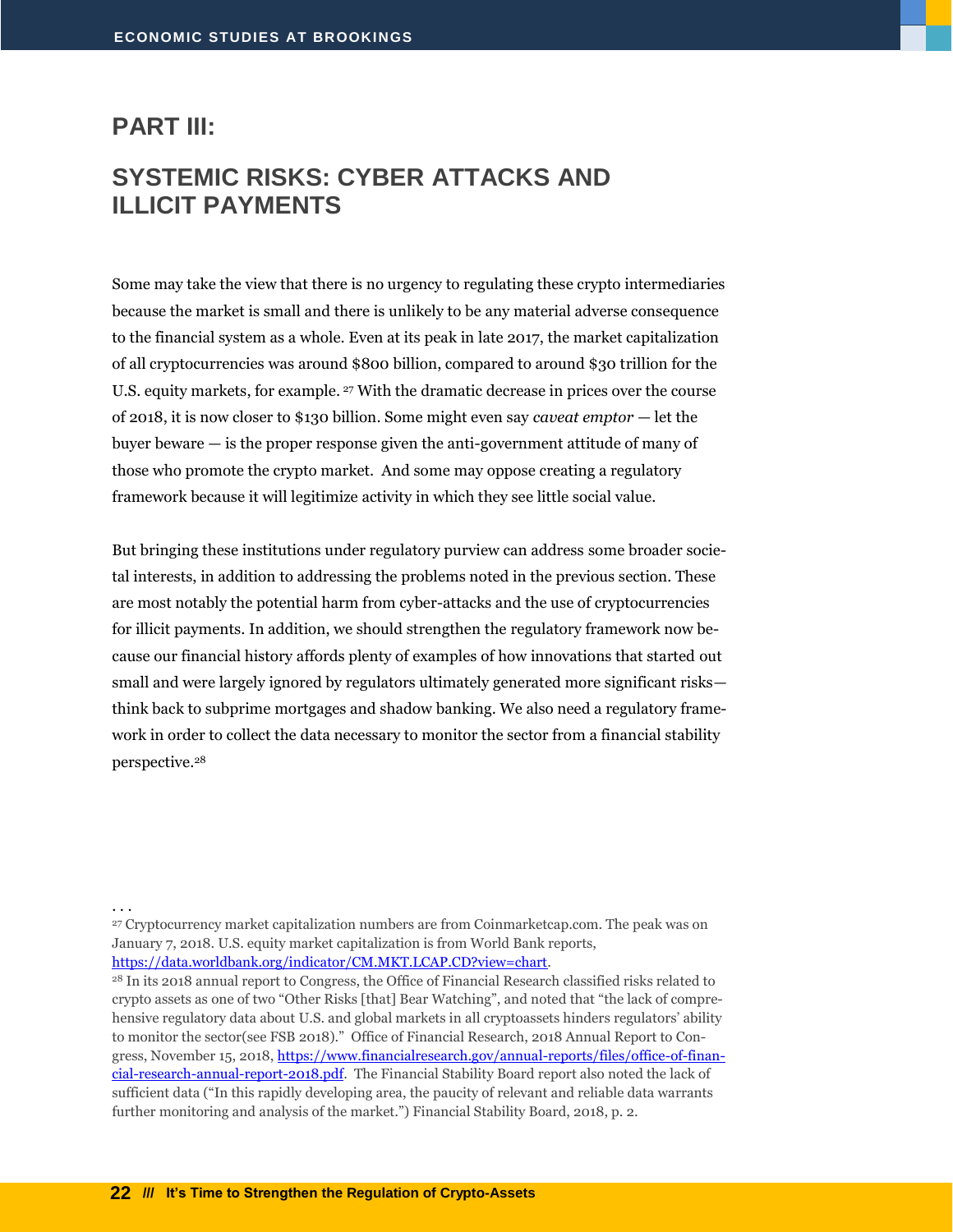#### <span id="page-23-0"></span>**PART III:**

# <span id="page-23-1"></span>**SYSTEMIC RISKS: CYBER ATTACKS AND ILLICIT PAYMENTS**

Some may take the view that there is no urgency to regulating these crypto intermediaries because the market is small and there is unlikely to be any material adverse consequence to the financial system as a whole. Even at its peak in late 2017, the market capitalization of all cryptocurrencies was around \$800 billion, compared to around \$30 trillion for the U.S. equity markets, for example. <sup>27</sup> With the dramatic decrease in prices over the course of 2018, it is now closer to \$130 billion. Some might even say *caveat emptor* — let the buyer beware — is the proper response given the anti-government attitude of many of those who promote the crypto market. And some may oppose creating a regulatory framework because it will legitimize activity in which they see little social value.

But bringing these institutions under regulatory purview can address some broader societal interests, in addition to addressing the problems noted in the previous section. These are most notably the potential harm from cyber-attacks and the use of cryptocurrencies for illicit payments. In addition, we should strengthen the regulatory framework now because our financial history affords plenty of examples of how innovations that started out small and were largely ignored by regulators ultimately generated more significant risks think back to subprime mortgages and shadow banking. We also need a regulatory framework in order to collect the data necessary to monitor the sector from a financial stability perspective.<sup>28</sup>

. . .

<sup>27</sup> Cryptocurrency market capitalization numbers are from Coinmarketcap.com. The peak was on January 7, 2018. U.S. equity market capitalization is from World Bank reports, [https://data.worldbank.org/indicator/CM.MKT.LCAP.CD?view=chart.](https://data.worldbank.org/indicator/CM.MKT.LCAP.CD?view=chart)

<sup>28</sup> In its 2018 annual report to Congress, the Office of Financial Research classified risks related to crypto assets as one of two "Other Risks [that] Bear Watching", and noted that "the lack of comprehensive regulatory data about U.S. and global markets in all cryptoassets hinders regulators' ability to monitor the sector(see FSB 2018)." Office of Financial Research, 2018 Annual Report to Congress, November 15, 2018[, https://www.financialresearch.gov/annual-reports/files/office-of-finan](https://www.financialresearch.gov/annual-reports/files/office-of-financial-research-annual-report-2018.pdf)[cial-research-annual-report-2018.pdf.](https://www.financialresearch.gov/annual-reports/files/office-of-financial-research-annual-report-2018.pdf) The Financial Stability Board report also noted the lack of sufficient data ("In this rapidly developing area, the paucity of relevant and reliable data warrants further monitoring and analysis of the market.") Financial Stability Board, 2018, p. 2.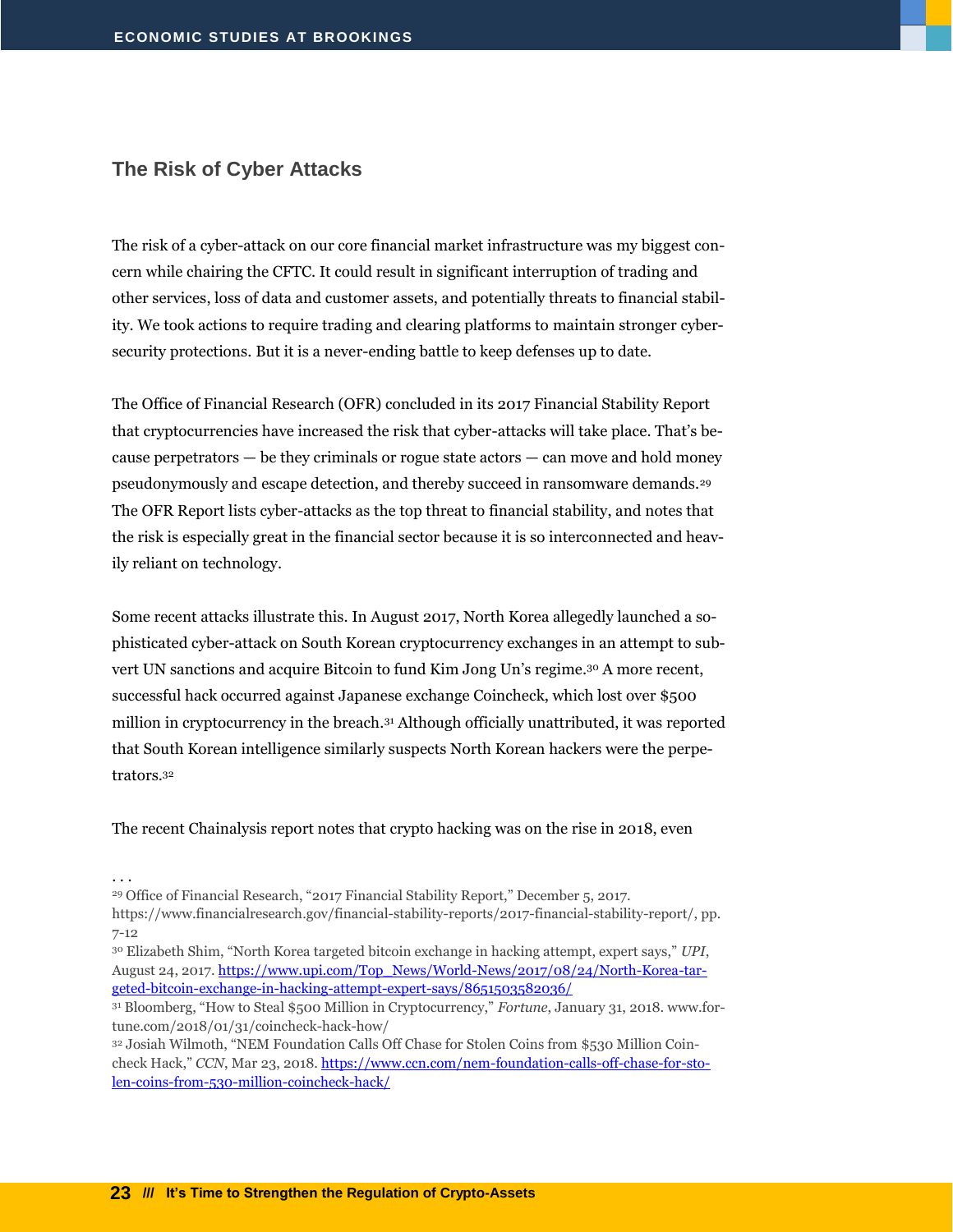#### <span id="page-24-0"></span>**The Risk of Cyber Attacks**

The risk of a cyber-attack on our core financial market infrastructure was my biggest concern while chairing the CFTC. It could result in significant interruption of trading and other services, loss of data and customer assets, and potentially threats to financial stability. We took actions to require trading and clearing platforms to maintain stronger cybersecurity protections. But it is a never-ending battle to keep defenses up to date.

The Office of Financial Research (OFR) concluded in its 2017 Financial Stability Report that cryptocurrencies have increased the risk that cyber-attacks will take place. That's because perpetrators  $-$  be they criminals or rogue state actors  $-$  can move and hold money pseudonymously and escape detection, and thereby succeed in ransomware demands.<sup>29</sup> The OFR Report lists cyber-attacks as the top threat to financial stability, and notes that the risk is especially great in the financial sector because it is so interconnected and heavily reliant on technology.

Some recent attacks illustrate this. In August 2017, North Korea allegedly launched a sophisticated cyber-attack on South Korean cryptocurrency exchanges in an attempt to subvert UN sanctions and acquire Bitcoin to fund Kim Jong Un's regime.<sup>30</sup> A more recent, successful hack occurred against Japanese exchange Coincheck, which lost over \$500 million in cryptocurrency in the breach.<sup>31</sup> Although officially unattributed, it was reported that South Korean intelligence similarly suspects North Korean hackers were the perpetrators.<sup>32</sup>

The recent Chainalysis report notes that crypto hacking was on the rise in 2018, even

<sup>30</sup> Elizabeth Shim, "North Korea targeted bitcoin exchange in hacking attempt, expert says," *UPI*, August 24, 2017[. https://www.upi.com/Top\\_News/World-News/2017/08/24/North-Korea-tar](https://www.upi.com/Top_News/World-News/2017/08/24/North-Korea-targeted-bitcoin-exchange-in-hacking-attempt-expert-says/8651503582036/)[geted-bitcoin-exchange-in-hacking-attempt-expert-says/8651503582036/](https://www.upi.com/Top_News/World-News/2017/08/24/North-Korea-targeted-bitcoin-exchange-in-hacking-attempt-expert-says/8651503582036/)

<sup>. . .</sup>

<sup>29</sup> Office of Financial Research, "2017 Financial Stability Report," December 5, 2017.

https://www.financialresearch.gov/financial-stability-reports/2017-financial-stability-report/, pp. 7-12

<sup>31</sup> Bloomberg, "How to Steal \$500 Million in Cryptocurrency," *Fortune*, January 31, 2018. www.fortune.com/2018/01/31/coincheck-hack-how/

<sup>32</sup> Josiah Wilmoth, "NEM Foundation Calls Off Chase for Stolen Coins from \$530 Million Coincheck Hack," *CCN*, Mar 23, 2018[. https://www.ccn.com/nem-foundation-calls-off-chase-for-sto](https://www.ccn.com/nem-foundation-calls-off-chase-for-stolen-coins-from-530-million-coincheck-hack/)[len-coins-from-530-million-coincheck-hack/](https://www.ccn.com/nem-foundation-calls-off-chase-for-stolen-coins-from-530-million-coincheck-hack/)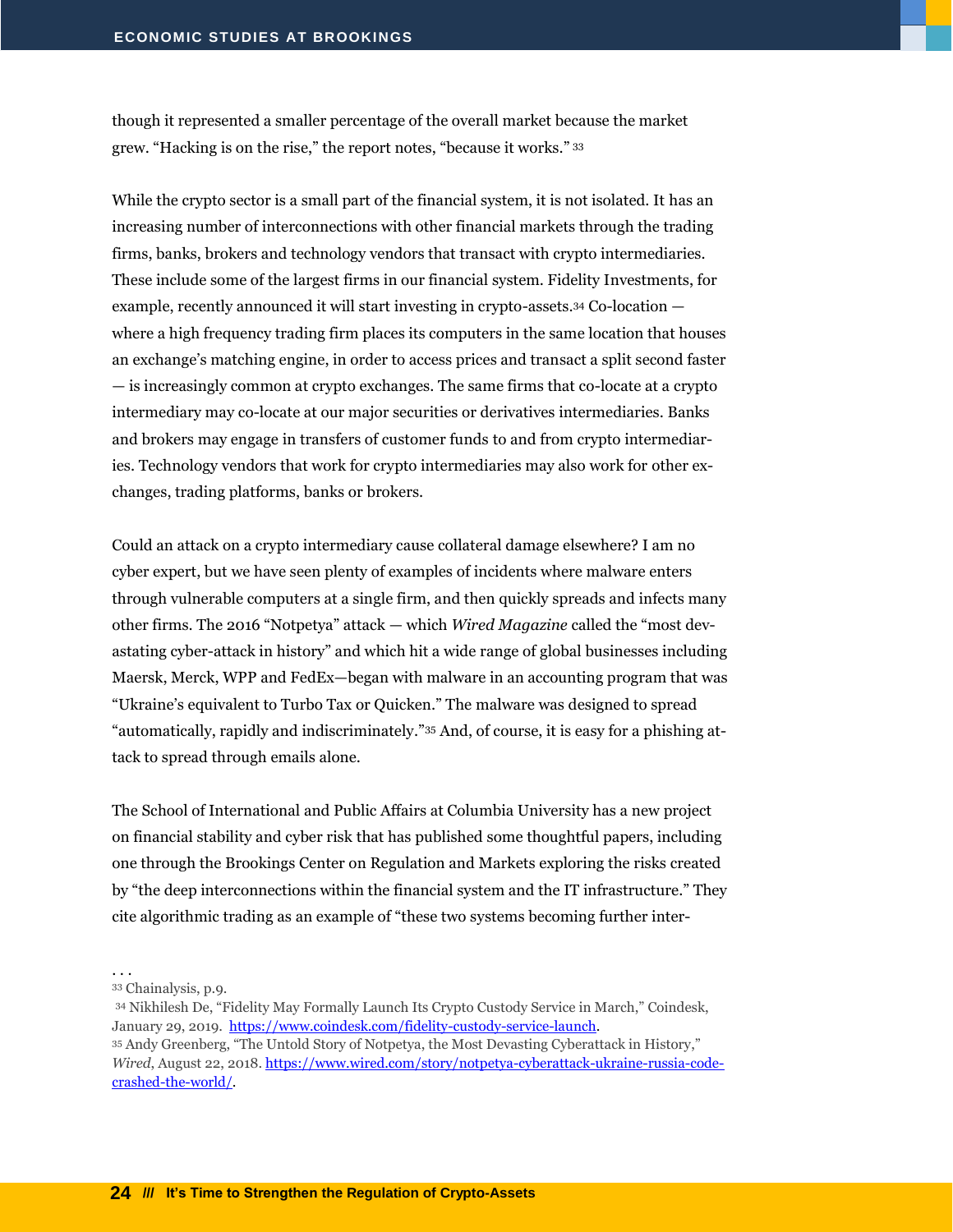though it represented a smaller percentage of the overall market because the market grew. "Hacking is on the rise," the report notes, "because it works." <sup>33</sup>

While the crypto sector is a small part of the financial system, it is not isolated. It has an increasing number of interconnections with other financial markets through the trading firms, banks, brokers and technology vendors that transact with crypto intermediaries. These include some of the largest firms in our financial system. Fidelity Investments, for example, recently announced it will start investing in crypto-assets.<sup>34</sup> Co-location where a high frequency trading firm places its computers in the same location that houses an exchange's matching engine, in order to access prices and transact a split second faster — is increasingly common at crypto exchanges. The same firms that co-locate at a crypto intermediary may co-locate at our major securities or derivatives intermediaries. Banks and brokers may engage in transfers of customer funds to and from crypto intermediaries. Technology vendors that work for crypto intermediaries may also work for other exchanges, trading platforms, banks or brokers.

Could an attack on a crypto intermediary cause collateral damage elsewhere? I am no cyber expert, but we have seen plenty of examples of incidents where malware enters through vulnerable computers at a single firm, and then quickly spreads and infects many other firms. The 2016 "Notpetya" attack — which *Wired Magazine* called the "most devastating cyber-attack in history" and which hit a wide range of global businesses including Maersk, Merck, WPP and FedEx—began with malware in an accounting program that was "Ukraine's equivalent to Turbo Tax or Quicken." The malware was designed to spread "automatically, rapidly and indiscriminately."<sup>35</sup> And, of course, it is easy for a phishing attack to spread through emails alone.

The School of International and Public Affairs at Columbia University has a new project on financial stability and cyber risk that has published some thoughtful papers, including one through the Brookings Center on Regulation and Markets exploring the risks created by "the deep interconnections within the financial system and the IT infrastructure." They cite algorithmic trading as an example of "these two systems becoming further inter-

<sup>34</sup> Nikhilesh De, "Fidelity May Formally Launch Its Crypto Custody Service in March," Coindesk, January 29, 2019. [https://www.coindesk.com/fidelity-custody-service-launch.](https://www.coindesk.com/fidelity-custody-service-launch)

<sup>35</sup> Andy Greenberg, "The Untold Story of Notpetya, the Most Devasting Cyberattack in History," *Wired*, August 22, 2018. [https://www.wired.com/story/notpetya-cyberattack-ukraine-russia-code](https://www.wired.com/story/notpetya-cyberattack-ukraine-russia-code-crashed-the-world/)[crashed-the-world/.](https://www.wired.com/story/notpetya-cyberattack-ukraine-russia-code-crashed-the-world/)

<sup>. . .</sup>

<sup>33</sup> Chainalysis, p.9.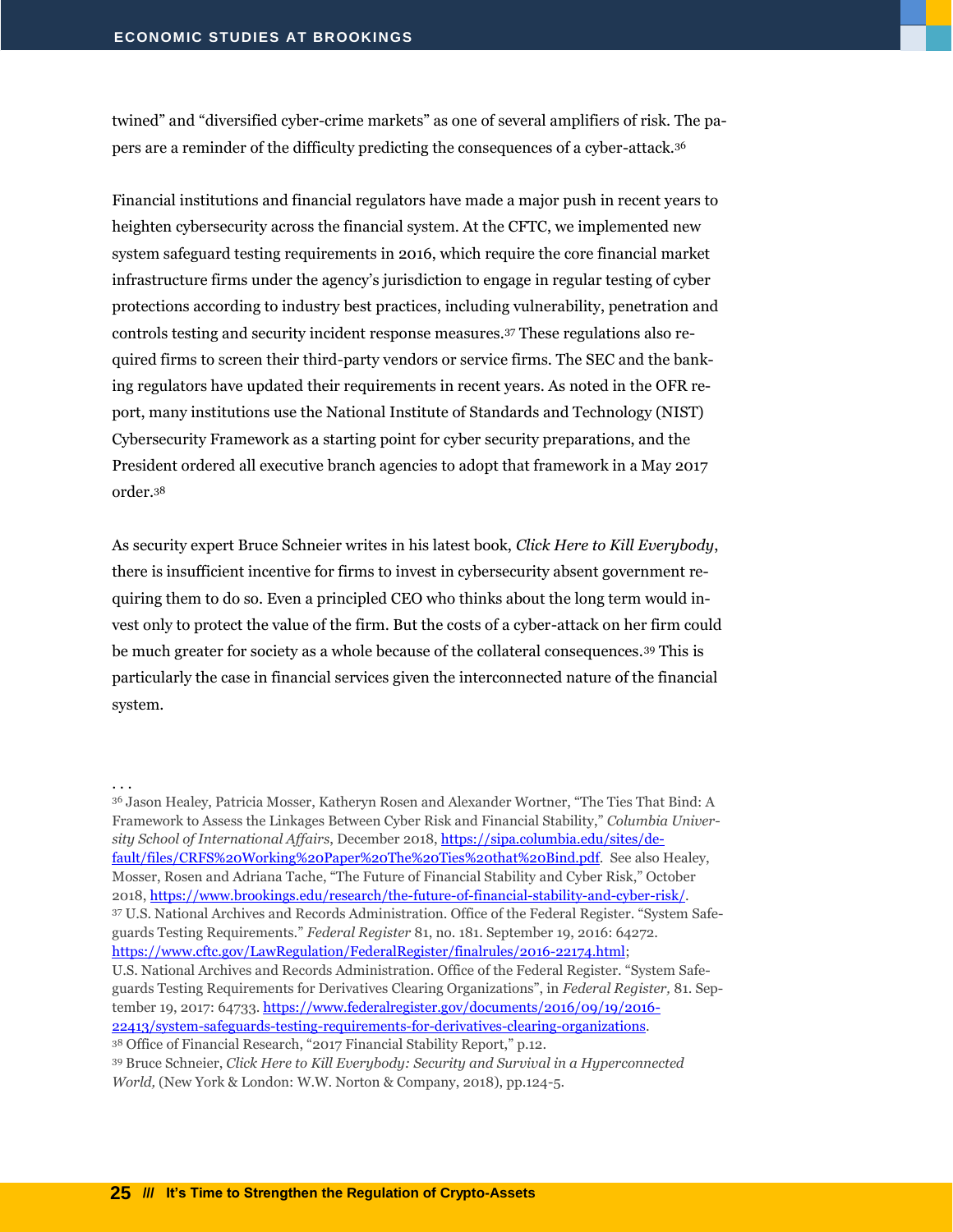twined" and "diversified cyber-crime markets" as one of several amplifiers of risk. The papers are a reminder of the difficulty predicting the consequences of a cyber-attack.<sup>36</sup>

Financial institutions and financial regulators have made a major push in recent years to heighten cybersecurity across the financial system. At the CFTC, we implemented new system safeguard testing requirements in 2016, which require the core financial market infrastructure firms under the agency's jurisdiction to engage in regular testing of cyber protections according to industry best practices, including vulnerability, penetration and controls testing and security incident response measures.<sup>37</sup> These regulations also required firms to screen their third-party vendors or service firms. The SEC and the banking regulators have updated their requirements in recent years. As noted in the OFR report, many institutions use the National Institute of Standards and Technology (NIST) Cybersecurity Framework as a starting point for cyber security preparations, and the President ordered all executive branch agencies to adopt that framework in a May 2017 order.<sup>38</sup>

As security expert Bruce Schneier writes in his latest book, *Click Here to Kill Everybody*, there is insufficient incentive for firms to invest in cybersecurity absent government requiring them to do so. Even a principled CEO who thinks about the long term would invest only to protect the value of the firm. But the costs of a cyber-attack on her firm could be much greater for society as a whole because of the collateral consequences.<sup>39</sup> This is particularly the case in financial services given the interconnected nature of the financial system.

. . .

<sup>36</sup> Jason Healey, Patricia Mosser, Katheryn Rosen and Alexander Wortner, "The Ties That Bind: A Framework to Assess the Linkages Between Cyber Risk and Financial Stability," *Columbia University School of International Affairs*, December 2018[, https://sipa.columbia.edu/sites/de](https://sipa.columbia.edu/sites/default/files/CRFS%20Working%20Paper%20The%20Ties%20that%20Bind.pdf)[fault/files/CRFS%20Working%20Paper%20The%20Ties%20that%20Bind.pdf.](https://sipa.columbia.edu/sites/default/files/CRFS%20Working%20Paper%20The%20Ties%20that%20Bind.pdf) See also Healey, Mosser, Rosen and Adriana Tache, "The Future of Financial Stability and Cyber Risk," October 2018[, https://www.brookings.edu/research/the-future-of-financial-stability-and-cyber-risk/.](https://www.brookings.edu/research/the-future-of-financial-stability-and-cyber-risk/) <sup>37</sup> U.S. National Archives and Records Administration. Office of the Federal Register. "System Safeguards Testing Requirements." *Federal Register* 81, no. 181. September 19, 2016: 64272. [https://www.cftc.gov/LawRegulation/FederalRegister/finalrules/2016-22174.html;](https://www.cftc.gov/LawRegulation/FederalRegister/finalrules/2016-22174.html) U.S. National Archives and Records Administration. Office of the Federal Register. "System Safeguards Testing Requirements for Derivatives Clearing Organizations", in *Federal Register,* 81. September 19, 2017: 64733[. https://www.federalregister.gov/documents/2016/09/19/2016-](https://www.federalregister.gov/documents/2016/09/19/2016-22413/system-safeguards-testing-requirements-for-derivatives-clearing-organizations) [22413/system-safeguards-testing-requirements-for-derivatives-clearing-organizations.](https://www.federalregister.gov/documents/2016/09/19/2016-22413/system-safeguards-testing-requirements-for-derivatives-clearing-organizations) <sup>38</sup> Office of Financial Research, "2017 Financial Stability Report," p.12.

<sup>39</sup> Bruce Schneier, *Click Here to Kill Everybody: Security and Survival in a Hyperconnected World,* (New York & London: W.W. Norton & Company, 2018), pp.124-5.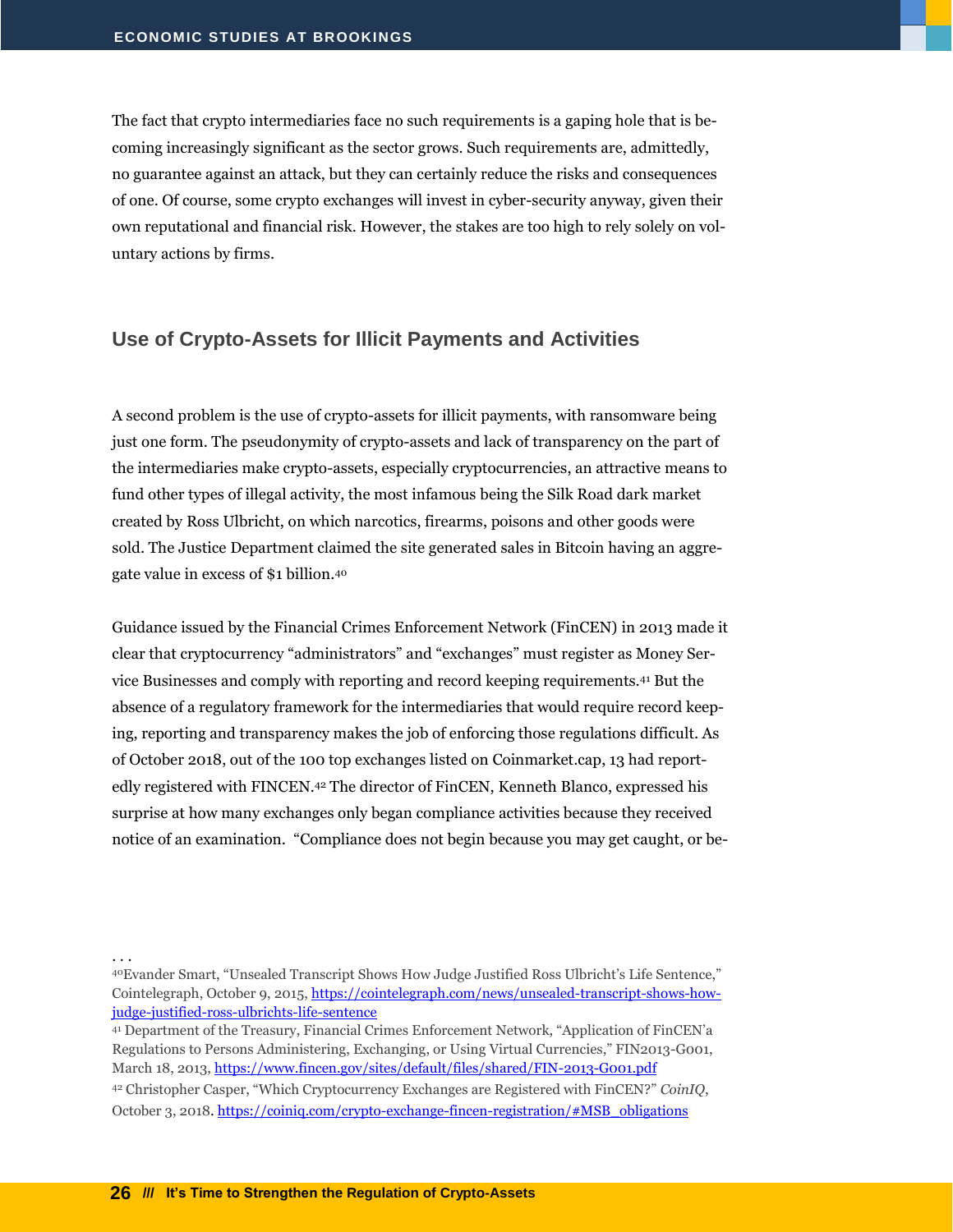The fact that crypto intermediaries face no such requirements is a gaping hole that is becoming increasingly significant as the sector grows. Such requirements are, admittedly, no guarantee against an attack, but they can certainly reduce the risks and consequences of one. Of course, some crypto exchanges will invest in cyber-security anyway, given their own reputational and financial risk. However, the stakes are too high to rely solely on voluntary actions by firms.

#### <span id="page-27-0"></span>**Use of Crypto-Assets for Illicit Payments and Activities**

A second problem is the use of crypto-assets for illicit payments, with ransomware being just one form. The pseudonymity of crypto-assets and lack of transparency on the part of the intermediaries make crypto-assets, especially cryptocurrencies, an attractive means to fund other types of illegal activity, the most infamous being the Silk Road dark market created by Ross Ulbricht, on which narcotics, firearms, poisons and other goods were sold. The Justice Department claimed the site generated sales in Bitcoin having an aggregate value in excess of \$1 billion.<sup>40</sup>

Guidance issued by the Financial Crimes Enforcement Network (FinCEN) in 2013 made it clear that cryptocurrency "administrators" and "exchanges" must register as Money Service Businesses and comply with reporting and record keeping requirements.<sup>41</sup> But the absence of a regulatory framework for the intermediaries that would require record keeping, reporting and transparency makes the job of enforcing those regulations difficult. As of October 2018, out of the 100 top exchanges listed on Coinmarket.cap, 13 had reportedly registered with FINCEN.<sup>42</sup> The director of FinCEN, Kenneth Blanco, expressed his surprise at how many exchanges only began compliance activities because they received notice of an examination. "Compliance does not begin because you may get caught, or be-

<sup>40</sup>Evander Smart, "Unsealed Transcript Shows How Judge Justified Ross Ulbricht's Life Sentence," Cointelegraph, October 9, 2015[, https://cointelegraph.com/news/unsealed-transcript-shows-how](https://cointelegraph.com/news/unsealed-transcript-shows-how-judge-justified-ross-ulbrichts-life-sentence)[judge-justified-ross-ulbrichts-life-sentence](https://cointelegraph.com/news/unsealed-transcript-shows-how-judge-justified-ross-ulbrichts-life-sentence)

<sup>41</sup> Department of the Treasury, Financial Crimes Enforcement Network, "Application of FinCEN'a Regulations to Persons Administering, Exchanging, or Using Virtual Currencies," FIN2013-G001, March 18, 2013,<https://www.fincen.gov/sites/default/files/shared/FIN-2013-G001.pdf>

<sup>42</sup> Christopher Casper, "Which Cryptocurrency Exchanges are Registered with FinCEN?" *CoinIQ*, October 3, 2018. [https://coiniq.com/crypto-exchange-fincen-registration/#MSB\\_obligations](https://coiniq.com/crypto-exchange-fincen-registration/#MSB_obligations)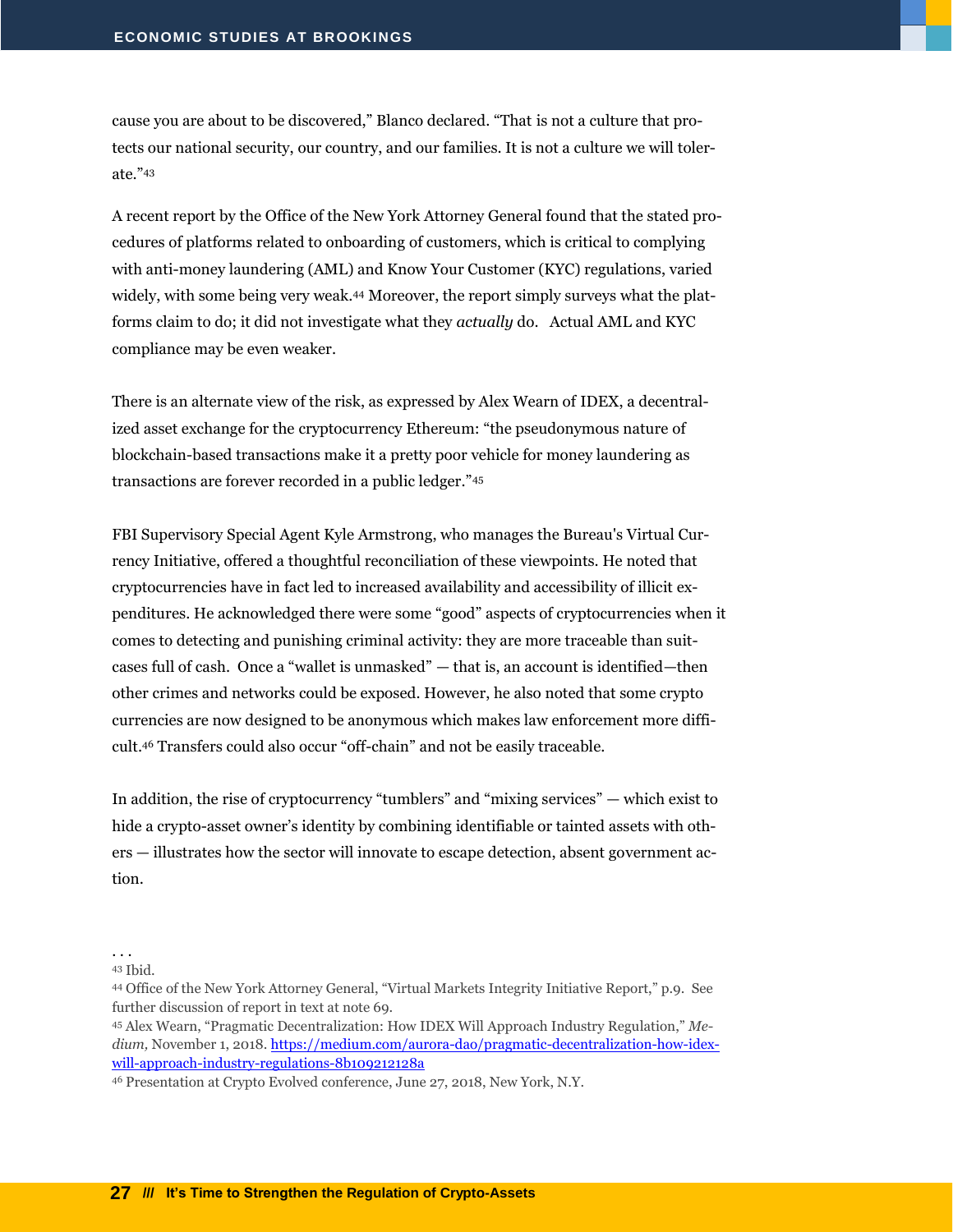cause you are about to be discovered," Blanco declared. "That is not a culture that protects our national security, our country, and our families. It is not a culture we will tolerate."<sup>43</sup>

A recent report by the Office of the New York Attorney General found that the stated procedures of platforms related to onboarding of customers, which is critical to complying with anti-money laundering (AML) and Know Your Customer (KYC) regulations, varied widely, with some being very weak.<sup>44</sup> Moreover, the report simply surveys what the platforms claim to do; it did not investigate what they *actually* do. Actual AML and KYC compliance may be even weaker.

There is an alternate view of the risk, as expressed by Alex Wearn of IDEX, a decentralized asset exchange for the cryptocurrency Ethereum: "the pseudonymous nature of blockchain-based transactions make it a pretty poor vehicle for money laundering as transactions are forever recorded in a public ledger."<sup>45</sup>

FBI Supervisory Special Agent Kyle Armstrong, who manages the Bureau's Virtual Currency Initiative, offered a thoughtful reconciliation of these viewpoints. He noted that cryptocurrencies have in fact led to increased availability and accessibility of illicit expenditures. He acknowledged there were some "good" aspects of cryptocurrencies when it comes to detecting and punishing criminal activity: they are more traceable than suitcases full of cash. Once a "wallet is unmasked" — that is, an account is identified—then other crimes and networks could be exposed. However, he also noted that some crypto currencies are now designed to be anonymous which makes law enforcement more difficult.<sup>46</sup> Transfers could also occur "off-chain" and not be easily traceable.

In addition, the rise of cryptocurrency "tumblers" and "mixing services" — which exist to hide a crypto-asset owner's identity by combining identifiable or tainted assets with others — illustrates how the sector will innovate to escape detection, absent government action.

<sup>43</sup> Ibid.

<sup>. . .</sup>

<sup>44</sup> Office of the New York Attorney General, "Virtual Markets Integrity Initiative Report," p.9. See further discussion of report in text at note 69.

<sup>45</sup> Alex Wearn, "Pragmatic Decentralization: How IDEX Will Approach Industry Regulation," *Me*dium, November 1, 2018. [https://medium.com/aurora-dao/pragmatic-decentralization-how-idex](https://medium.com/aurora-dao/pragmatic-decentralization-how-idex-will-approach-industry-regulations-8b109212128a)[will-approach-industry-regulations-8b109212128a](https://medium.com/aurora-dao/pragmatic-decentralization-how-idex-will-approach-industry-regulations-8b109212128a)

<sup>46</sup> Presentation at Crypto Evolved conference, June 27, 2018, New York, N.Y.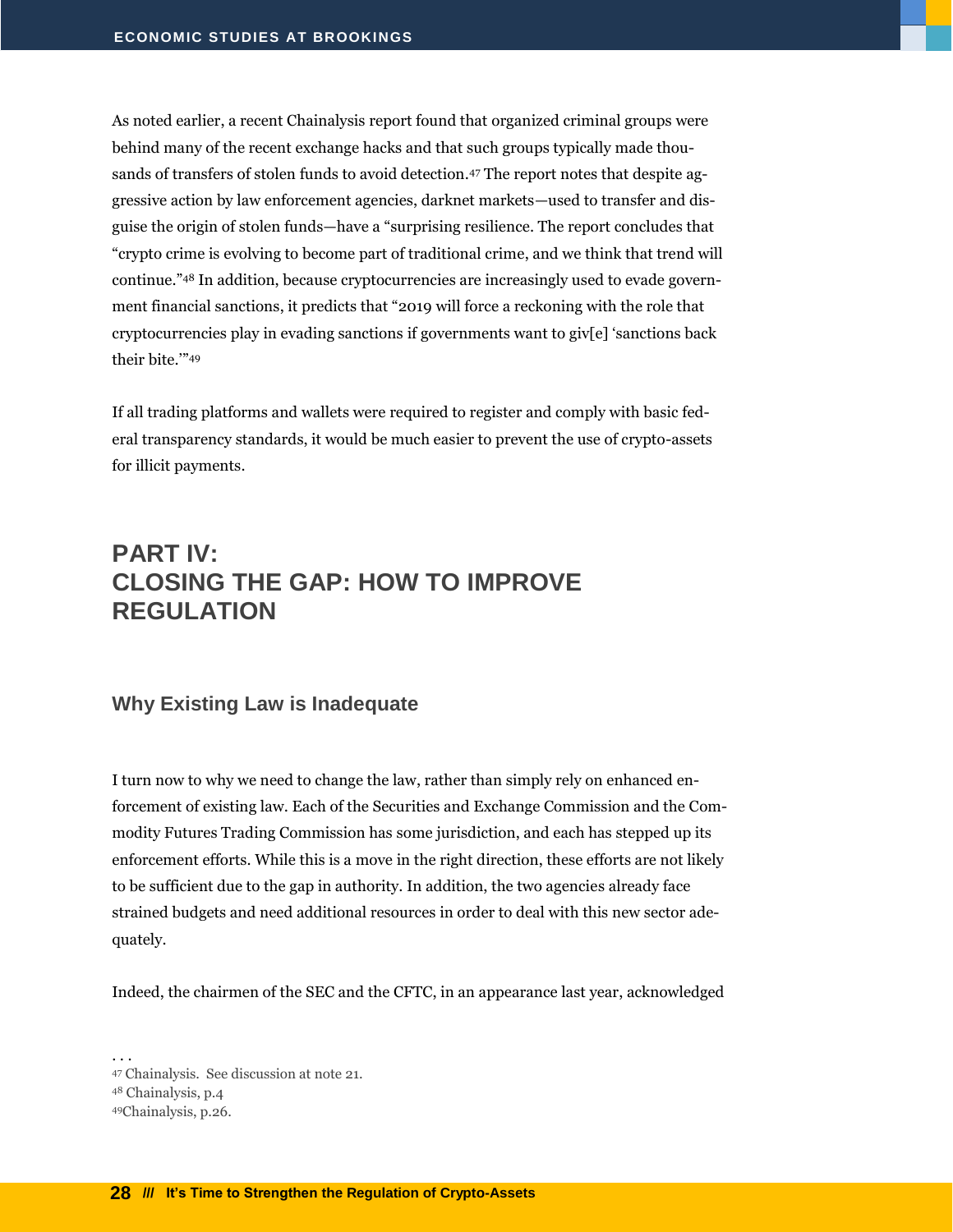As noted earlier, a recent Chainalysis report found that organized criminal groups were behind many of the recent exchange hacks and that such groups typically made thousands of transfers of stolen funds to avoid detection.<sup>47</sup> The report notes that despite aggressive action by law enforcement agencies, darknet markets—used to transfer and disguise the origin of stolen funds—have a "surprising resilience. The report concludes that "crypto crime is evolving to become part of traditional crime, and we think that trend will continue."<sup>48</sup> In addition, because cryptocurrencies are increasingly used to evade government financial sanctions, it predicts that "2019 will force a reckoning with the role that cryptocurrencies play in evading sanctions if governments want to giv[e] 'sanctions back their bite.'" 49

If all trading platforms and wallets were required to register and comply with basic federal transparency standards, it would be much easier to prevent the use of crypto-assets for illicit payments.

# <span id="page-29-0"></span>**PART IV: CLOSING THE GAP: HOW TO IMPROVE REGULATION**

#### <span id="page-29-1"></span>**Why Existing Law is Inadequate**

I turn now to why we need to change the law, rather than simply rely on enhanced enforcement of existing law. Each of the Securities and Exchange Commission and the Commodity Futures Trading Commission has some jurisdiction, and each has stepped up its enforcement efforts. While this is a move in the right direction, these efforts are not likely to be sufficient due to the gap in authority. In addition, the two agencies already face strained budgets and need additional resources in order to deal with this new sector adequately.

Indeed, the chairmen of the SEC and the CFTC, in an appearance last year, acknowledged

. . . Chainalysis. See discussion at note 21. Chainalysis, p.4 Chainalysis, p.26.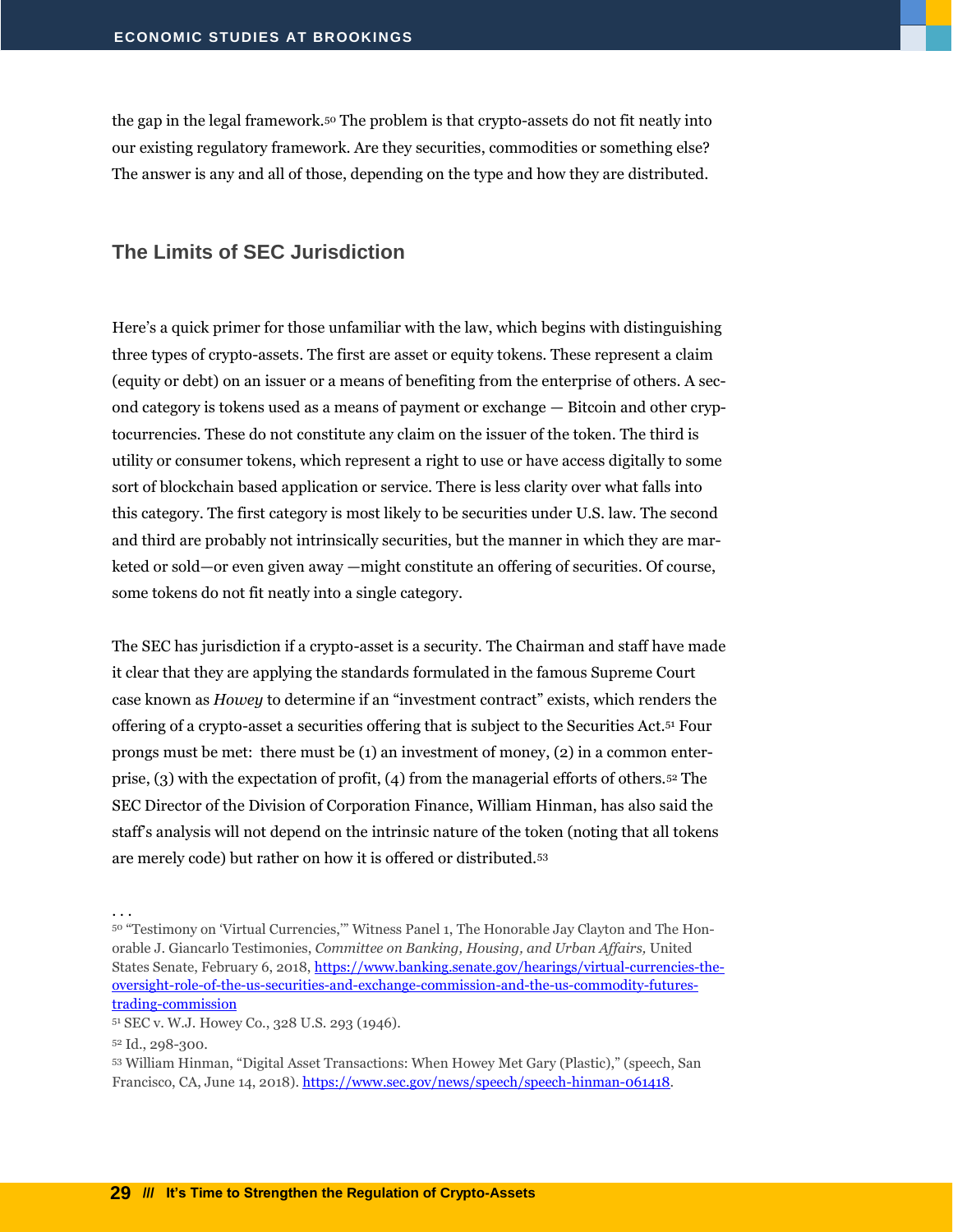the gap in the legal framework.<sup>50</sup> The problem is that crypto-assets do not fit neatly into our existing regulatory framework. Are they securities, commodities or something else? The answer is any and all of those, depending on the type and how they are distributed.

#### <span id="page-30-0"></span>**The Limits of SEC Jurisdiction**

Here's a quick primer for those unfamiliar with the law, which begins with distinguishing three types of crypto-assets. The first are asset or equity tokens. These represent a claim (equity or debt) on an issuer or a means of benefiting from the enterprise of others. A second category is tokens used as a means of payment or exchange — Bitcoin and other cryptocurrencies. These do not constitute any claim on the issuer of the token. The third is utility or consumer tokens, which represent a right to use or have access digitally to some sort of blockchain based application or service. There is less clarity over what falls into this category. The first category is most likely to be securities under U.S. law. The second and third are probably not intrinsically securities, but the manner in which they are marketed or sold—or even given away —might constitute an offering of securities. Of course, some tokens do not fit neatly into a single category.

The SEC has jurisdiction if a crypto-asset is a security. The Chairman and staff have made it clear that they are applying the standards formulated in the famous Supreme Court case known as *Howey* to determine if an "investment contract" exists, which renders the offering of a crypto-asset a securities offering that is subject to the Securities Act.<sup>51</sup> Four prongs must be met: there must be (1) an investment of money, (2) in a common enterprise, (3) with the expectation of profit, (4) from the managerial efforts of others.<sup>52</sup> The SEC Director of the Division of Corporation Finance, William Hinman, has also said the staff's analysis will not depend on the intrinsic nature of the token (noting that all tokens are merely code) but rather on how it is offered or distributed.<sup>53</sup>

<sup>50 &</sup>quot;Testimony on 'Virtual Currencies," Witness Panel 1, The Honorable Jay Clayton and The Honorable J. Giancarlo Testimonies, *Committee on Banking, Housing, and Urban Affairs,* United States Senate, February 6, 2018, [https://www.banking.senate.gov/hearings/virtual-currencies-the](https://www.banking.senate.gov/hearings/virtual-currencies-the-oversight-role-of-the-us-securities-and-exchange-commission-and-the-us-commodity-futures-trading-commission)[oversight-role-of-the-us-securities-and-exchange-commission-and-the-us-commodity-futures](https://www.banking.senate.gov/hearings/virtual-currencies-the-oversight-role-of-the-us-securities-and-exchange-commission-and-the-us-commodity-futures-trading-commission)[trading-commission](https://www.banking.senate.gov/hearings/virtual-currencies-the-oversight-role-of-the-us-securities-and-exchange-commission-and-the-us-commodity-futures-trading-commission)

<sup>51</sup> SEC v. W.J. Howey Co., 328 U.S. 293 (1946).

<sup>52</sup> Id., 298-300.

<sup>53</sup> William Hinman, "Digital Asset Transactions: When Howey Met Gary (Plastic)," (speech, San Francisco, CA, June 14, 2018)[. https://www.sec.gov/news/speech/speech-hinman-061418.](https://www.sec.gov/news/speech/speech-hinman-061418)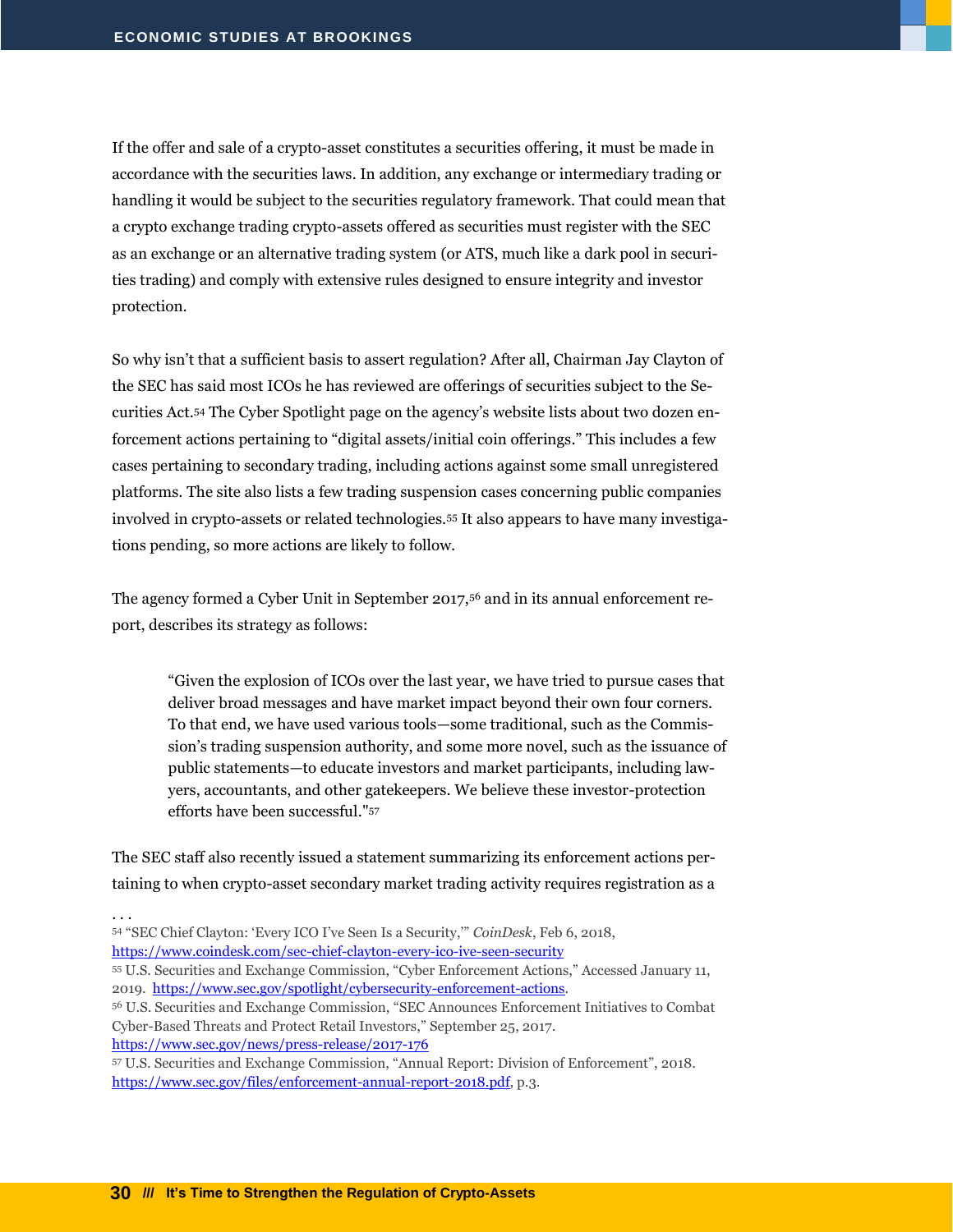If the offer and sale of a crypto-asset constitutes a securities offering, it must be made in accordance with the securities laws. In addition, any exchange or intermediary trading or handling it would be subject to the securities regulatory framework. That could mean that a crypto exchange trading crypto-assets offered as securities must register with the SEC as an exchange or an alternative trading system (or ATS, much like a dark pool in securities trading) and comply with extensive rules designed to ensure integrity and investor protection.

So why isn't that a sufficient basis to assert regulation? After all, Chairman Jay Clayton of the SEC has said most ICOs he has reviewed are offerings of securities subject to the Securities Act.<sup>54</sup> The Cyber Spotlight page on the agency's website lists about two dozen enforcement actions pertaining to "digital assets/initial coin offerings." This includes a few cases pertaining to secondary trading, including actions against some small unregistered platforms. The site also lists a few trading suspension cases concerning public companies involved in crypto-assets or related technologies.<sup>55</sup> It also appears to have many investigations pending, so more actions are likely to follow.

The agency formed a Cyber Unit in September 2017,<sup>56</sup> and in its annual enforcement report, describes its strategy as follows:

"Given the explosion of ICOs over the last year, we have tried to pursue cases that deliver broad messages and have market impact beyond their own four corners. To that end, we have used various tools—some traditional, such as the Commission's trading suspension authority, and some more novel, such as the issuance of public statements—to educate investors and market participants, including lawyers, accountants, and other gatekeepers. We believe these investor-protection efforts have been successful." 57

The SEC staff also recently issued a statement summarizing its enforcement actions pertaining to when crypto-asset secondary market trading activity requires registration as a

. . .

- <sup>54</sup> "SEC Chief Clayton: 'Every ICO I've Seen Is a Security,'" *CoinDesk*, Feb 6, 2018, <https://www.coindesk.com/sec-chief-clayton-every-ico-ive-seen-security>
- <sup>55</sup> U.S. Securities and Exchange Commission, "Cyber Enforcement Actions," Accessed January 11, 2019. [https://www.sec.gov/spotlight/cybersecurity-enforcement-actions.](https://www.sec.gov/spotlight/cybersecurity-enforcement-actions)
- <sup>56</sup> U.S. Securities and Exchange Commission, "SEC Announces Enforcement Initiatives to Combat Cyber-Based Threats and Protect Retail Investors," September 25, 2017.

<https://www.sec.gov/news/press-release/2017-176>

<sup>57</sup> U.S. Securities and Exchange Commission, "Annual Report: Division of Enforcement", 2018. [https://www.sec.gov/files/enforcement-annual-report-2018.pdf,](https://www.sec.gov/files/enforcement-annual-report-2018.pdf) p.3.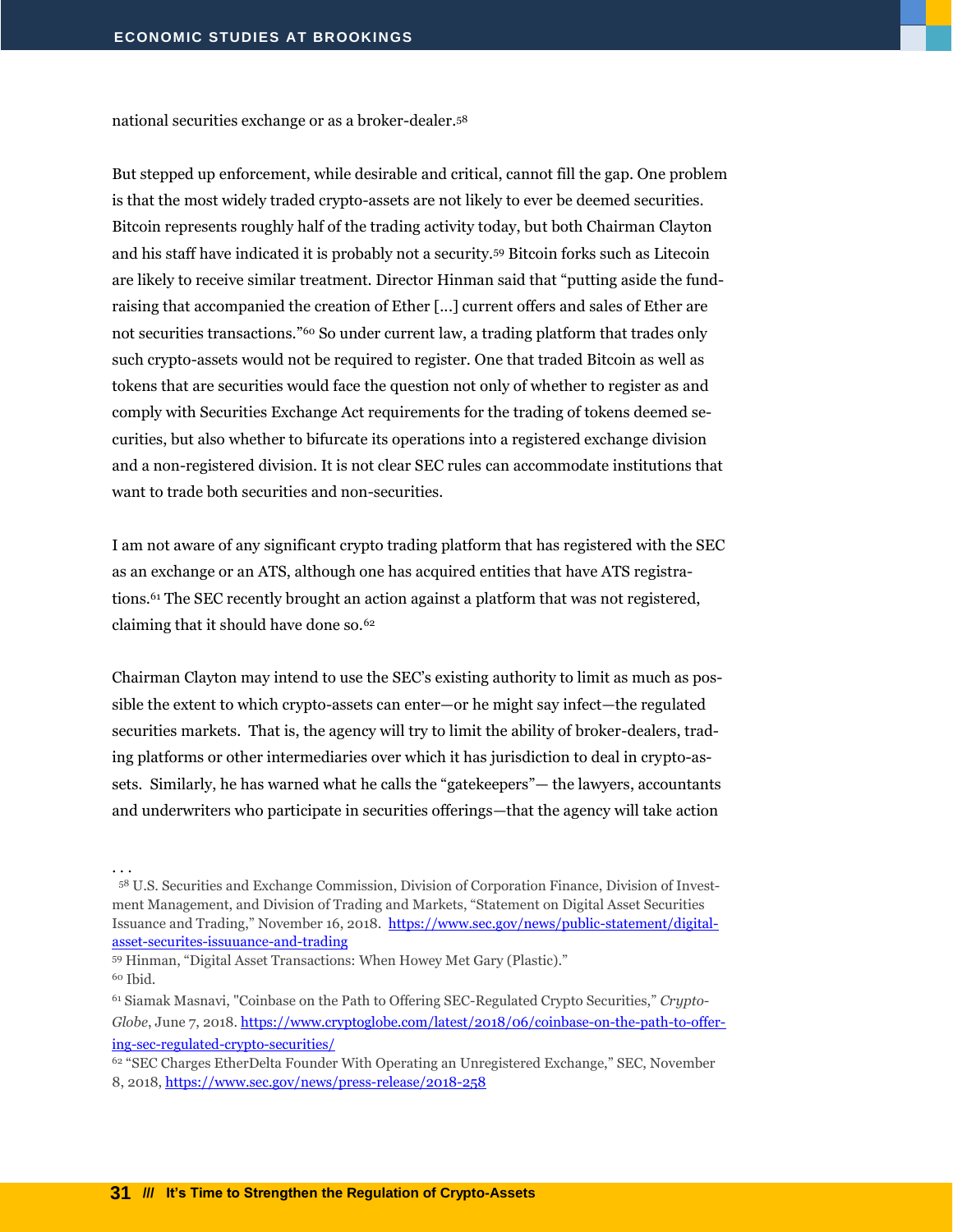national securities exchange or as a broker-dealer.<sup>58</sup>

But stepped up enforcement, while desirable and critical, cannot fill the gap. One problem is that the most widely traded crypto-assets are not likely to ever be deemed securities. Bitcoin represents roughly half of the trading activity today, but both Chairman Clayton and his staff have indicated it is probably not a security.<sup>59</sup> Bitcoin forks such as Litecoin are likely to receive similar treatment. Director Hinman said that "putting aside the fundraising that accompanied the creation of Ether [...] current offers and sales of Ether are not securities transactions."<sup>60</sup> So under current law, a trading platform that trades only such crypto-assets would not be required to register. One that traded Bitcoin as well as tokens that are securities would face the question not only of whether to register as and comply with Securities Exchange Act requirements for the trading of tokens deemed securities, but also whether to bifurcate its operations into a registered exchange division and a non-registered division. It is not clear SEC rules can accommodate institutions that want to trade both securities and non-securities.

I am not aware of any significant crypto trading platform that has registered with the SEC as an exchange or an ATS, although one has acquired entities that have ATS registrations.<sup>61</sup> The SEC recently brought an action against a platform that was not registered, claiming that it should have done so.<sup>62</sup>

Chairman Clayton may intend to use the SEC's existing authority to limit as much as possible the extent to which crypto-assets can enter—or he might say infect—the regulated securities markets. That is, the agency will try to limit the ability of broker-dealers, trading platforms or other intermediaries over which it has jurisdiction to deal in crypto-assets. Similarly, he has warned what he calls the "gatekeepers"— the lawyers, accountants and underwriters who participate in securities offerings—that the agency will take action

<sup>58</sup> U.S. Securities and Exchange Commission, Division of Corporation Finance, Division of Investment Management, and Division of Trading and Markets, "Statement on Digital Asset Securities Issuance and Trading," November 16, 2018. [https://www.sec.gov/news/public-statement/digital](https://www.sec.gov/news/public-statement/digital-asset-securites-issuuance-and-trading)[asset-securites-issuuance-and-trading](https://www.sec.gov/news/public-statement/digital-asset-securites-issuuance-and-trading)

<sup>59</sup> Hinman, "Digital Asset Transactions: When Howey Met Gary (Plastic)." <sup>60</sup> Ibid.

<sup>61</sup> Siamak Masnavi, "Coinbase on the Path to Offering SEC-Regulated Crypto Securities," *Crypto-Globe*, June 7, 2018. [https://www.cryptoglobe.com/latest/2018/06/coinbase-on-the-path-to-offer](https://www.cryptoglobe.com/latest/2018/06/coinbase-on-the-path-to-offering-sec-regulated-crypto-securities/)[ing-sec-regulated-crypto-securities/](https://www.cryptoglobe.com/latest/2018/06/coinbase-on-the-path-to-offering-sec-regulated-crypto-securities/)

<sup>62</sup> "SEC Charges EtherDelta Founder With Operating an Unregistered Exchange," SEC, November 8, 2018[, https://www.sec.gov/news/press-release/2018-258](https://www.sec.gov/news/press-release/2018-258)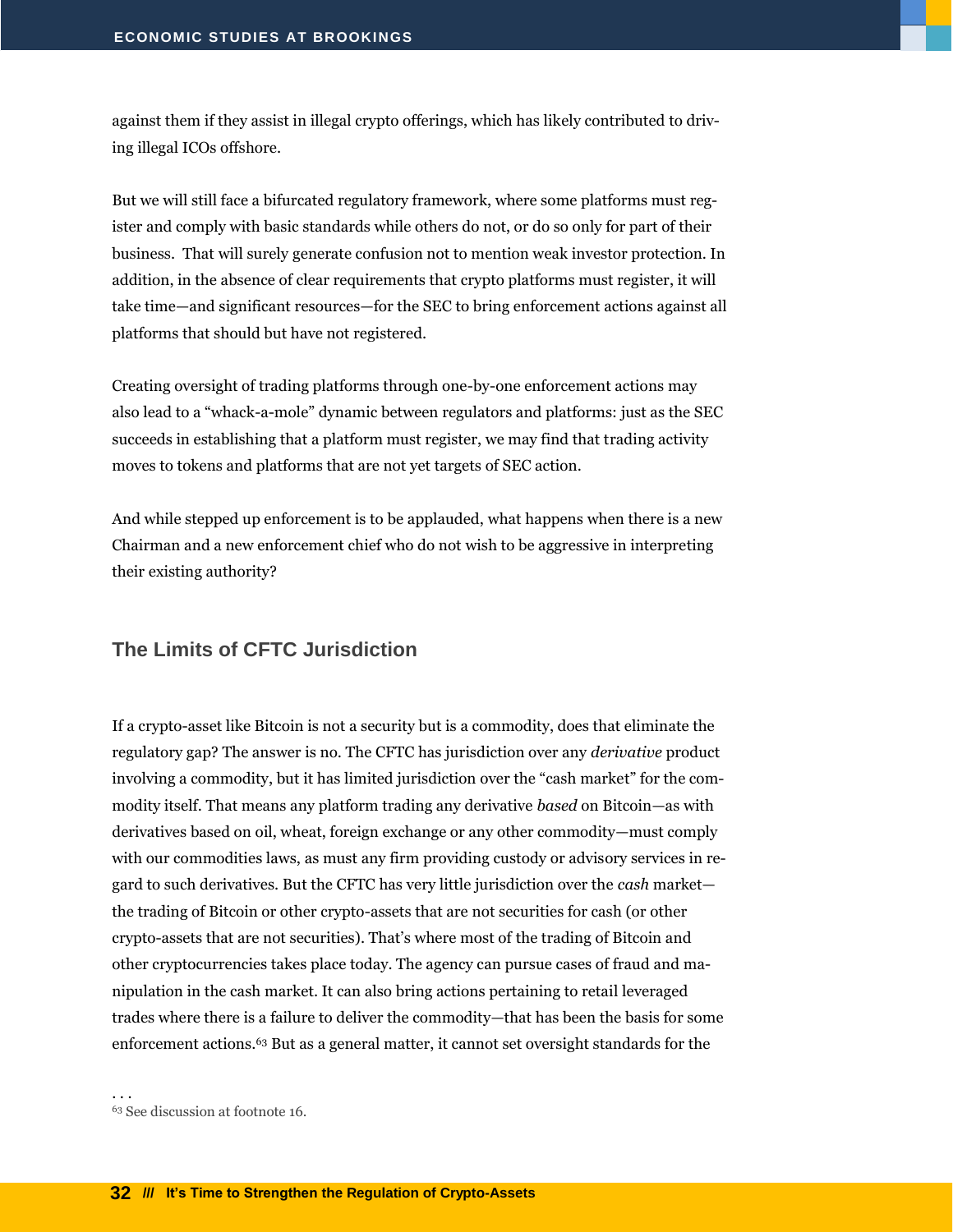against them if they assist in illegal crypto offerings, which has likely contributed to driving illegal ICOs offshore.

But we will still face a bifurcated regulatory framework, where some platforms must register and comply with basic standards while others do not, or do so only for part of their business. That will surely generate confusion not to mention weak investor protection. In addition, in the absence of clear requirements that crypto platforms must register, it will take time—and significant resources—for the SEC to bring enforcement actions against all platforms that should but have not registered.

Creating oversight of trading platforms through one-by-one enforcement actions may also lead to a "whack-a-mole" dynamic between regulators and platforms: just as the SEC succeeds in establishing that a platform must register, we may find that trading activity moves to tokens and platforms that are not yet targets of SEC action.

And while stepped up enforcement is to be applauded, what happens when there is a new Chairman and a new enforcement chief who do not wish to be aggressive in interpreting their existing authority?

#### <span id="page-33-0"></span>**The Limits of CFTC Jurisdiction**

If a crypto-asset like Bitcoin is not a security but is a commodity, does that eliminate the regulatory gap? The answer is no. The CFTC has jurisdiction over any *derivative* product involving a commodity, but it has limited jurisdiction over the "cash market" for the commodity itself. That means any platform trading any derivative *based* on Bitcoin—as with derivatives based on oil, wheat, foreign exchange or any other commodity—must comply with our commodities laws, as must any firm providing custody or advisory services in regard to such derivatives. But the CFTC has very little jurisdiction over the *cash* market the trading of Bitcoin or other crypto-assets that are not securities for cash (or other crypto-assets that are not securities). That's where most of the trading of Bitcoin and other cryptocurrencies takes place today. The agency can pursue cases of fraud and manipulation in the cash market. It can also bring actions pertaining to retail leveraged trades where there is a failure to deliver the commodity—that has been the basis for some enforcement actions.<sup>63</sup> But as a general matter, it cannot set oversight standards for the

<sup>63</sup> See discussion at footnote 16.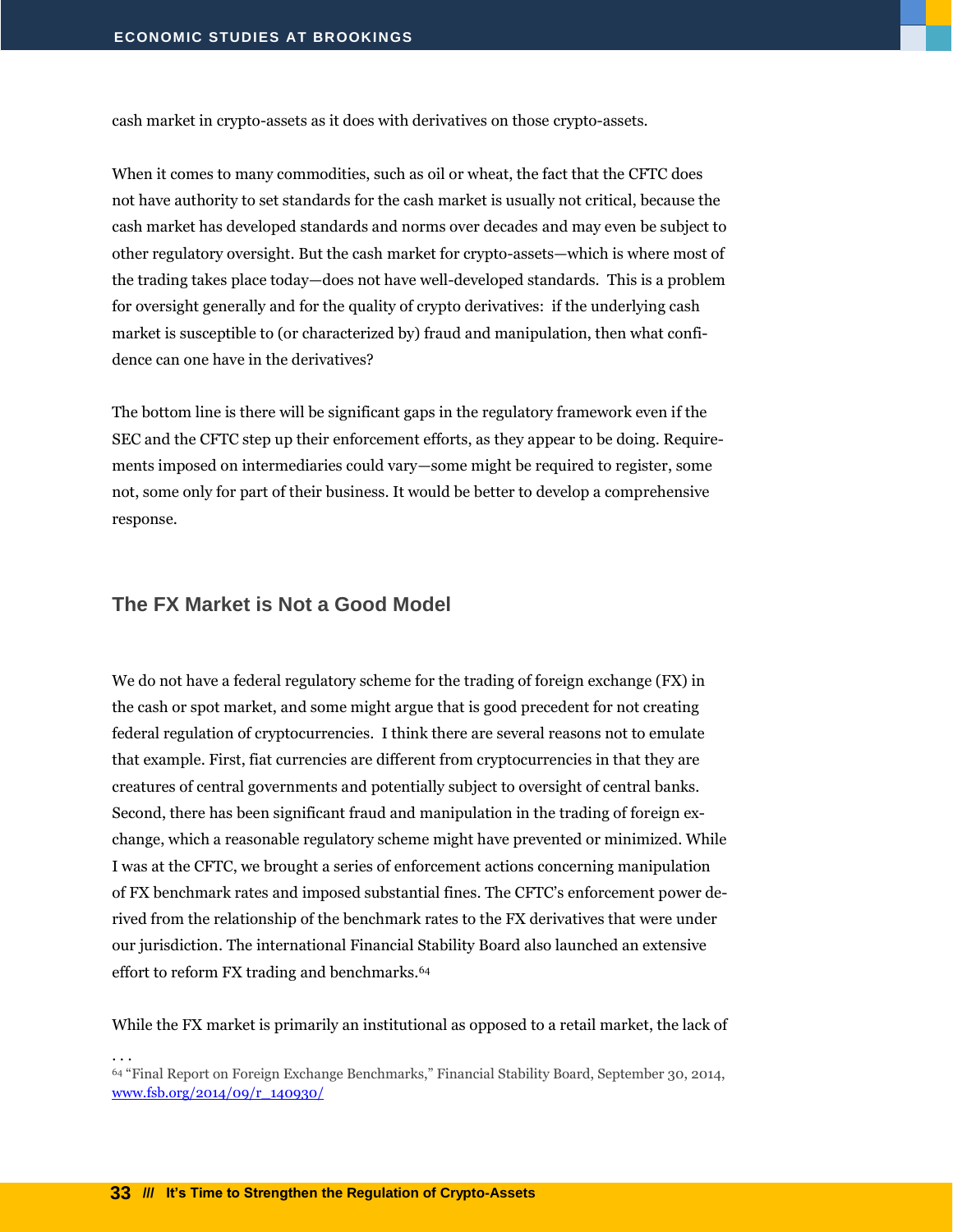cash market in crypto-assets as it does with derivatives on those crypto-assets.

When it comes to many commodities, such as oil or wheat, the fact that the CFTC does not have authority to set standards for the cash market is usually not critical, because the cash market has developed standards and norms over decades and may even be subject to other regulatory oversight. But the cash market for crypto-assets—which is where most of the trading takes place today—does not have well-developed standards. This is a problem for oversight generally and for the quality of crypto derivatives: if the underlying cash market is susceptible to (or characterized by) fraud and manipulation, then what confidence can one have in the derivatives?

The bottom line is there will be significant gaps in the regulatory framework even if the SEC and the CFTC step up their enforcement efforts, as they appear to be doing. Requirements imposed on intermediaries could vary—some might be required to register, some not, some only for part of their business. It would be better to develop a comprehensive response.

#### <span id="page-34-0"></span>**The FX Market is Not a Good Model**

We do not have a federal regulatory scheme for the trading of foreign exchange (FX) in the cash or spot market, and some might argue that is good precedent for not creating federal regulation of cryptocurrencies. I think there are several reasons not to emulate that example. First, fiat currencies are different from cryptocurrencies in that they are creatures of central governments and potentially subject to oversight of central banks. Second, there has been significant fraud and manipulation in the trading of foreign exchange, which a reasonable regulatory scheme might have prevented or minimized. While I was at the CFTC, we brought a series of enforcement actions concerning manipulation of FX benchmark rates and imposed substantial fines. The CFTC's enforcement power derived from the relationship of the benchmark rates to the FX derivatives that were under our jurisdiction. The international Financial Stability Board also launched an extensive effort to reform FX trading and benchmarks.<sup>64</sup>

While the FX market is primarily an institutional as opposed to a retail market, the lack of

. . .

<sup>64</sup> "Final Report on Foreign Exchange Benchmarks," Financial Stability Board, September 30, 2014, [www.fsb.org/2014/09/r\\_140930/](http://www.fsb.org/2014/09/r_140930/)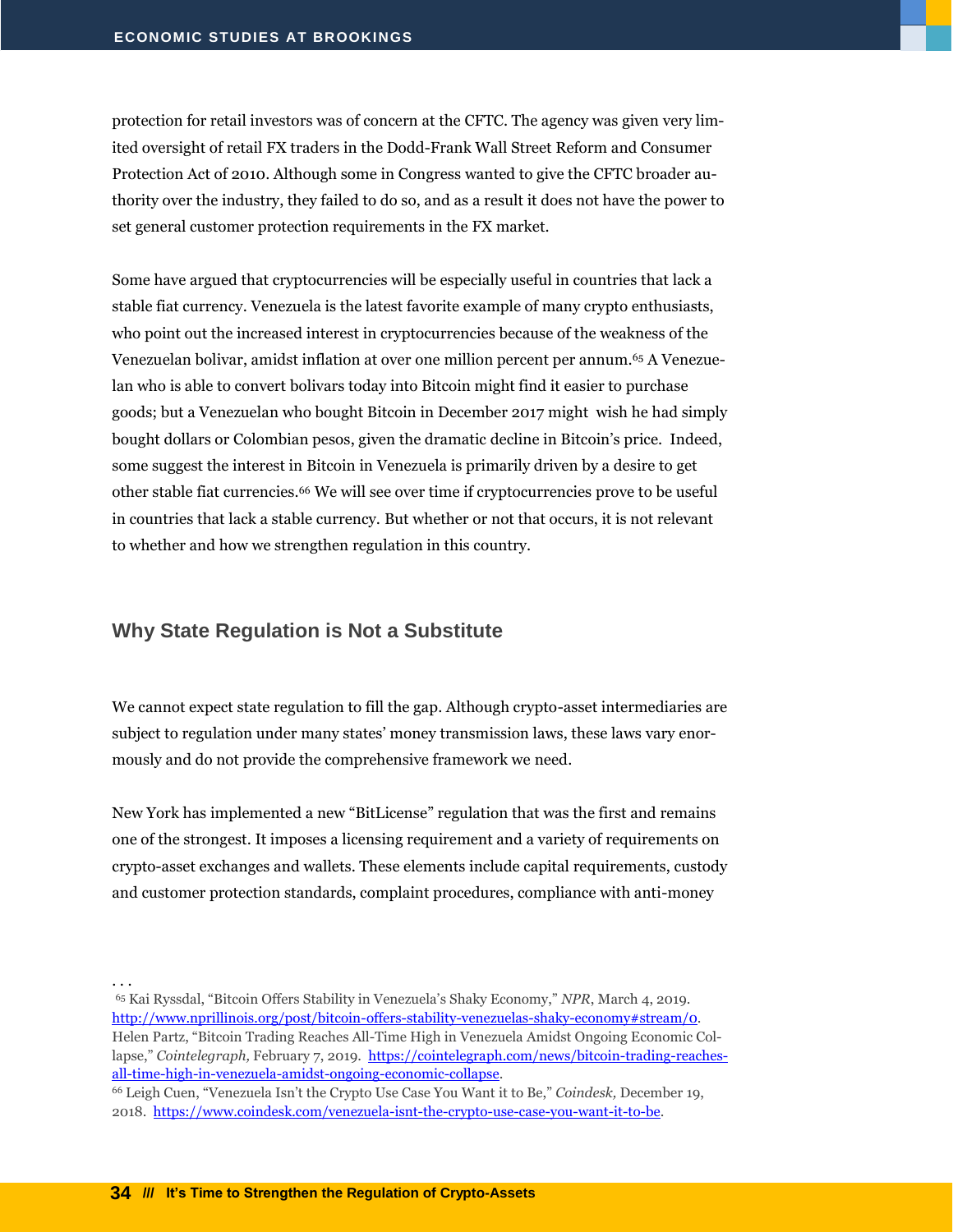protection for retail investors was of concern at the CFTC. The agency was given very limited oversight of retail FX traders in the Dodd-Frank Wall Street Reform and Consumer Protection Act of 2010. Although some in Congress wanted to give the CFTC broader authority over the industry, they failed to do so, and as a result it does not have the power to set general customer protection requirements in the FX market.

Some have argued that cryptocurrencies will be especially useful in countries that lack a stable fiat currency. Venezuela is the latest favorite example of many crypto enthusiasts, who point out the increased interest in cryptocurrencies because of the weakness of the Venezuelan bolivar, amidst inflation at over one million percent per annum.<sup>65</sup> A Venezuelan who is able to convert bolivars today into Bitcoin might find it easier to purchase goods; but a Venezuelan who bought Bitcoin in December 2017 might wish he had simply bought dollars or Colombian pesos, given the dramatic decline in Bitcoin's price. Indeed, some suggest the interest in Bitcoin in Venezuela is primarily driven by a desire to get other stable fiat currencies.<sup>66</sup> We will see over time if cryptocurrencies prove to be useful in countries that lack a stable currency. But whether or not that occurs, it is not relevant to whether and how we strengthen regulation in this country.

#### <span id="page-35-0"></span>**Why State Regulation is Not a Substitute**

We cannot expect state regulation to fill the gap. Although crypto-asset intermediaries are subject to regulation under many states' money transmission laws, these laws vary enormously and do not provide the comprehensive framework we need.

New York has implemented a new "BitLicense" regulation that was the first and remains one of the strongest. It imposes a licensing requirement and a variety of requirements on crypto-asset exchanges and wallets. These elements include capital requirements, custody and customer protection standards, complaint procedures, compliance with anti-money

. . .

<sup>65</sup> Kai Ryssdal, "Bitcoin Offers Stability in Venezuela's Shaky Economy," *NPR*, March 4, 2019. [http://www.nprillinois.org/post/bitcoin-offers-stability-venezuelas-shaky-economy#stream/0.](http://www.nprillinois.org/post/bitcoin-offers-stability-venezuelas-shaky-economy#stream/0)  Helen Partz, "Bitcoin Trading Reaches All-Time High in Venezuela Amidst Ongoing Economic Collapse," *Cointelegraph,* February 7, 2019. [https://cointelegraph.com/news/bitcoin-trading-reaches](https://cointelegraph.com/news/bitcoin-trading-reaches-all-time-high-in-venezuela-amidst-ongoing-economic-collapse)[all-time-high-in-venezuela-amidst-ongoing-economic-collapse.](https://cointelegraph.com/news/bitcoin-trading-reaches-all-time-high-in-venezuela-amidst-ongoing-economic-collapse)

<sup>66</sup> Leigh Cuen, "Venezuela Isn't the Crypto Use Case You Want it to Be," *Coindesk,* December 19, 2018. [https://www.coindesk.com/venezuela-isnt-the-crypto-use-case-you-want-it-to-be.](https://www.coindesk.com/venezuela-isnt-the-crypto-use-case-you-want-it-to-be)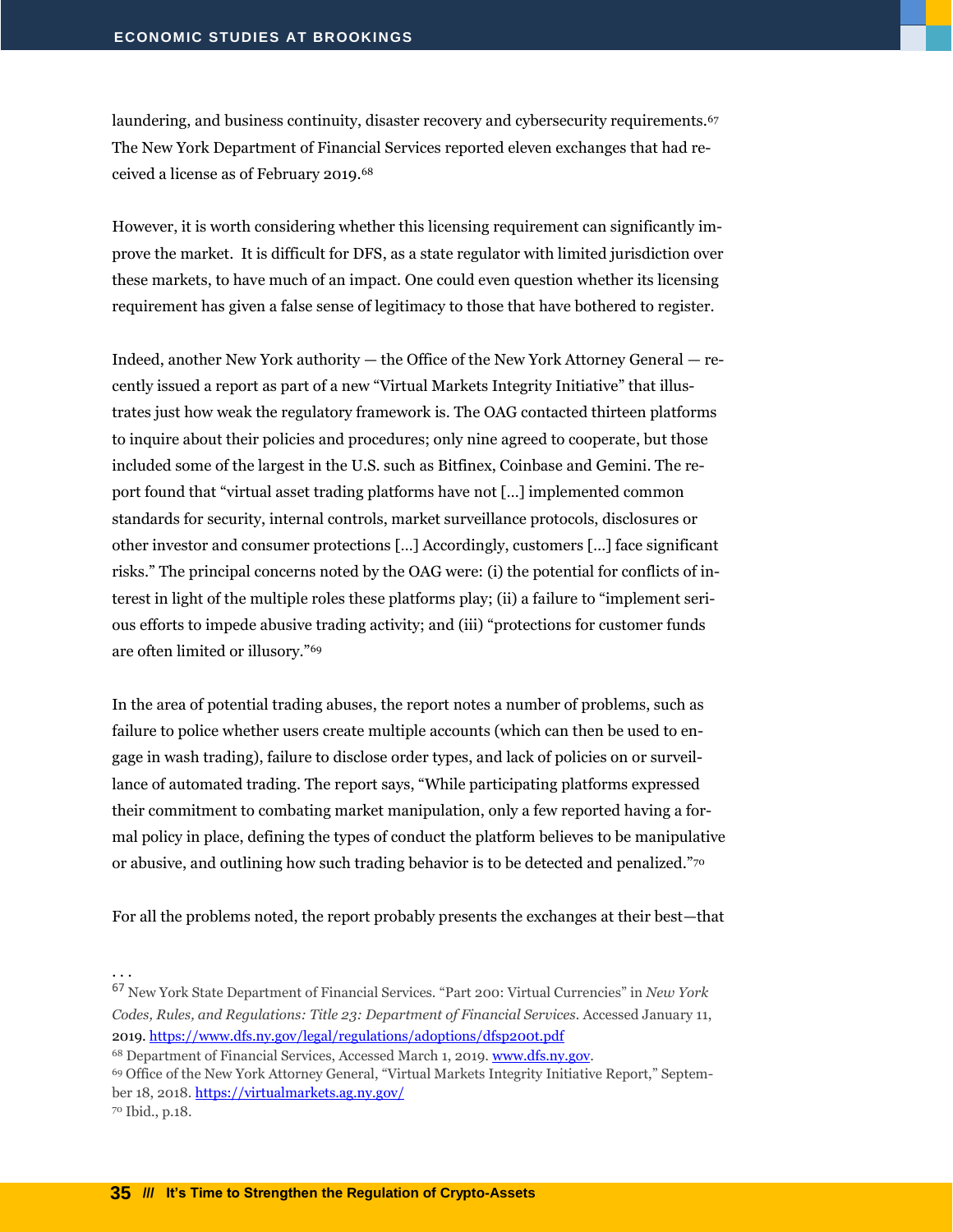laundering, and business continuity, disaster recovery and cybersecurity requirements.<sup>67</sup> The New York Department of Financial Services reported eleven exchanges that had received a license as of February 2019.<sup>68</sup>

However, it is worth considering whether this licensing requirement can significantly improve the market. It is difficult for DFS, as a state regulator with limited jurisdiction over these markets, to have much of an impact. One could even question whether its licensing requirement has given a false sense of legitimacy to those that have bothered to register.

Indeed, another New York authority — the Office of the New York Attorney General — recently issued a report as part of a new "Virtual Markets Integrity Initiative" that illustrates just how weak the regulatory framework is. The OAG contacted thirteen platforms to inquire about their policies and procedures; only nine agreed to cooperate, but those included some of the largest in the U.S. such as Bitfinex, Coinbase and Gemini. The report found that "virtual asset trading platforms have not […] implemented common standards for security, internal controls, market surveillance protocols, disclosures or other investor and consumer protections […] Accordingly, customers […] face significant risks." The principal concerns noted by the OAG were: (i) the potential for conflicts of interest in light of the multiple roles these platforms play; (ii) a failure to "implement serious efforts to impede abusive trading activity; and (iii) "protections for customer funds are often limited or illusory."<sup>69</sup>

In the area of potential trading abuses, the report notes a number of problems, such as failure to police whether users create multiple accounts (which can then be used to engage in wash trading), failure to disclose order types, and lack of policies on or surveillance of automated trading. The report says, "While participating platforms expressed their commitment to combating market manipulation, only a few reported having a formal policy in place, defining the types of conduct the platform believes to be manipulative or abusive, and outlining how such trading behavior is to be detected and penalized."<sup>70</sup>

For all the problems noted, the report probably presents the exchanges at their best—that

. . .

<sup>68</sup> Department of Financial Services, Accessed March 1, 2019[. www.dfs.ny.gov.](http://www.dfs.ny.gov/)

<sup>69</sup> Office of the New York Attorney General, "Virtual Markets Integrity Initiative Report," September 18, 2018[. https://virtualmarkets.ag.ny.gov/](https://virtualmarkets.ag.ny.gov/)

<sup>70</sup> Ibid., p.18.

<sup>67</sup> New York State Department of Financial Services. "Part 200: Virtual Currencies" in *New York Codes, Rules, and Regulations: Title 23: Department of Financial Services.* Accessed January 11, 2019.<https://www.dfs.ny.gov/legal/regulations/adoptions/dfsp200t.pdf>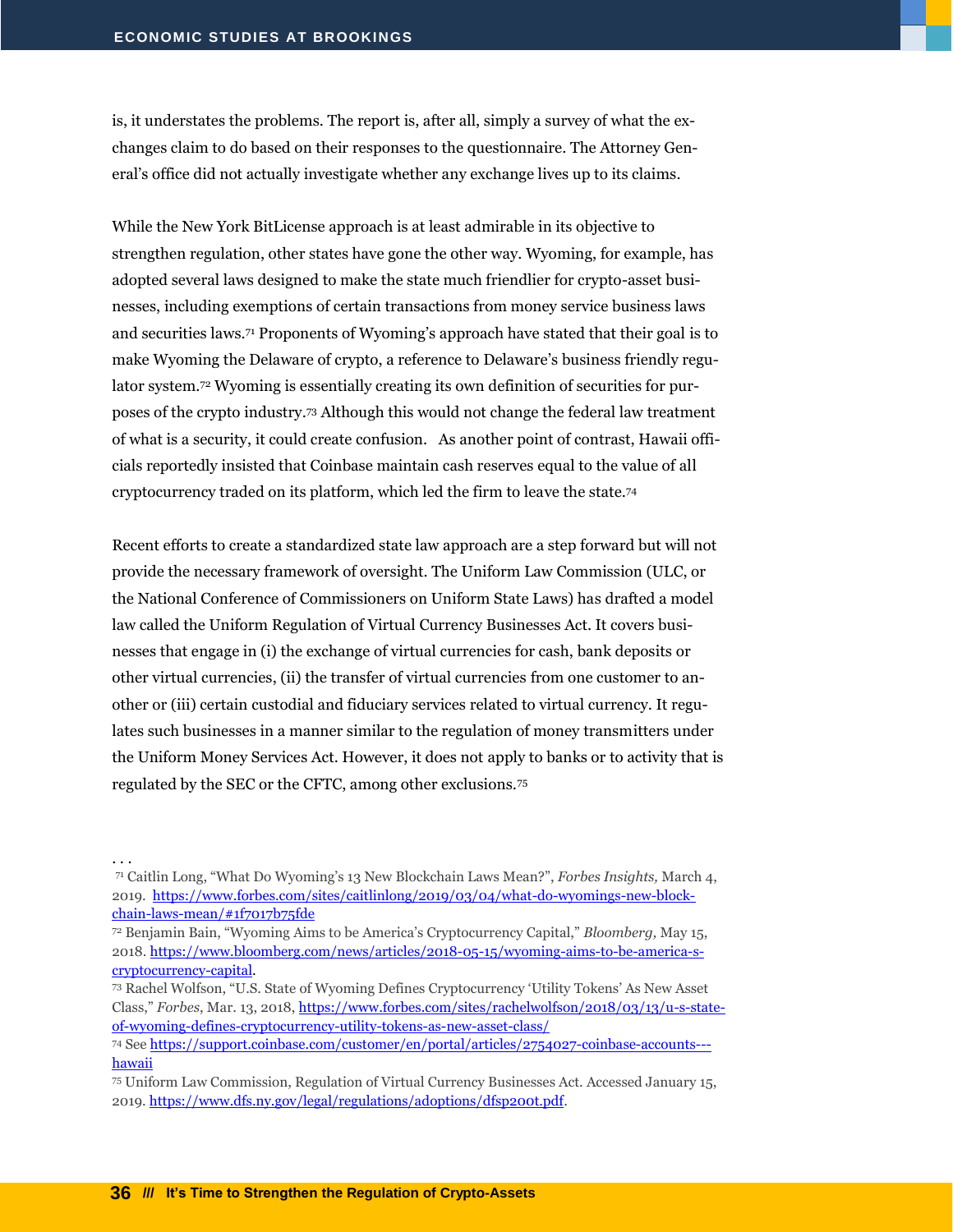is, it understates the problems. The report is, after all, simply a survey of what the exchanges claim to do based on their responses to the questionnaire. The Attorney General's office did not actually investigate whether any exchange lives up to its claims.

While the New York BitLicense approach is at least admirable in its objective to strengthen regulation, other states have gone the other way. Wyoming, for example, has adopted several laws designed to make the state much friendlier for crypto-asset businesses, including exemptions of certain transactions from money service business laws and securities laws.<sup>71</sup> Proponents of Wyoming's approach have stated that their goal is to make Wyoming the Delaware of crypto, a reference to Delaware's business friendly regulator system.<sup>72</sup> Wyoming is essentially creating its own definition of securities for purposes of the crypto industry.<sup>73</sup> Although this would not change the federal law treatment of what is a security, it could create confusion. As another point of contrast, Hawaii officials reportedly insisted that Coinbase maintain cash reserves equal to the value of all cryptocurrency traded on its platform, which led the firm to leave the state.<sup>74</sup>

Recent efforts to create a standardized state law approach are a step forward but will not provide the necessary framework of oversight. The Uniform Law Commission (ULC, or the National Conference of Commissioners on Uniform State Laws) has drafted a model law called the Uniform Regulation of Virtual Currency Businesses Act. It covers businesses that engage in (i) the exchange of virtual currencies for cash, bank deposits or other virtual currencies, (ii) the transfer of virtual currencies from one customer to another or (iii) certain custodial and fiduciary services related to virtual currency. It regulates such businesses in a manner similar to the regulation of money transmitters under the Uniform Money Services Act. However, it does not apply to banks or to activity that is regulated by the SEC or the CFTC, among other exclusions.<sup>75</sup>

<sup>71</sup> Caitlin Long, "What Do Wyoming's 13 New Blockchain Laws Mean?", *Forbes Insights,* March 4, 2019. [https://www.forbes.com/sites/caitlinlong/2019/03/04/what-do-wyomings-new-block](https://www.forbes.com/sites/caitlinlong/2019/03/04/what-do-wyomings-new-blockchain-laws-mean/#1f7017b75fde)[chain-laws-mean/#1f7017b75fde](https://www.forbes.com/sites/caitlinlong/2019/03/04/what-do-wyomings-new-blockchain-laws-mean/#1f7017b75fde)

<sup>72</sup> Benjamin Bain, "Wyoming Aims to be America's Cryptocurrency Capital," *Bloomberg,* May 15, 2018[. https://www.bloomberg.com/news/articles/2018-05-15/wyoming-aims-to-be-america-s](https://www.bloomberg.com/news/articles/2018-05-15/wyoming-aims-to-be-america-s-cryptocurrency-capital)[cryptocurrency-capital.](https://www.bloomberg.com/news/articles/2018-05-15/wyoming-aims-to-be-america-s-cryptocurrency-capital)

<sup>73</sup> Rachel Wolfson, "U.S. State of Wyoming Defines Cryptocurrency 'Utility Tokens' As New Asset Class," *Forbes*, Mar. 13, 2018, [https://www.forbes.com/sites/rachelwolfson/2018/03/13/u-s-state](https://www.forbes.com/sites/rachelwolfson/2018/03/13/u-s-state-of-wyoming-defines-cryptocurrency-utility-tokens-as-new-asset-class/)[of-wyoming-defines-cryptocurrency-utility-tokens-as-new-asset-class/](https://www.forbes.com/sites/rachelwolfson/2018/03/13/u-s-state-of-wyoming-defines-cryptocurrency-utility-tokens-as-new-asset-class/)

<sup>74</sup> Se[e https://support.coinbase.com/customer/en/portal/articles/2754027-coinbase-accounts--](https://support.coinbase.com/customer/en/portal/articles/2754027-coinbase-accounts---hawaii) [hawaii](https://support.coinbase.com/customer/en/portal/articles/2754027-coinbase-accounts---hawaii) 

<sup>75</sup> Uniform Law Commission, Regulation of Virtual Currency Businesses Act. Accessed January 15, 2019. [https://www.dfs.ny.gov/legal/regulations/adoptions/dfsp200t.pdf.](https://www.dfs.ny.gov/legal/regulations/adoptions/dfsp200t.pdf)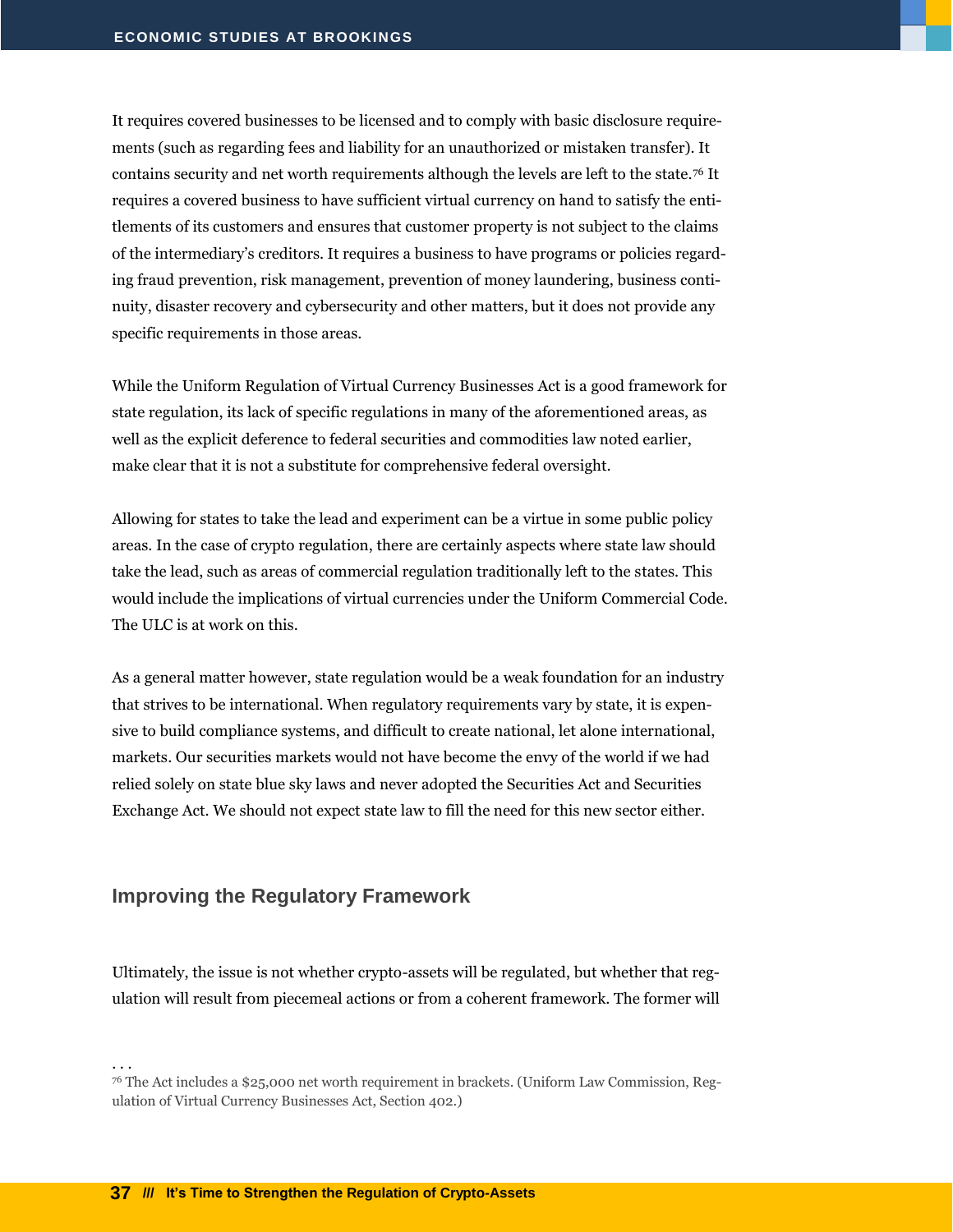It requires covered businesses to be licensed and to comply with basic disclosure requirements (such as regarding fees and liability for an unauthorized or mistaken transfer). It contains security and net worth requirements although the levels are left to the state.<sup>76</sup> It requires a covered business to have sufficient virtual currency on hand to satisfy the entitlements of its customers and ensures that customer property is not subject to the claims of the intermediary's creditors. It requires a business to have programs or policies regarding fraud prevention, risk management, prevention of money laundering, business continuity, disaster recovery and cybersecurity and other matters, but it does not provide any specific requirements in those areas.

While the Uniform Regulation of Virtual Currency Businesses Act is a good framework for state regulation, its lack of specific regulations in many of the aforementioned areas, as well as the explicit deference to federal securities and commodities law noted earlier, make clear that it is not a substitute for comprehensive federal oversight.

Allowing for states to take the lead and experiment can be a virtue in some public policy areas. In the case of crypto regulation, there are certainly aspects where state law should take the lead, such as areas of commercial regulation traditionally left to the states. This would include the implications of virtual currencies under the Uniform Commercial Code. The ULC is at work on this.

As a general matter however, state regulation would be a weak foundation for an industry that strives to be international. When regulatory requirements vary by state, it is expensive to build compliance systems, and difficult to create national, let alone international, markets. Our securities markets would not have become the envy of the world if we had relied solely on state blue sky laws and never adopted the Securities Act and Securities Exchange Act. We should not expect state law to fill the need for this new sector either.

#### <span id="page-38-0"></span>**Improving the Regulatory Framework**

Ultimately, the issue is not whether crypto-assets will be regulated, but whether that regulation will result from piecemeal actions or from a coherent framework. The former will

<sup>76</sup> The Act includes a \$25,000 net worth requirement in brackets. (Uniform Law Commission, Regulation of Virtual Currency Businesses Act, Section 402.)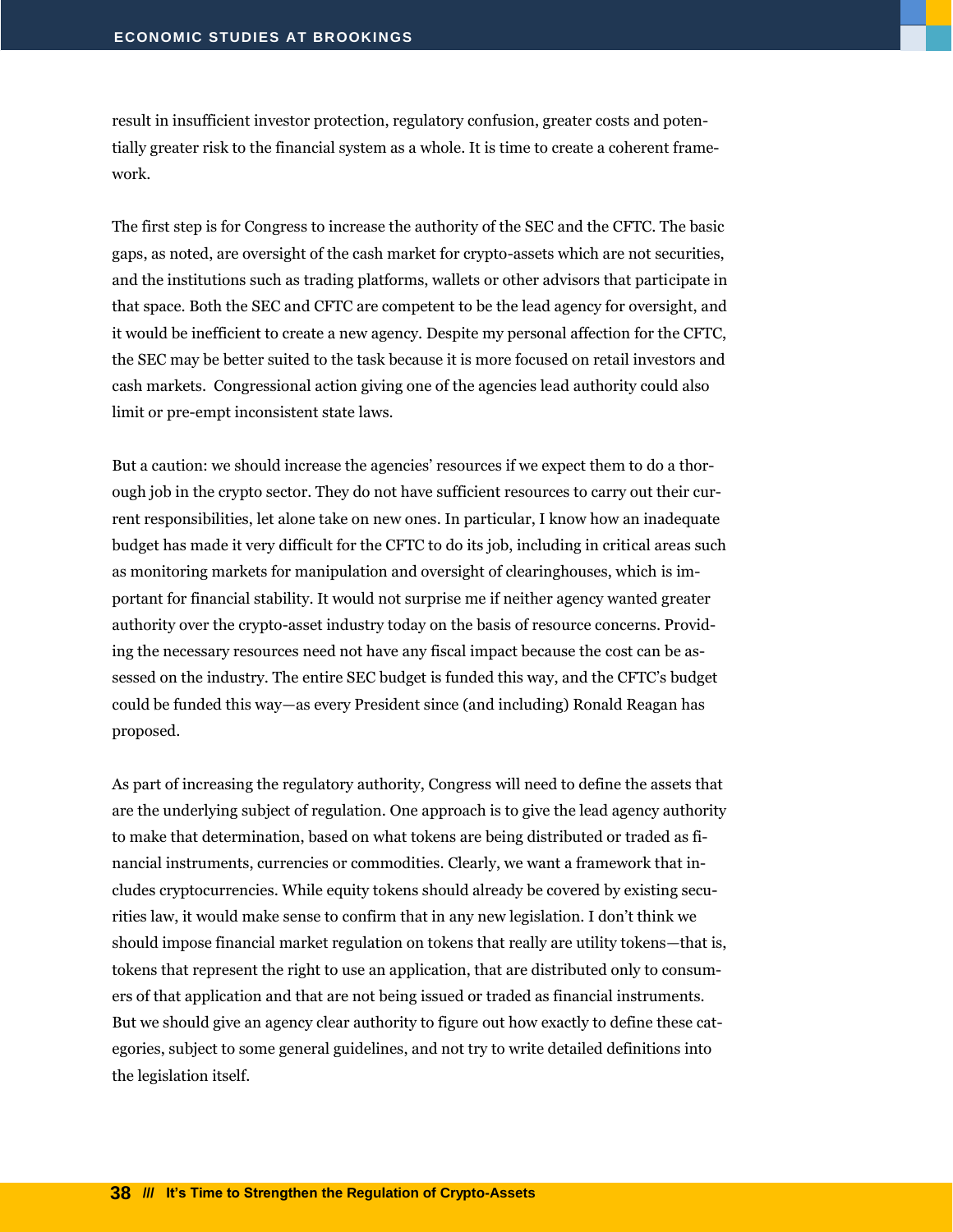result in insufficient investor protection, regulatory confusion, greater costs and potentially greater risk to the financial system as a whole. It is time to create a coherent framework.

The first step is for Congress to increase the authority of the SEC and the CFTC. The basic gaps, as noted, are oversight of the cash market for crypto-assets which are not securities, and the institutions such as trading platforms, wallets or other advisors that participate in that space. Both the SEC and CFTC are competent to be the lead agency for oversight, and it would be inefficient to create a new agency. Despite my personal affection for the CFTC, the SEC may be better suited to the task because it is more focused on retail investors and cash markets. Congressional action giving one of the agencies lead authority could also limit or pre-empt inconsistent state laws.

But a caution: we should increase the agencies' resources if we expect them to do a thorough job in the crypto sector. They do not have sufficient resources to carry out their current responsibilities, let alone take on new ones. In particular, I know how an inadequate budget has made it very difficult for the CFTC to do its job, including in critical areas such as monitoring markets for manipulation and oversight of clearinghouses, which is important for financial stability. It would not surprise me if neither agency wanted greater authority over the crypto-asset industry today on the basis of resource concerns. Providing the necessary resources need not have any fiscal impact because the cost can be assessed on the industry. The entire SEC budget is funded this way, and the CFTC's budget could be funded this way—as every President since (and including) Ronald Reagan has proposed.

As part of increasing the regulatory authority, Congress will need to define the assets that are the underlying subject of regulation. One approach is to give the lead agency authority to make that determination, based on what tokens are being distributed or traded as financial instruments, currencies or commodities. Clearly, we want a framework that includes cryptocurrencies. While equity tokens should already be covered by existing securities law, it would make sense to confirm that in any new legislation. I don't think we should impose financial market regulation on tokens that really are utility tokens—that is, tokens that represent the right to use an application, that are distributed only to consumers of that application and that are not being issued or traded as financial instruments. But we should give an agency clear authority to figure out how exactly to define these categories, subject to some general guidelines, and not try to write detailed definitions into the legislation itself.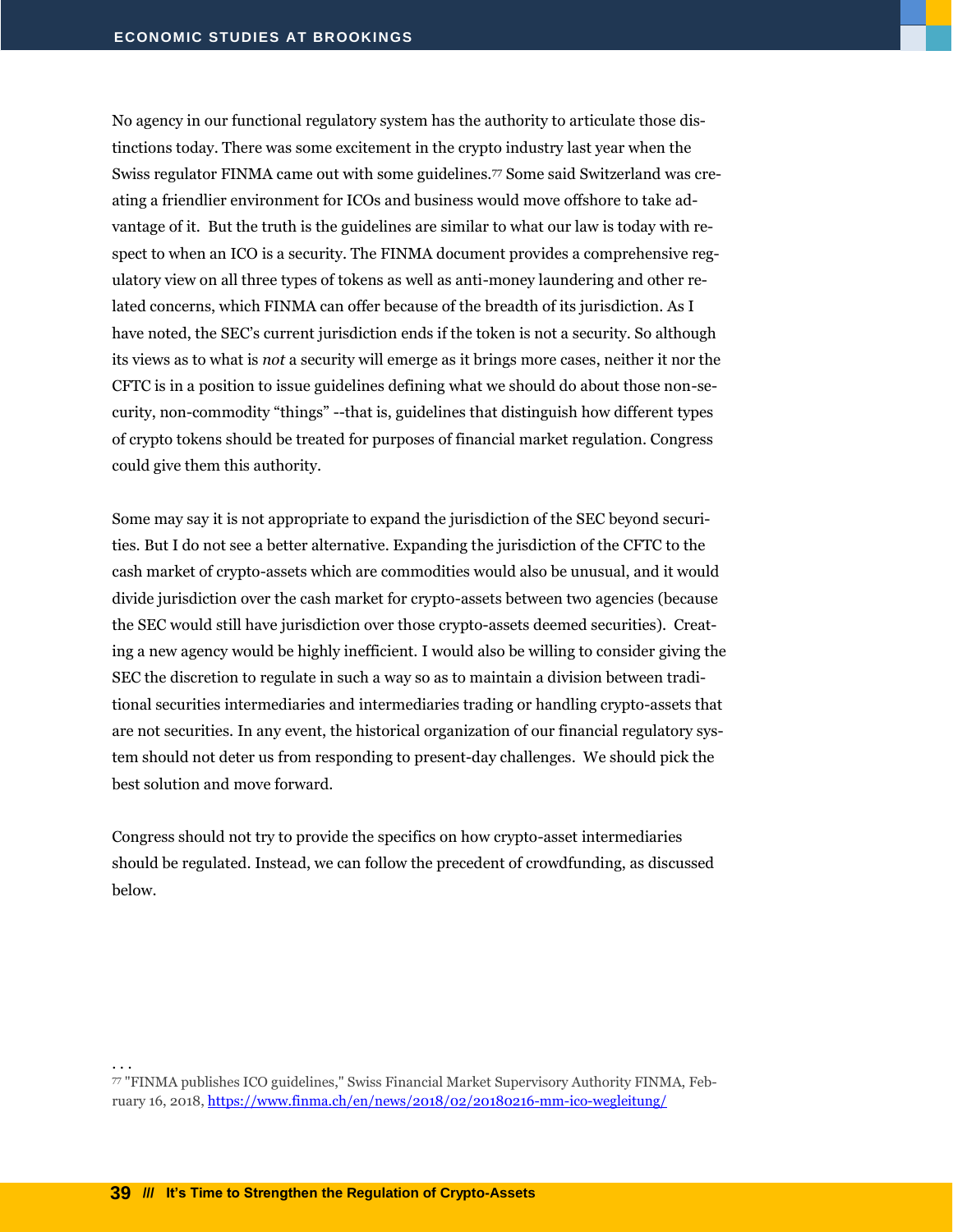No agency in our functional regulatory system has the authority to articulate those distinctions today. There was some excitement in the crypto industry last year when the Swiss regulator FINMA came out with some guidelines.<sup>77</sup> Some said Switzerland was creating a friendlier environment for ICOs and business would move offshore to take advantage of it. But the truth is the guidelines are similar to what our law is today with respect to when an ICO is a security. The FINMA document provides a comprehensive regulatory view on all three types of tokens as well as anti-money laundering and other related concerns, which FINMA can offer because of the breadth of its jurisdiction. As I have noted, the SEC's current jurisdiction ends if the token is not a security. So although its views as to what is *not* a security will emerge as it brings more cases, neither it nor the CFTC is in a position to issue guidelines defining what we should do about those non-security, non-commodity "things" --that is, guidelines that distinguish how different types of crypto tokens should be treated for purposes of financial market regulation. Congress could give them this authority.

Some may say it is not appropriate to expand the jurisdiction of the SEC beyond securities. But I do not see a better alternative. Expanding the jurisdiction of the CFTC to the cash market of crypto-assets which are commodities would also be unusual, and it would divide jurisdiction over the cash market for crypto-assets between two agencies (because the SEC would still have jurisdiction over those crypto-assets deemed securities). Creating a new agency would be highly inefficient. I would also be willing to consider giving the SEC the discretion to regulate in such a way so as to maintain a division between traditional securities intermediaries and intermediaries trading or handling crypto-assets that are not securities. In any event, the historical organization of our financial regulatory system should not deter us from responding to present-day challenges. We should pick the best solution and move forward.

Congress should not try to provide the specifics on how crypto-asset intermediaries should be regulated. Instead, we can follow the precedent of crowdfunding, as discussed below.

<sup>77</sup> "FINMA publishes ICO guidelines," Swiss Financial Market Supervisory Authority FINMA, February 16, 2018[, https://www.finma.ch/en/news/2018/02/20180216-mm-ico-wegleitung/](https://www.finma.ch/en/news/2018/02/20180216-mm-ico-wegleitung/)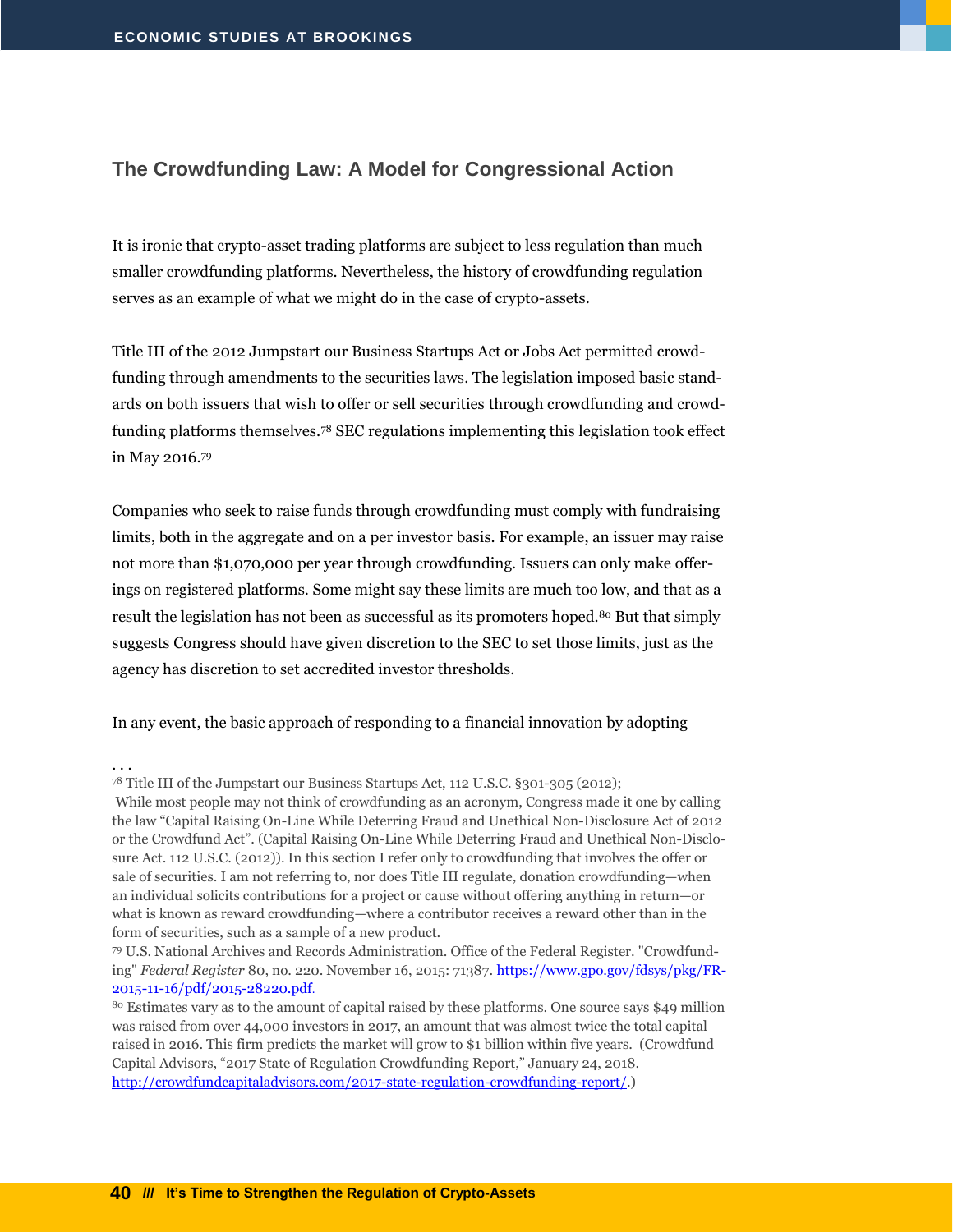#### <span id="page-41-0"></span>**The Crowdfunding Law: A Model for Congressional Action**

It is ironic that crypto-asset trading platforms are subject to less regulation than much smaller crowdfunding platforms. Nevertheless, the history of crowdfunding regulation serves as an example of what we might do in the case of crypto-assets.

Title III of the 2012 Jumpstart our Business Startups Act or Jobs Act permitted crowdfunding through amendments to the securities laws. The legislation imposed basic standards on both issuers that wish to offer or sell securities through crowdfunding and crowdfunding platforms themselves.<sup>78</sup> SEC regulations implementing this legislation took effect in May 2016.<sup>79</sup>

Companies who seek to raise funds through crowdfunding must comply with fundraising limits, both in the aggregate and on a per investor basis. For example, an issuer may raise not more than \$1,070,000 per year through crowdfunding. Issuers can only make offerings on registered platforms. Some might say these limits are much too low, and that as a result the legislation has not been as successful as its promoters hoped.<sup>80</sup> But that simply suggests Congress should have given discretion to the SEC to set those limits, just as the agency has discretion to set accredited investor thresholds.

In any event, the basic approach of responding to a financial innovation by adopting

<sup>78</sup> Title III of the Jumpstart our Business Startups Act, 112 U.S.C. §301-305 (2012);

While most people may not think of crowdfunding as an acronym, Congress made it one by calling the law "Capital Raising On-Line While Deterring Fraud and Unethical Non-Disclosure Act of 2012 or the Crowdfund Act". (Capital Raising On-Line While Deterring Fraud and Unethical Non-Disclosure Act. 112 U.S.C. (2012)). In this section I refer only to crowdfunding that involves the offer or sale of securities. I am not referring to, nor does Title III regulate, donation crowdfunding—when an individual solicits contributions for a project or cause without offering anything in return—or what is known as reward crowdfunding—where a contributor receives a reward other than in the form of securities, such as a sample of a new product.

<sup>79</sup> U.S. National Archives and Records Administration. Office of the Federal Register. "Crowdfunding" *Federal Register* 80, no. 220. November 16, 2015: 71387. [https://www.gpo.gov/fdsys/pkg/FR-](https://www.gpo.gov/fdsys/pkg/FR-2015-11-16/pdf/2015-28220.pdf)[2015-11-16/pdf/2015-28220.pdf](https://www.gpo.gov/fdsys/pkg/FR-2015-11-16/pdf/2015-28220.pdf).

<sup>80</sup> Estimates vary as to the amount of capital raised by these platforms. One source says \$49 million was raised from over 44,000 investors in 2017, an amount that was almost twice the total capital raised in 2016. This firm predicts the market will grow to \$1 billion within five years. (Crowdfund Capital Advisors, "2017 State of Regulation Crowdfunding Report," January 24, 2018. [http://crowdfundcapitaladvisors.com/2017-state-regulation-crowdfunding-report/.](http://crowdfundcapitaladvisors.com/2017-state-regulation-crowdfunding-report/))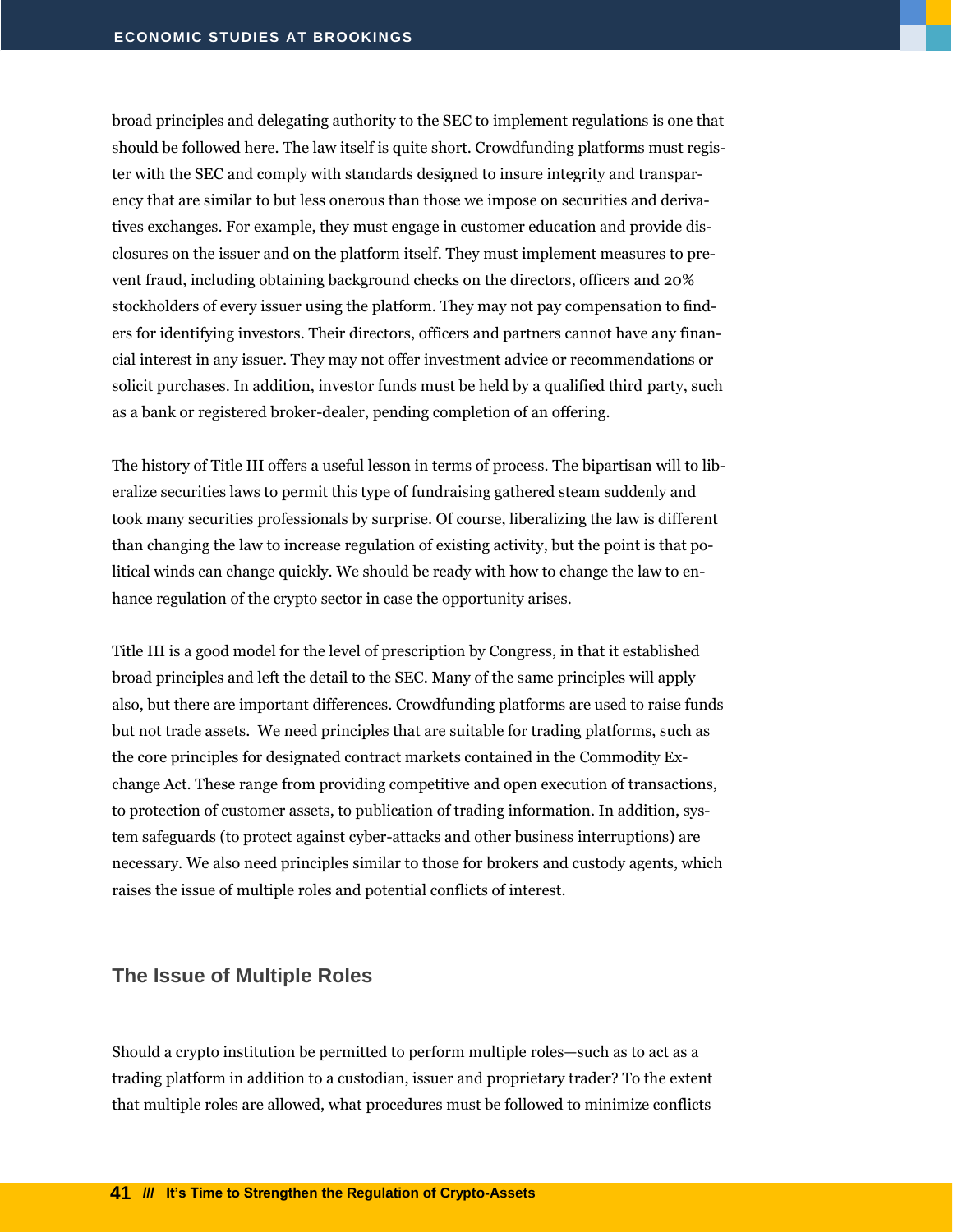broad principles and delegating authority to the SEC to implement regulations is one that should be followed here. The law itself is quite short. Crowdfunding platforms must register with the SEC and comply with standards designed to insure integrity and transparency that are similar to but less onerous than those we impose on securities and derivatives exchanges. For example, they must engage in customer education and provide disclosures on the issuer and on the platform itself. They must implement measures to prevent fraud, including obtaining background checks on the directors, officers and 20% stockholders of every issuer using the platform. They may not pay compensation to finders for identifying investors. Their directors, officers and partners cannot have any financial interest in any issuer. They may not offer investment advice or recommendations or solicit purchases. In addition, investor funds must be held by a qualified third party, such as a bank or registered broker-dealer, pending completion of an offering.

The history of Title III offers a useful lesson in terms of process. The bipartisan will to liberalize securities laws to permit this type of fundraising gathered steam suddenly and took many securities professionals by surprise. Of course, liberalizing the law is different than changing the law to increase regulation of existing activity, but the point is that political winds can change quickly. We should be ready with how to change the law to enhance regulation of the crypto sector in case the opportunity arises.

Title III is a good model for the level of prescription by Congress, in that it established broad principles and left the detail to the SEC. Many of the same principles will apply also, but there are important differences. Crowdfunding platforms are used to raise funds but not trade assets. We need principles that are suitable for trading platforms, such as the core principles for designated contract markets contained in the Commodity Exchange Act. These range from providing competitive and open execution of transactions, to protection of customer assets, to publication of trading information. In addition, system safeguards (to protect against cyber-attacks and other business interruptions) are necessary. We also need principles similar to those for brokers and custody agents, which raises the issue of multiple roles and potential conflicts of interest.

#### <span id="page-42-0"></span>**The Issue of Multiple Roles**

Should a crypto institution be permitted to perform multiple roles—such as to act as a trading platform in addition to a custodian, issuer and proprietary trader? To the extent that multiple roles are allowed, what procedures must be followed to minimize conflicts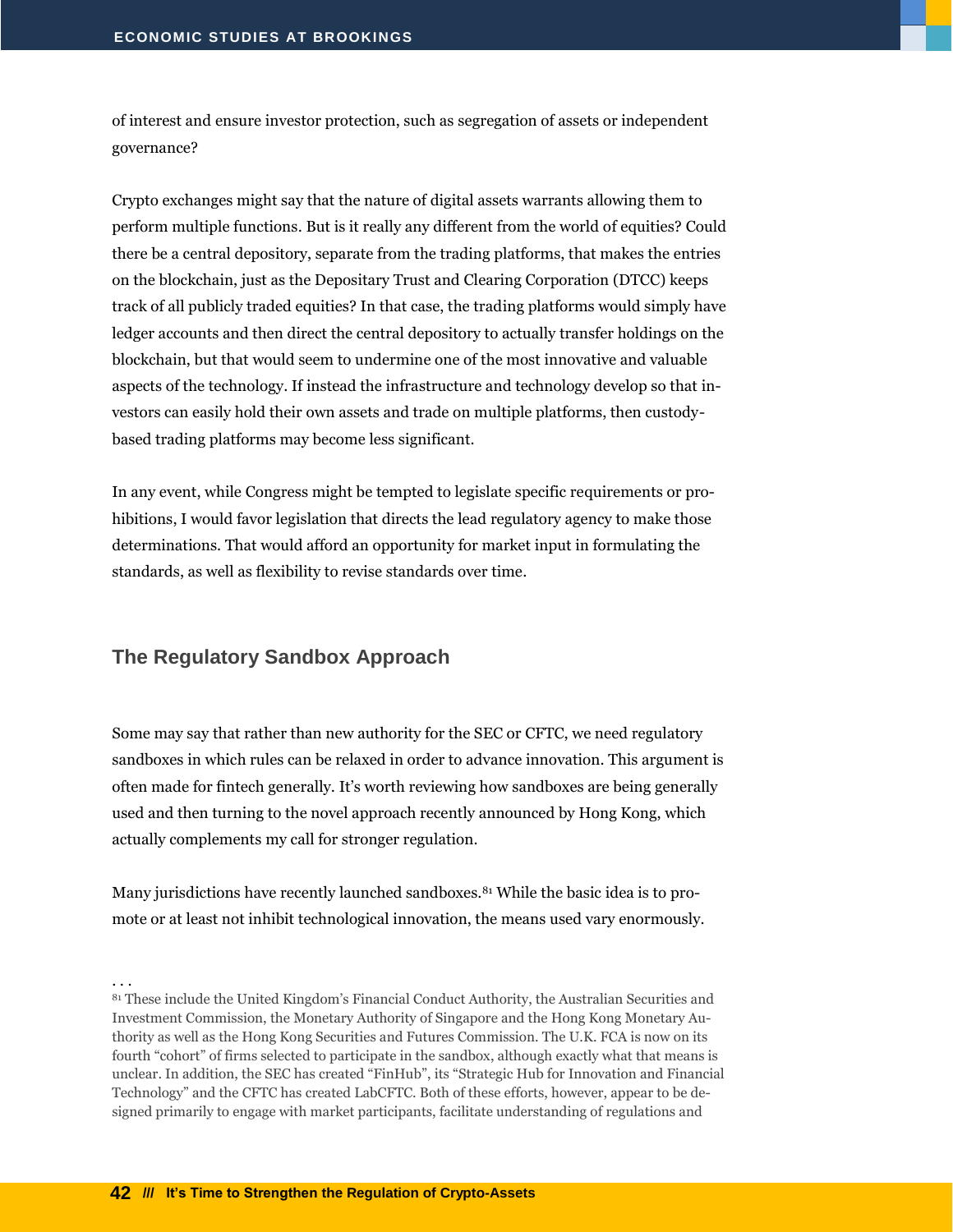of interest and ensure investor protection, such as segregation of assets or independent governance?

Crypto exchanges might say that the nature of digital assets warrants allowing them to perform multiple functions. But is it really any different from the world of equities? Could there be a central depository, separate from the trading platforms, that makes the entries on the blockchain, just as the Depositary Trust and Clearing Corporation (DTCC) keeps track of all publicly traded equities? In that case, the trading platforms would simply have ledger accounts and then direct the central depository to actually transfer holdings on the blockchain, but that would seem to undermine one of the most innovative and valuable aspects of the technology. If instead the infrastructure and technology develop so that investors can easily hold their own assets and trade on multiple platforms, then custodybased trading platforms may become less significant.

In any event, while Congress might be tempted to legislate specific requirements or prohibitions, I would favor legislation that directs the lead regulatory agency to make those determinations. That would afford an opportunity for market input in formulating the standards, as well as flexibility to revise standards over time.

#### <span id="page-43-0"></span>**The Regulatory Sandbox Approach**

Some may say that rather than new authority for the SEC or CFTC, we need regulatory sandboxes in which rules can be relaxed in order to advance innovation. This argument is often made for fintech generally. It's worth reviewing how sandboxes are being generally used and then turning to the novel approach recently announced by Hong Kong, which actually complements my call for stronger regulation.

Many jurisdictions have recently launched sandboxes.<sup>81</sup> While the basic idea is to promote or at least not inhibit technological innovation, the means used vary enormously.

<sup>81</sup> These include the United Kingdom's Financial Conduct Authority, the Australian Securities and Investment Commission, the Monetary Authority of Singapore and the Hong Kong Monetary Authority as well as the Hong Kong Securities and Futures Commission. The U.K. FCA is now on its fourth "cohort" of firms selected to participate in the sandbox, although exactly what that means is unclear. In addition, the SEC has created "FinHub", its "Strategic Hub for Innovation and Financial Technology" and the CFTC has created LabCFTC. Both of these efforts, however, appear to be designed primarily to engage with market participants, facilitate understanding of regulations and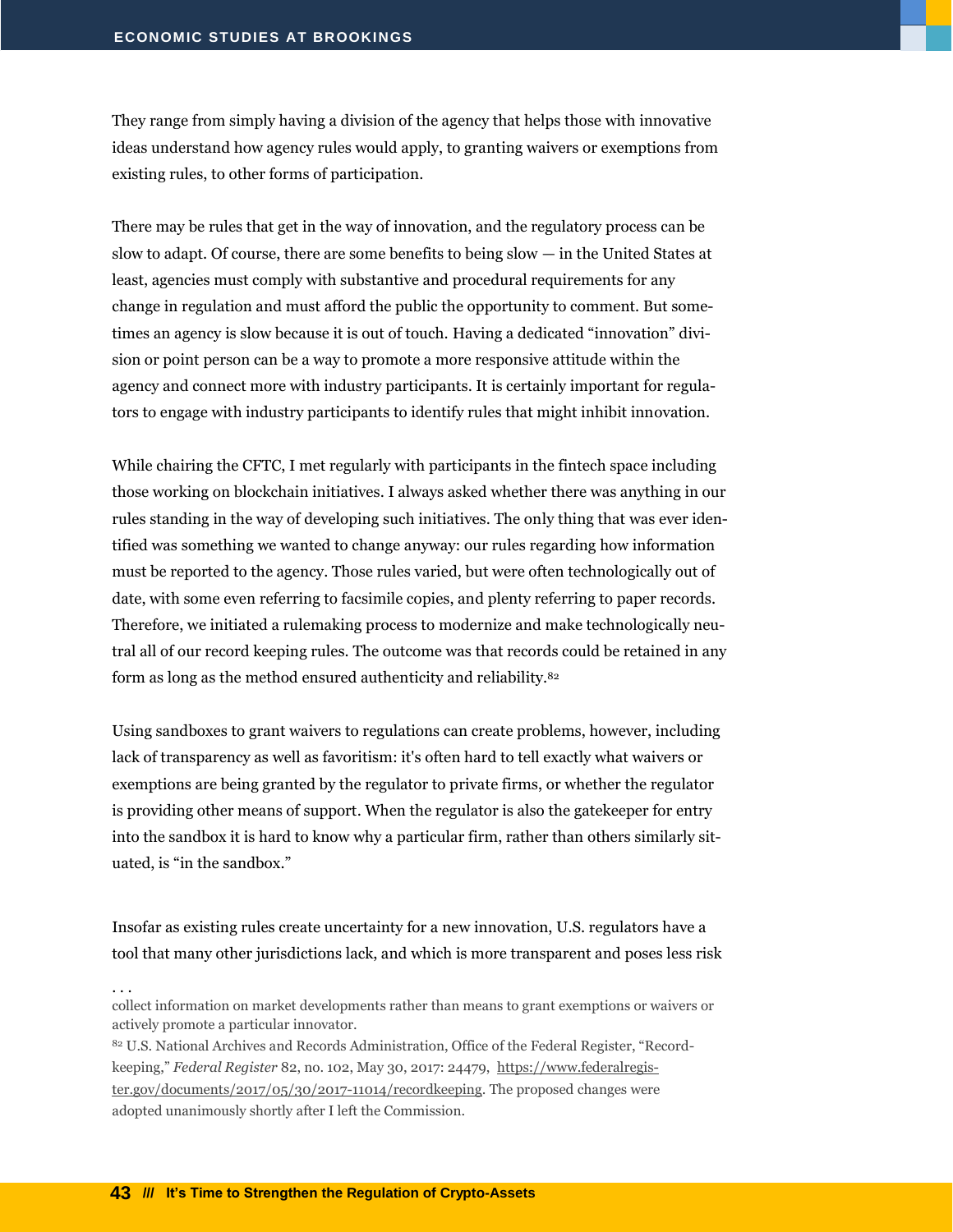They range from simply having a division of the agency that helps those with innovative ideas understand how agency rules would apply, to granting waivers or exemptions from existing rules, to other forms of participation.

There may be rules that get in the way of innovation, and the regulatory process can be slow to adapt. Of course, there are some benefits to being slow — in the United States at least, agencies must comply with substantive and procedural requirements for any change in regulation and must afford the public the opportunity to comment. But sometimes an agency is slow because it is out of touch. Having a dedicated "innovation" division or point person can be a way to promote a more responsive attitude within the agency and connect more with industry participants. It is certainly important for regulators to engage with industry participants to identify rules that might inhibit innovation.

While chairing the CFTC, I met regularly with participants in the fintech space including those working on blockchain initiatives. I always asked whether there was anything in our rules standing in the way of developing such initiatives. The only thing that was ever identified was something we wanted to change anyway: our rules regarding how information must be reported to the agency. Those rules varied, but were often technologically out of date, with some even referring to facsimile copies, and plenty referring to paper records. Therefore, we initiated a rulemaking process to modernize and make technologically neutral all of our record keeping rules. The outcome was that records could be retained in any form as long as the method ensured authenticity and reliability.<sup>82</sup>

Using sandboxes to grant waivers to regulations can create problems, however, including lack of transparency as well as favoritism: it's often hard to tell exactly what waivers or exemptions are being granted by the regulator to private firms, or whether the regulator is providing other means of support. When the regulator is also the gatekeeper for entry into the sandbox it is hard to know why a particular firm, rather than others similarly situated, is "in the sandbox."

Insofar as existing rules create uncertainty for a new innovation, U.S. regulators have a tool that many other jurisdictions lack, and which is more transparent and poses less risk

collect information on market developments rather than means to grant exemptions or waivers or actively promote a particular innovator.

<sup>82</sup> U.S. National Archives and Records Administration, Office of the Federal Register, "Recordkeeping," *Federal Register* 82, no. 102, May 30, 2017: 24479, [https://www.federalregis](https://www.federalregister.gov/documents/2017/05/30/2017-11014/recordkeeping)[ter.gov/documents/2017/05/30/2017-11014/recordkeeping.](https://www.federalregister.gov/documents/2017/05/30/2017-11014/recordkeeping) The proposed changes were adopted unanimously shortly after I left the Commission.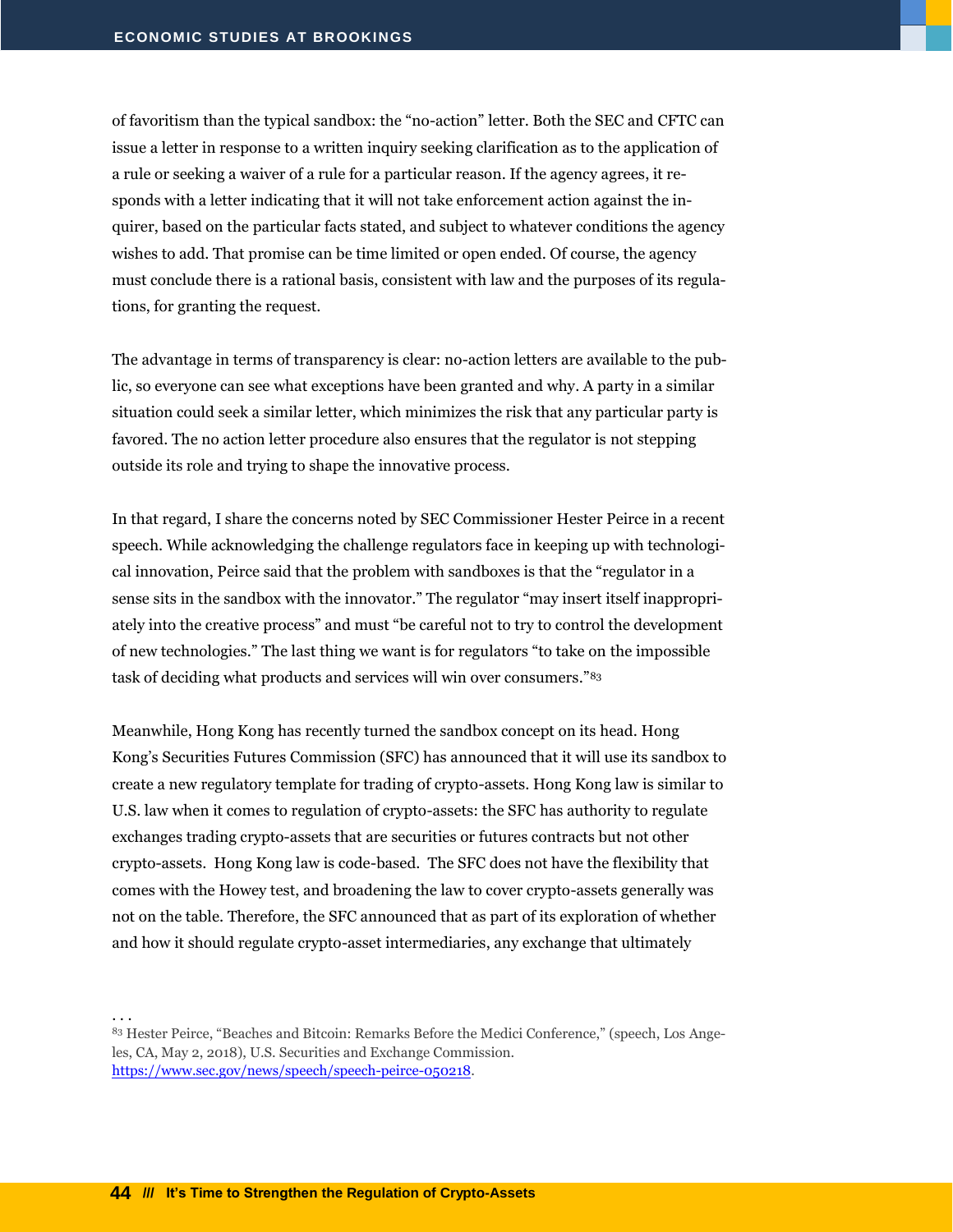of favoritism than the typical sandbox: the "no-action" letter. Both the SEC and CFTC can issue a letter in response to a written inquiry seeking clarification as to the application of a rule or seeking a waiver of a rule for a particular reason. If the agency agrees, it responds with a letter indicating that it will not take enforcement action against the inquirer, based on the particular facts stated, and subject to whatever conditions the agency wishes to add. That promise can be time limited or open ended. Of course, the agency must conclude there is a rational basis, consistent with law and the purposes of its regulations, for granting the request.

The advantage in terms of transparency is clear: no-action letters are available to the public, so everyone can see what exceptions have been granted and why. A party in a similar situation could seek a similar letter, which minimizes the risk that any particular party is favored. The no action letter procedure also ensures that the regulator is not stepping outside its role and trying to shape the innovative process.

In that regard, I share the concerns noted by SEC Commissioner Hester Peirce in a recent speech. While acknowledging the challenge regulators face in keeping up with technological innovation, Peirce said that the problem with sandboxes is that the "regulator in a sense sits in the sandbox with the innovator." The regulator "may insert itself inappropriately into the creative process" and must "be careful not to try to control the development of new technologies." The last thing we want is for regulators "to take on the impossible task of deciding what products and services will win over consumers."<sup>83</sup>

Meanwhile, Hong Kong has recently turned the sandbox concept on its head. Hong Kong's Securities Futures Commission (SFC) has announced that it will use its sandbox to create a new regulatory template for trading of crypto-assets. Hong Kong law is similar to U.S. law when it comes to regulation of crypto-assets: the SFC has authority to regulate exchanges trading crypto-assets that are securities or futures contracts but not other crypto-assets. Hong Kong law is code-based. The SFC does not have the flexibility that comes with the Howey test, and broadening the law to cover crypto-assets generally was not on the table. Therefore, the SFC announced that as part of its exploration of whether and how it should regulate crypto-asset intermediaries, any exchange that ultimately

<sup>83</sup> Hester Peirce, "Beaches and Bitcoin: Remarks Before the Medici Conference," (speech, Los Angeles, CA, May 2, 2018), U.S. Securities and Exchange Commission. [https://www.sec.gov/news/speech/speech-peirce-050218.](https://www.sec.gov/news/speech/speech-peirce-050218)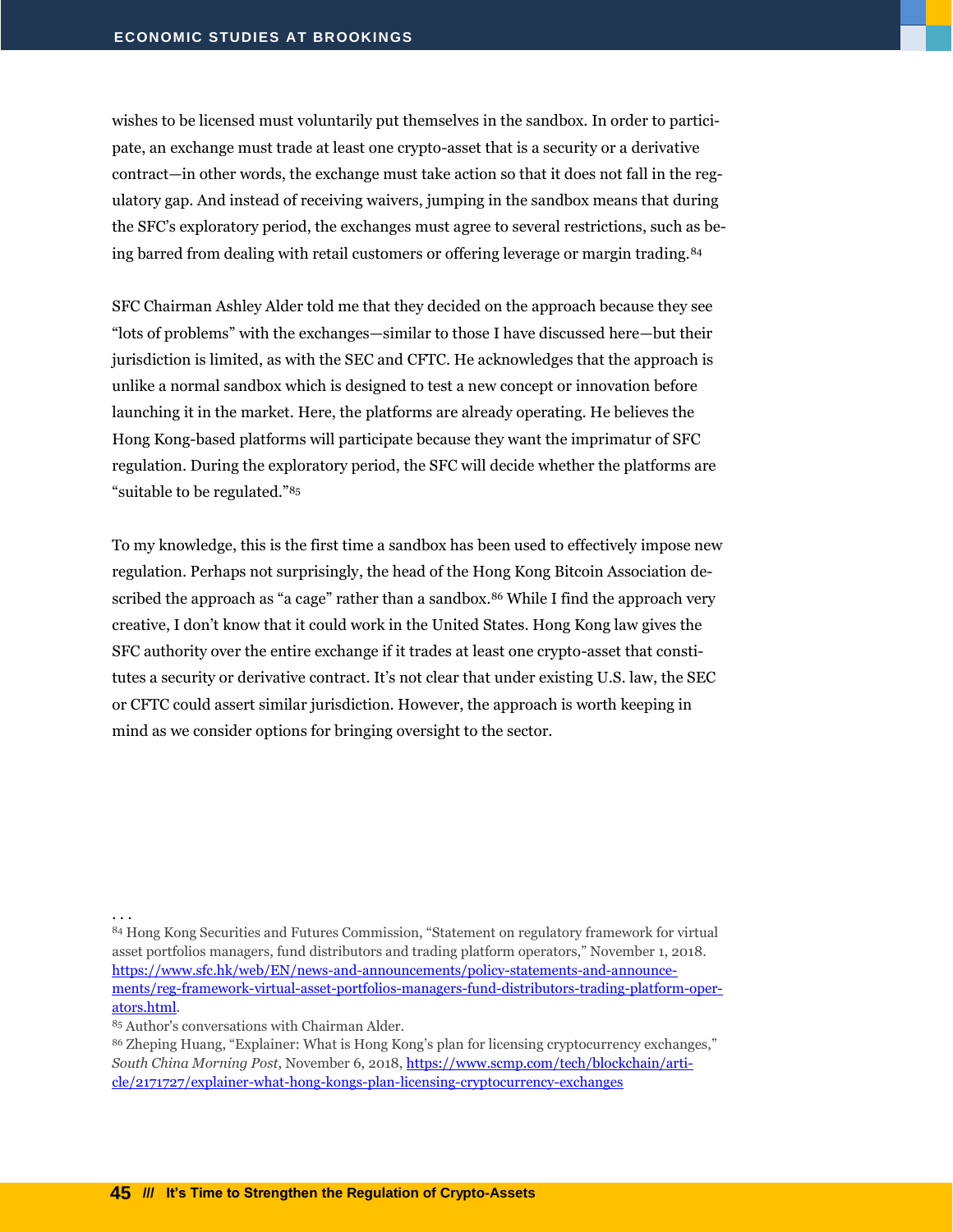wishes to be licensed must voluntarily put themselves in the sandbox. In order to participate, an exchange must trade at least one crypto-asset that is a security or a derivative contract—in other words, the exchange must take action so that it does not fall in the regulatory gap. And instead of receiving waivers, jumping in the sandbox means that during the SFC's exploratory period, the exchanges must agree to several restrictions, such as being barred from dealing with retail customers or offering leverage or margin trading.<sup>84</sup>

SFC Chairman Ashley Alder told me that they decided on the approach because they see "lots of problems" with the exchanges—similar to those I have discussed here—but their jurisdiction is limited, as with the SEC and CFTC. He acknowledges that the approach is unlike a normal sandbox which is designed to test a new concept or innovation before launching it in the market. Here, the platforms are already operating. He believes the Hong Kong-based platforms will participate because they want the imprimatur of SFC regulation. During the exploratory period, the SFC will decide whether the platforms are "suitable to be regulated."<sup>85</sup>

To my knowledge, this is the first time a sandbox has been used to effectively impose new regulation. Perhaps not surprisingly, the head of the Hong Kong Bitcoin Association described the approach as "a cage" rather than a sandbox.<sup>86</sup> While I find the approach very creative, I don't know that it could work in the United States. Hong Kong law gives the SFC authority over the entire exchange if it trades at least one crypto-asset that constitutes a security or derivative contract. It's not clear that under existing U.S. law, the SEC or CFTC could assert similar jurisdiction. However, the approach is worth keeping in mind as we consider options for bringing oversight to the sector.

. . .

84 Hong Kong Securities and Futures Commission, "Statement on regulatory framework for virtual asset portfolios managers, fund distributors and trading platform operators," November 1, 2018. [https://www.sfc.hk/web/EN/news-and-announcements/policy-statements-and-announce](https://www.sfc.hk/web/EN/news-and-announcements/policy-statements-and-announcements/reg-framework-virtual-asset-portfolios-managers-fund-distributors-trading-platform-operators.html)[ments/reg-framework-virtual-asset-portfolios-managers-fund-distributors-trading-platform-oper](https://www.sfc.hk/web/EN/news-and-announcements/policy-statements-and-announcements/reg-framework-virtual-asset-portfolios-managers-fund-distributors-trading-platform-operators.html)[ators.html.](https://www.sfc.hk/web/EN/news-and-announcements/policy-statements-and-announcements/reg-framework-virtual-asset-portfolios-managers-fund-distributors-trading-platform-operators.html)

<sup>85</sup> Author's conversations with Chairman Alder.

<sup>86</sup> Zheping Huang, "Explainer: What is Hong Kong's plan for licensing cryptocurrency exchanges," *South China Morning Post*, November 6, 2018, [https://www.scmp.com/tech/blockchain/arti](https://www.scmp.com/tech/blockchain/article/2171727/explainer-what-hong-kongs-plan-licensing-cryptocurrency-exchanges)[cle/2171727/explainer-what-hong-kongs-plan-licensing-cryptocurrency-exchanges](https://www.scmp.com/tech/blockchain/article/2171727/explainer-what-hong-kongs-plan-licensing-cryptocurrency-exchanges)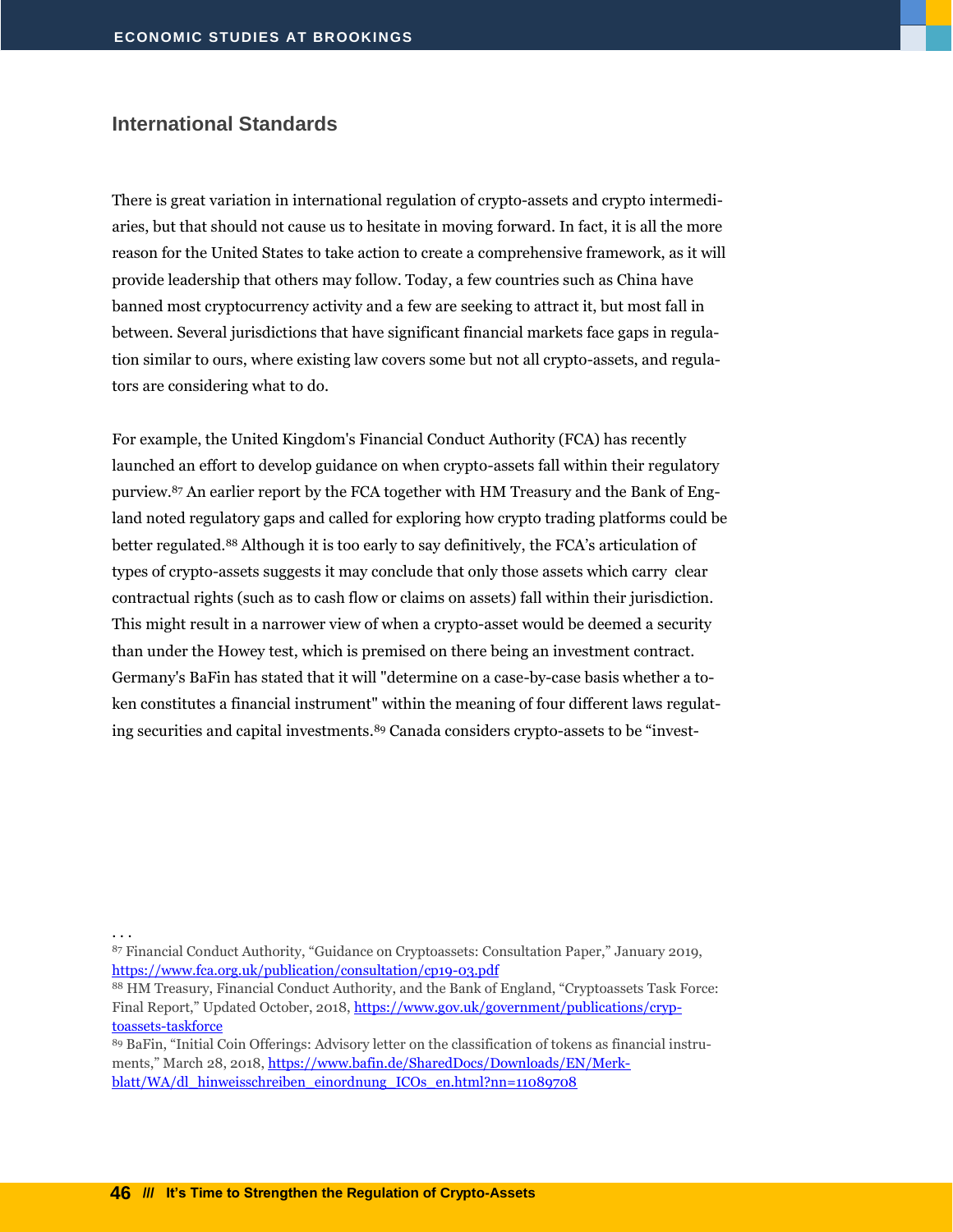#### <span id="page-47-0"></span>**International Standards**

There is great variation in international regulation of crypto-assets and crypto intermediaries, but that should not cause us to hesitate in moving forward. In fact, it is all the more reason for the United States to take action to create a comprehensive framework, as it will provide leadership that others may follow. Today, a few countries such as China have banned most cryptocurrency activity and a few are seeking to attract it, but most fall in between. Several jurisdictions that have significant financial markets face gaps in regulation similar to ours, where existing law covers some but not all crypto-assets, and regulators are considering what to do.

For example, the United Kingdom's Financial Conduct Authority (FCA) has recently launched an effort to develop guidance on when crypto-assets fall within their regulatory purview.<sup>87</sup> An earlier report by the FCA together with HM Treasury and the Bank of England noted regulatory gaps and called for exploring how crypto trading platforms could be better regulated.<sup>88</sup> Although it is too early to say definitively, the FCA's articulation of types of crypto-assets suggests it may conclude that only those assets which carry clear contractual rights (such as to cash flow or claims on assets) fall within their jurisdiction. This might result in a narrower view of when a crypto-asset would be deemed a security than under the Howey test, which is premised on there being an investment contract. Germany's BaFin has stated that it will "determine on a case-by-case basis whether a token constitutes a financial instrument" within the meaning of four different laws regulating securities and capital investments.<sup>89</sup> Canada considers crypto-assets to be "invest-

. . .

<sup>89</sup> BaFin, "Initial Coin Offerings: Advisory letter on the classification of tokens as financial instruments," March 28, 2018, [https://www.bafin.de/SharedDocs/Downloads/EN/Merk](https://www.bafin.de/SharedDocs/Downloads/EN/Merkblatt/WA/dl_hinweisschreiben_einordnung_ICOs_en.html?nn=11089708)[blatt/WA/dl\\_hinweisschreiben\\_einordnung\\_ICOs\\_en.html?nn=11089708](https://www.bafin.de/SharedDocs/Downloads/EN/Merkblatt/WA/dl_hinweisschreiben_einordnung_ICOs_en.html?nn=11089708)

<sup>87</sup> Financial Conduct Authority, "Guidance on Cryptoassets: Consultation Paper," January 2019, <https://www.fca.org.uk/publication/consultation/cp19-03.pdf>

<sup>88</sup> HM Treasury, Financial Conduct Authority, and the Bank of England, "Cryptoassets Task Force: Final Report," Updated October, 2018, [https://www.gov.uk/government/publications/cryp](https://www.gov.uk/government/publications/cryptoassets-taskforce)[toassets-taskforce](https://www.gov.uk/government/publications/cryptoassets-taskforce)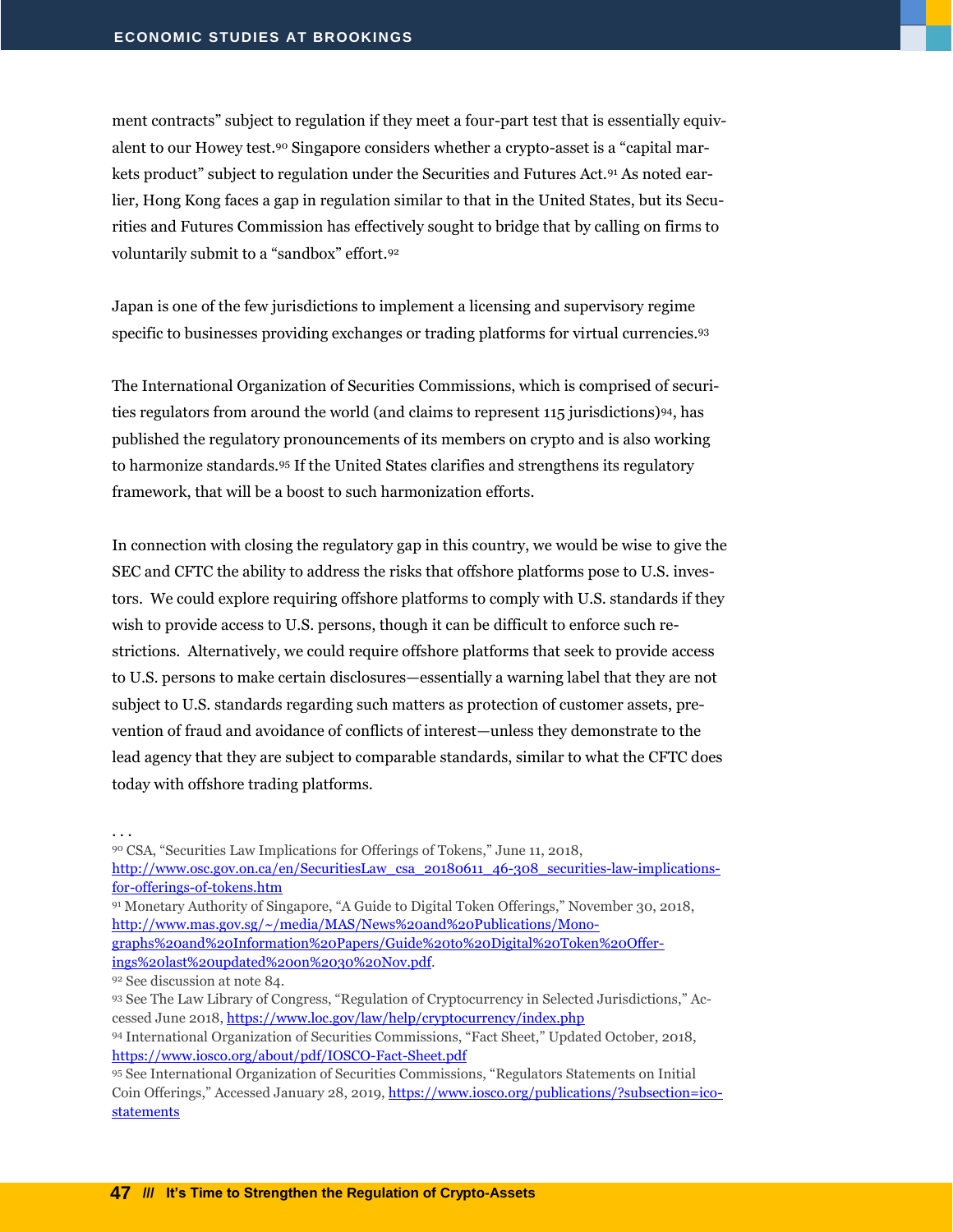ment contracts" subject to regulation if they meet a four-part test that is essentially equivalent to our Howey test.<sup>90</sup> Singapore considers whether a crypto-asset is a "capital markets product" subject to regulation under the Securities and Futures Act.<sup>91</sup> As noted earlier, Hong Kong faces a gap in regulation similar to that in the United States, but its Securities and Futures Commission has effectively sought to bridge that by calling on firms to voluntarily submit to a "sandbox" effort.<sup>92</sup>

Japan is one of the few jurisdictions to implement a licensing and supervisory regime specific to businesses providing exchanges or trading platforms for virtual currencies.93

The International Organization of Securities Commissions, which is comprised of securities regulators from around the world (and claims to represent 115 jurisdictions)94, has published the regulatory pronouncements of its members on crypto and is also working to harmonize standards.<sup>95</sup> If the United States clarifies and strengthens its regulatory framework, that will be a boost to such harmonization efforts.

In connection with closing the regulatory gap in this country, we would be wise to give the SEC and CFTC the ability to address the risks that offshore platforms pose to U.S. investors. We could explore requiring offshore platforms to comply with U.S. standards if they wish to provide access to U.S. persons, though it can be difficult to enforce such restrictions. Alternatively, we could require offshore platforms that seek to provide access to U.S. persons to make certain disclosures—essentially a warning label that they are not subject to U.S. standards regarding such matters as protection of customer assets, prevention of fraud and avoidance of conflicts of interest—unless they demonstrate to the lead agency that they are subject to comparable standards, similar to what the CFTC does today with offshore trading platforms.

. . .

<sup>90</sup> CSA, "Securities Law Implications for Offerings of Tokens," June 11, 2018,

- [http://www.osc.gov.on.ca/en/SecuritiesLaw\\_csa\\_20180611\\_46-308\\_securities-law-implications](http://www.osc.gov.on.ca/en/SecuritiesLaw_csa_20180611_46-308_securities-law-implications-for-offerings-of-tokens.htm)[for-offerings-of-tokens.htm](http://www.osc.gov.on.ca/en/SecuritiesLaw_csa_20180611_46-308_securities-law-implications-for-offerings-of-tokens.htm)
- <sup>91</sup> Monetary Authority of Singapore, "A Guide to Digital Token Offerings," November 30, 2018, [http://www.mas.gov.sg/~/media/MAS/News%20and%20Publications/Mono-](http://www.mas.gov.sg/~/media/MAS/News%20and%20Publications/Monographs%20and%20Information%20Papers/Guide%20to%20Digital%20Token%20Offerings%20last%20updated%20on%2030%20Nov.pdf)

[graphs%20and%20Information%20Papers/Guide%20to%20Digital%20Token%20Offer](http://www.mas.gov.sg/~/media/MAS/News%20and%20Publications/Monographs%20and%20Information%20Papers/Guide%20to%20Digital%20Token%20Offerings%20last%20updated%20on%2030%20Nov.pdf)[ings%20last%20updated%20on%2030%20Nov.pdf.](http://www.mas.gov.sg/~/media/MAS/News%20and%20Publications/Monographs%20and%20Information%20Papers/Guide%20to%20Digital%20Token%20Offerings%20last%20updated%20on%2030%20Nov.pdf)

<sup>92</sup> See discussion at note 84.

<sup>93</sup> See The Law Library of Congress, "Regulation of Cryptocurrency in Selected Jurisdictions," Accessed June 2018,<https://www.loc.gov/law/help/cryptocurrency/index.php> <sup>94</sup> International Organization of Securities Commissions, "Fact Sheet," Updated October, 2018,

https://www.iosco.org/about/pdf/IOSCO-Fact-Sheet.pdf

<sup>95</sup> See International Organization of Securities Commissions, "Regulators Statements on Initial Coin Offerings," Accessed January 28, 2019[, https://www.iosco.org/publications/?subsection=ico](https://www.iosco.org/publications/?subsection=ico-statements)[statements](https://www.iosco.org/publications/?subsection=ico-statements)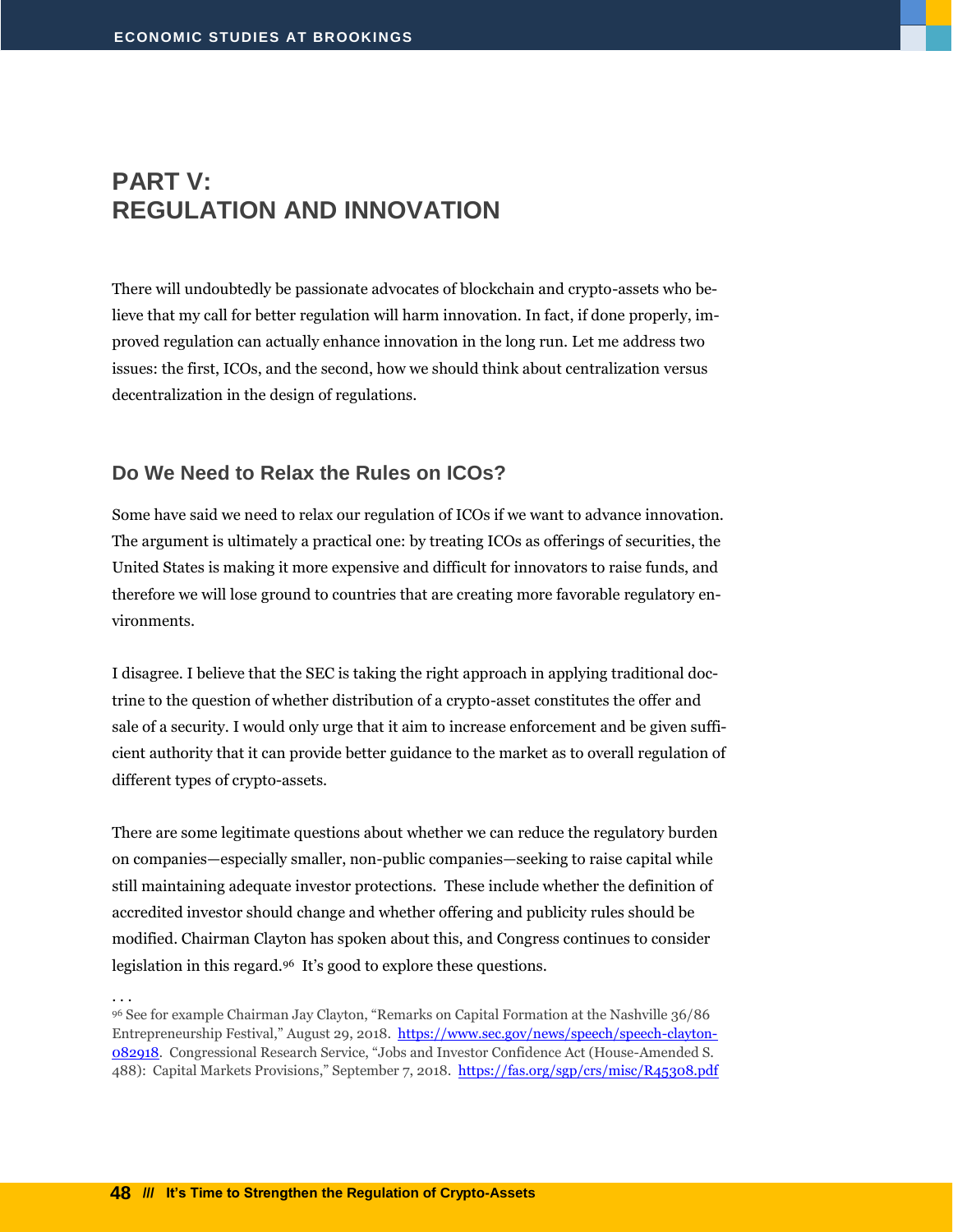## <span id="page-49-0"></span>**PART V: REGULATION AND INNOVATION**

There will undoubtedly be passionate advocates of blockchain and crypto-assets who believe that my call for better regulation will harm innovation. In fact, if done properly, improved regulation can actually enhance innovation in the long run. Let me address two issues: the first, ICOs, and the second, how we should think about centralization versus decentralization in the design of regulations.

#### <span id="page-49-1"></span>**Do We Need to Relax the Rules on ICOs?**

Some have said we need to relax our regulation of ICOs if we want to advance innovation. The argument is ultimately a practical one: by treating ICOs as offerings of securities, the United States is making it more expensive and difficult for innovators to raise funds, and therefore we will lose ground to countries that are creating more favorable regulatory environments.

I disagree. I believe that the SEC is taking the right approach in applying traditional doctrine to the question of whether distribution of a crypto-asset constitutes the offer and sale of a security. I would only urge that it aim to increase enforcement and be given sufficient authority that it can provide better guidance to the market as to overall regulation of different types of crypto-assets.

There are some legitimate questions about whether we can reduce the regulatory burden on companies—especially smaller, non-public companies—seeking to raise capital while still maintaining adequate investor protections. These include whether the definition of accredited investor should change and whether offering and publicity rules should be modified. Chairman Clayton has spoken about this, and Congress continues to consider legislation in this regard.<sup>96</sup> It's good to explore these questions.

. . .

<sup>96</sup> See for example Chairman Jay Clayton, "Remarks on Capital Formation at the Nashville 36/86 Entrepreneurship Festival," August 29, 2018. [https://www.sec.gov/news/speech/speech-clayton-](https://www.sec.gov/news/speech/speech-clayton-082918)[082918.](https://www.sec.gov/news/speech/speech-clayton-082918) Congressional Research Service, "Jobs and Investor Confidence Act (House-Amended S. 488): Capital Markets Provisions," September 7, 2018. <https://fas.org/sgp/crs/misc/R45308.pdf>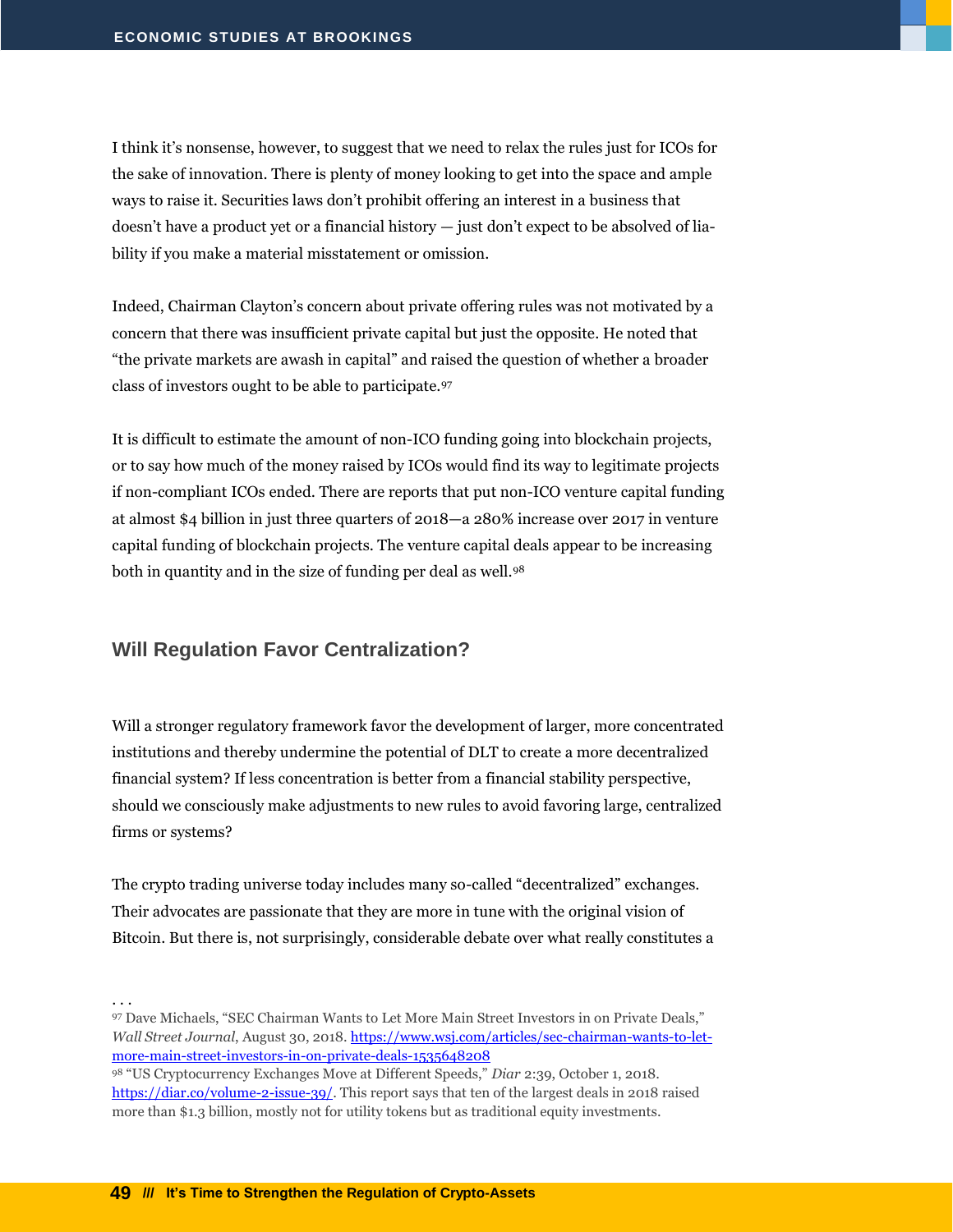I think it's nonsense, however, to suggest that we need to relax the rules just for ICOs for the sake of innovation. There is plenty of money looking to get into the space and ample ways to raise it. Securities laws don't prohibit offering an interest in a business that doesn't have a product yet or a financial history — just don't expect to be absolved of liability if you make a material misstatement or omission.

Indeed, Chairman Clayton's concern about private offering rules was not motivated by a concern that there was insufficient private capital but just the opposite. He noted that "the private markets are awash in capital" and raised the question of whether a broader class of investors ought to be able to participate.<sup>97</sup>

It is difficult to estimate the amount of non-ICO funding going into blockchain projects, or to say how much of the money raised by ICOs would find its way to legitimate projects if non-compliant ICOs ended. There are reports that put non-ICO venture capital funding at almost \$4 billion in just three quarters of 2018—a 280% increase over 2017 in venture capital funding of blockchain projects. The venture capital deals appear to be increasing both in quantity and in the size of funding per deal as well.<sup>98</sup>

#### <span id="page-50-0"></span>**Will Regulation Favor Centralization?**

Will a stronger regulatory framework favor the development of larger, more concentrated institutions and thereby undermine the potential of DLT to create a more decentralized financial system? If less concentration is better from a financial stability perspective, should we consciously make adjustments to new rules to avoid favoring large, centralized firms or systems?

The crypto trading universe today includes many so-called "decentralized" exchanges. Their advocates are passionate that they are more in tune with the original vision of Bitcoin. But there is, not surprisingly, considerable debate over what really constitutes a

<sup>97</sup> Dave Michaels, "SEC Chairman Wants to Let More Main Street Investors in on Private Deals," *Wall Street Journal*, August 30, 2018[. https://www.wsj.com/articles/sec-chairman-wants-to-let](https://www.wsj.com/articles/sec-chairman-wants-to-let-more-main-street-investors-in-on-private-deals-1535648208)[more-main-street-investors-in-on-private-deals-1535648208](https://www.wsj.com/articles/sec-chairman-wants-to-let-more-main-street-investors-in-on-private-deals-1535648208)

<sup>98</sup> "US Cryptocurrency Exchanges Move at Different Speeds," *Diar* 2:39, October 1, 2018. [https://diar.co/volume-2-issue-39/.](https://diar.co/volume-2-issue-39/) This report says that ten of the largest deals in 2018 raised more than \$1.3 billion, mostly not for utility tokens but as traditional equity investments.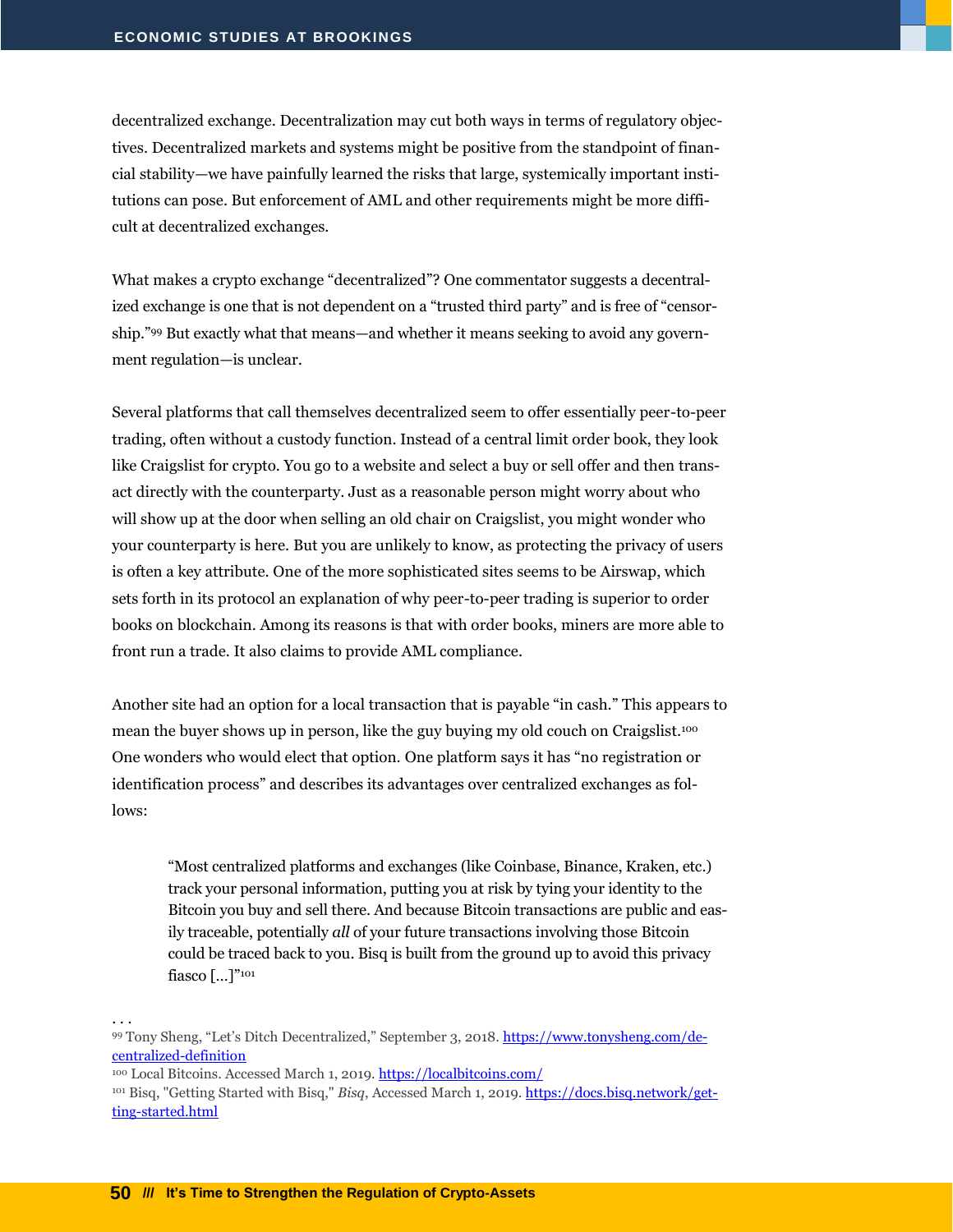decentralized exchange. Decentralization may cut both ways in terms of regulatory objectives. Decentralized markets and systems might be positive from the standpoint of financial stability—we have painfully learned the risks that large, systemically important institutions can pose. But enforcement of AML and other requirements might be more difficult at decentralized exchanges.

What makes a crypto exchange "decentralized"? One commentator suggests a decentralized exchange is one that is not dependent on a "trusted third party" and is free of "censorship." <sup>99</sup> But exactly what that means—and whether it means seeking to avoid any government regulation—is unclear.

Several platforms that call themselves decentralized seem to offer essentially peer-to-peer trading, often without a custody function. Instead of a central limit order book, they look like Craigslist for crypto. You go to a website and select a buy or sell offer and then transact directly with the counterparty. Just as a reasonable person might worry about who will show up at the door when selling an old chair on Craigslist, you might wonder who your counterparty is here. But you are unlikely to know, as protecting the privacy of users is often a key attribute. One of the more sophisticated sites seems to be Airswap, which sets forth in its protocol an explanation of why peer-to-peer trading is superior to order books on blockchain. Among its reasons is that with order books, miners are more able to front run a trade. It also claims to provide AML compliance.

Another site had an option for a local transaction that is payable "in cash." This appears to mean the buyer shows up in person, like the guy buying my old couch on Craigslist.<sup>100</sup> One wonders who would elect that option. One platform says it has "no registration or identification process" and describes its advantages over centralized exchanges as follows:

"Most centralized platforms and exchanges (like Coinbase, Binance, Kraken, etc.) track your personal information, putting you at risk by tying your identity to the Bitcoin you buy and sell there. And because Bitcoin transactions are public and easily traceable, potentially *all* of your future transactions involving those Bitcoin could be traced back to you. Bisq is built from the ground up to avoid this privacy fiasco […]"<sup>101</sup>

<sup>99</sup> Tony Sheng, "Let's Ditch Decentralized," September 3, 2018. [https://www.tonysheng.com/de](https://www.tonysheng.com/decentralized-definition)[centralized-definition](https://www.tonysheng.com/decentralized-definition)

<sup>100</sup> Local Bitcoins. Accessed March 1, 2019[. https://localbitcoins.com/](https://localbitcoins.com/)

. . .

<sup>101</sup> Bisq, "Getting Started with Bisq," *Bisq*, Accessed March 1, 2019. [https://docs.bisq.network/get](https://docs.bisq.network/getting-started.html)[ting-started.html](https://docs.bisq.network/getting-started.html)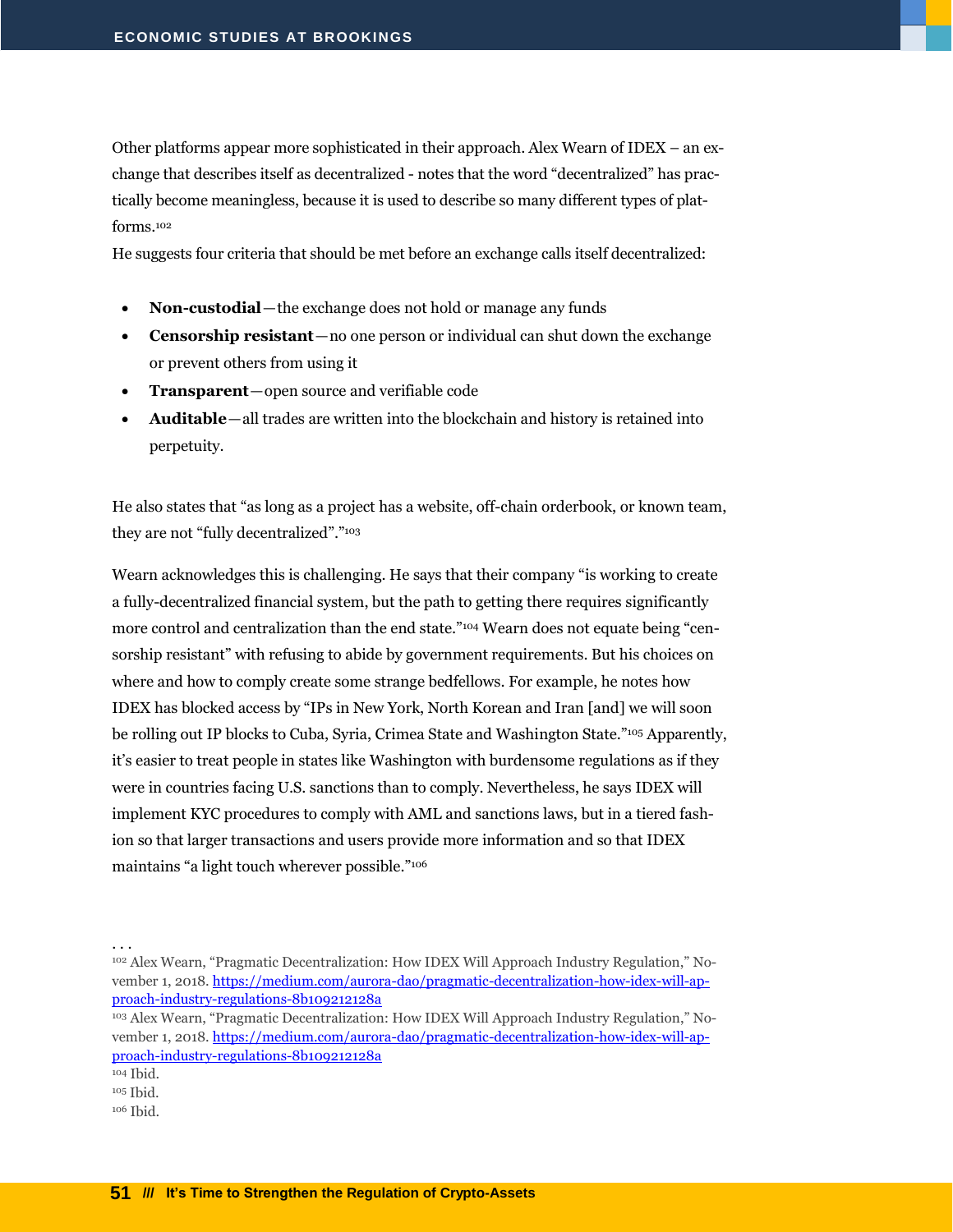Other platforms appear more sophisticated in their approach. Alex Wearn of IDEX – an exchange that describes itself as decentralized - notes that the word "decentralized" has practically become meaningless, because it is used to describe so many different types of platforms.<sup>102</sup>

He suggests four criteria that should be met before an exchange calls itself decentralized:

- **Non-custodial**—the exchange does not hold or manage any funds
- **Censorship resistant**—no one person or individual can shut down the exchange or prevent others from using it
- **Transparent**—open source and verifiable code
- **Auditable**—all trades are written into the blockchain and history is retained into perpetuity.

He also states that "as long as a project has a website, off-chain orderbook, or known team, they are not "fully decentralized"."<sup>103</sup>

Wearn acknowledges this is challenging. He says that their company "is working to create a fully-decentralized financial system, but the path to getting there requires significantly more control and centralization than the end state."<sup>104</sup> Wearn does not equate being "censorship resistant" with refusing to abide by government requirements. But his choices on where and how to comply create some strange bedfellows. For example, he notes how IDEX has blocked access by "IPs in New York, North Korean and Iran [and] we will soon be rolling out IP blocks to Cuba, Syria, Crimea State and Washington State."<sup>105</sup> Apparently, it's easier to treat people in states like Washington with burdensome regulations as if they were in countries facing U.S. sanctions than to comply. Nevertheless, he says IDEX will implement KYC procedures to comply with AML and sanctions laws, but in a tiered fashion so that larger transactions and users provide more information and so that IDEX maintains "a light touch wherever possible."<sup>106</sup>

<sup>102</sup> Alex Wearn, "Pragmatic Decentralization: How IDEX Will Approach Industry Regulation," November 1, 2018. [https://medium.com/aurora-dao/pragmatic-decentralization-how-idex-will-ap](https://medium.com/aurora-dao/pragmatic-decentralization-how-idex-will-approach-industry-regulations-8b109212128a)[proach-industry-regulations-8b109212128a](https://medium.com/aurora-dao/pragmatic-decentralization-how-idex-will-approach-industry-regulations-8b109212128a)

<sup>103</sup> Alex Wearn, "Pragmatic Decentralization: How IDEX Will Approach Industry Regulation," November 1, 2018. [https://medium.com/aurora-dao/pragmatic-decentralization-how-idex-will-ap](https://medium.com/aurora-dao/pragmatic-decentralization-how-idex-will-approach-industry-regulations-8b109212128a)[proach-industry-regulations-8b109212128a](https://medium.com/aurora-dao/pragmatic-decentralization-how-idex-will-approach-industry-regulations-8b109212128a)

<sup>104</sup> Ibid.

<sup>105</sup> Ibid.

<sup>106</sup> Ibid.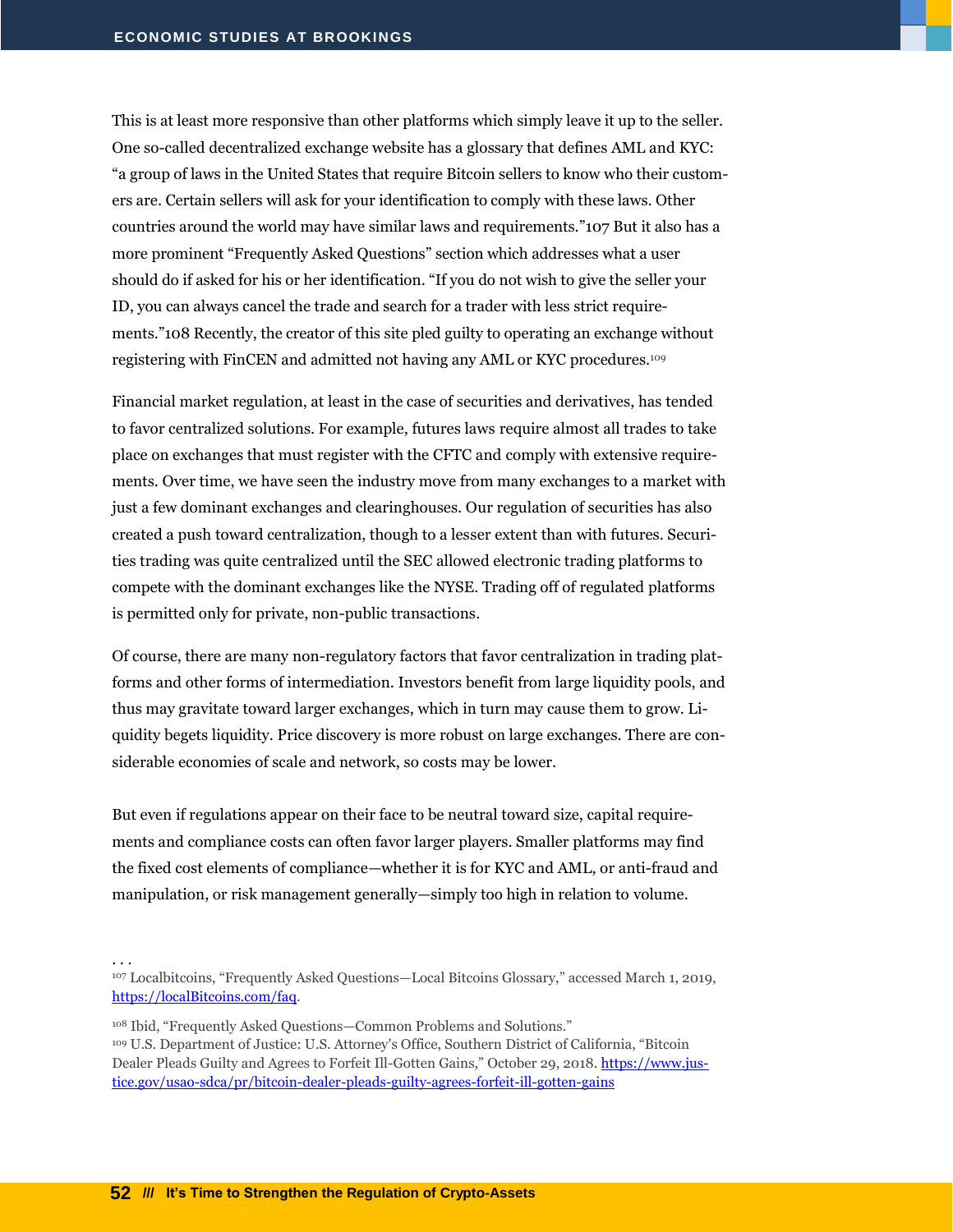This is at least more responsive than other platforms which simply leave it up to the seller. One so-called decentralized exchange website has a glossary that defines AML and KYC: "a group of laws in the United States that require Bitcoin sellers to know who their customers are. Certain sellers will ask for your identification to comply with these laws. Other countries around the world may have similar laws and requirements."107 But it also has a more prominent "Frequently Asked Questions" section which addresses what a user should do if asked for his or her identification. "If you do not wish to give the seller your ID, you can always cancel the trade and search for a trader with less strict requirements."108 Recently, the creator of this site pled guilty to operating an exchange without registering with FinCEN and admitted not having any AML or KYC procedures.<sup>109</sup>

Financial market regulation, at least in the case of securities and derivatives, has tended to favor centralized solutions. For example, futures laws require almost all trades to take place on exchanges that must register with the CFTC and comply with extensive requirements. Over time, we have seen the industry move from many exchanges to a market with just a few dominant exchanges and clearinghouses. Our regulation of securities has also created a push toward centralization, though to a lesser extent than with futures. Securities trading was quite centralized until the SEC allowed electronic trading platforms to compete with the dominant exchanges like the NYSE. Trading off of regulated platforms is permitted only for private, non-public transactions.

Of course, there are many non-regulatory factors that favor centralization in trading platforms and other forms of intermediation. Investors benefit from large liquidity pools, and thus may gravitate toward larger exchanges, which in turn may cause them to grow. Liquidity begets liquidity. Price discovery is more robust on large exchanges. There are considerable economies of scale and network, so costs may be lower.

But even if regulations appear on their face to be neutral toward size, capital requirements and compliance costs can often favor larger players. Smaller platforms may find the fixed cost elements of compliance—whether it is for KYC and AML, or anti-fraud and manipulation, or risk management generally—simply too high in relation to volume.

. . .

<sup>108</sup> Ibid, "Frequently Asked Questions—Common Problems and Solutions." <sup>109</sup> U.S. Department of Justice: U.S. Attorney's Office, Southern District of California, "Bitcoin Dealer Pleads Guilty and Agrees to Forfeit Ill-Gotten Gains," October 29, 2018. [https://www.jus](https://www.justice.gov/usao-sdca/pr/bitcoin-dealer-pleads-guilty-agrees-forfeit-ill-gotten-gains)[tice.gov/usao-sdca/pr/bitcoin-dealer-pleads-guilty-agrees-forfeit-ill-gotten-gains](https://www.justice.gov/usao-sdca/pr/bitcoin-dealer-pleads-guilty-agrees-forfeit-ill-gotten-gains)

<sup>107</sup> Localbitcoins, "Frequently Asked Questions—Local Bitcoins Glossary," accessed March 1, 2019, [https://localBitcoins.com/faq.](https://localbitcoins.com/faq)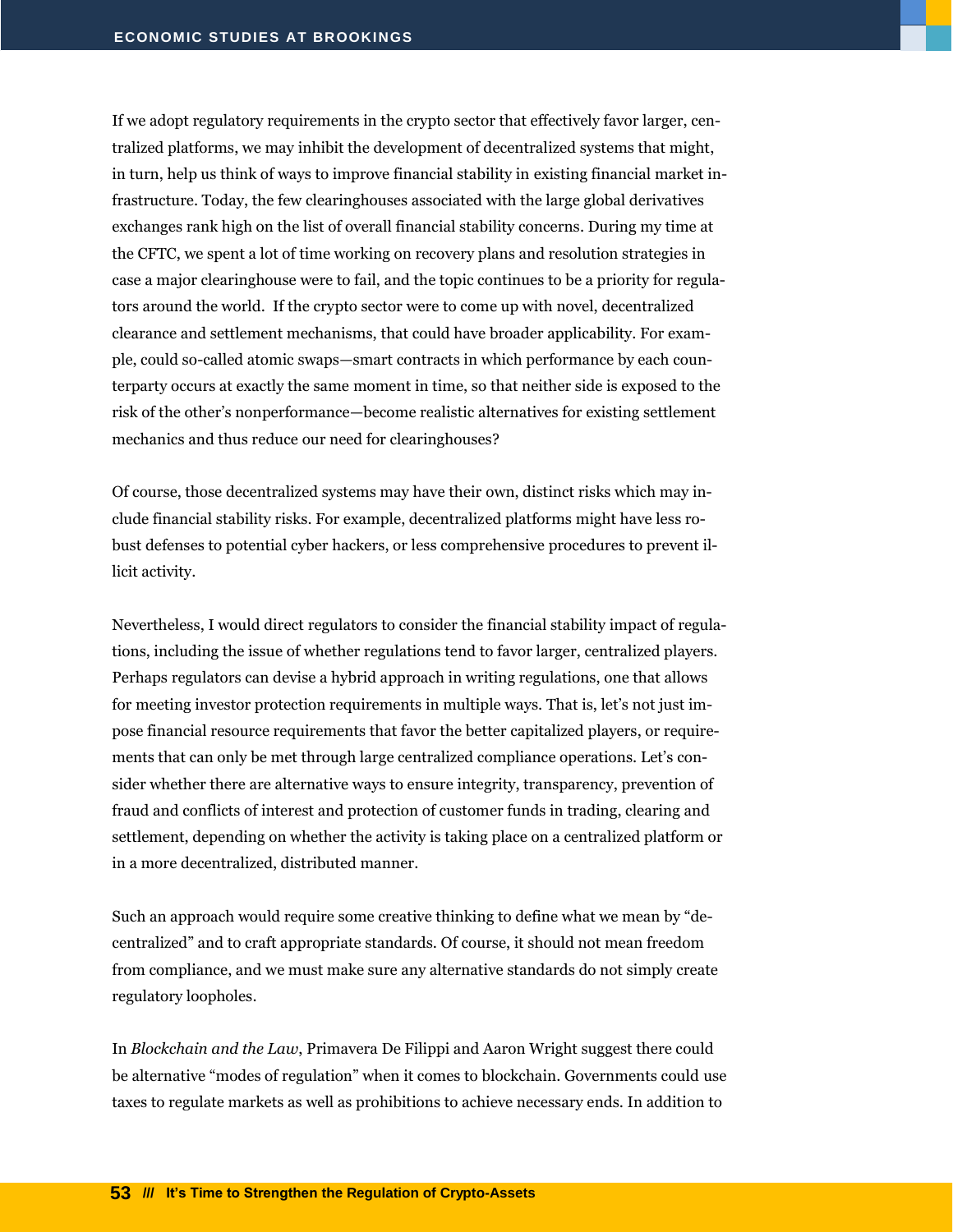If we adopt regulatory requirements in the crypto sector that effectively favor larger, centralized platforms, we may inhibit the development of decentralized systems that might, in turn, help us think of ways to improve financial stability in existing financial market infrastructure. Today, the few clearinghouses associated with the large global derivatives exchanges rank high on the list of overall financial stability concerns. During my time at the CFTC, we spent a lot of time working on recovery plans and resolution strategies in case a major clearinghouse were to fail, and the topic continues to be a priority for regulators around the world. If the crypto sector were to come up with novel, decentralized clearance and settlement mechanisms, that could have broader applicability. For example, could so-called atomic swaps—smart contracts in which performance by each counterparty occurs at exactly the same moment in time, so that neither side is exposed to the risk of the other's nonperformance—become realistic alternatives for existing settlement mechanics and thus reduce our need for clearinghouses?

Of course, those decentralized systems may have their own, distinct risks which may include financial stability risks. For example, decentralized platforms might have less robust defenses to potential cyber hackers, or less comprehensive procedures to prevent illicit activity.

Nevertheless, I would direct regulators to consider the financial stability impact of regulations, including the issue of whether regulations tend to favor larger, centralized players. Perhaps regulators can devise a hybrid approach in writing regulations, one that allows for meeting investor protection requirements in multiple ways. That is, let's not just impose financial resource requirements that favor the better capitalized players, or requirements that can only be met through large centralized compliance operations. Let's consider whether there are alternative ways to ensure integrity, transparency, prevention of fraud and conflicts of interest and protection of customer funds in trading, clearing and settlement, depending on whether the activity is taking place on a centralized platform or in a more decentralized, distributed manner.

Such an approach would require some creative thinking to define what we mean by "decentralized" and to craft appropriate standards. Of course, it should not mean freedom from compliance, and we must make sure any alternative standards do not simply create regulatory loopholes.

In *Blockchain and the Law*, Primavera De Filippi and Aaron Wright suggest there could be alternative "modes of regulation" when it comes to blockchain. Governments could use taxes to regulate markets as well as prohibitions to achieve necessary ends. In addition to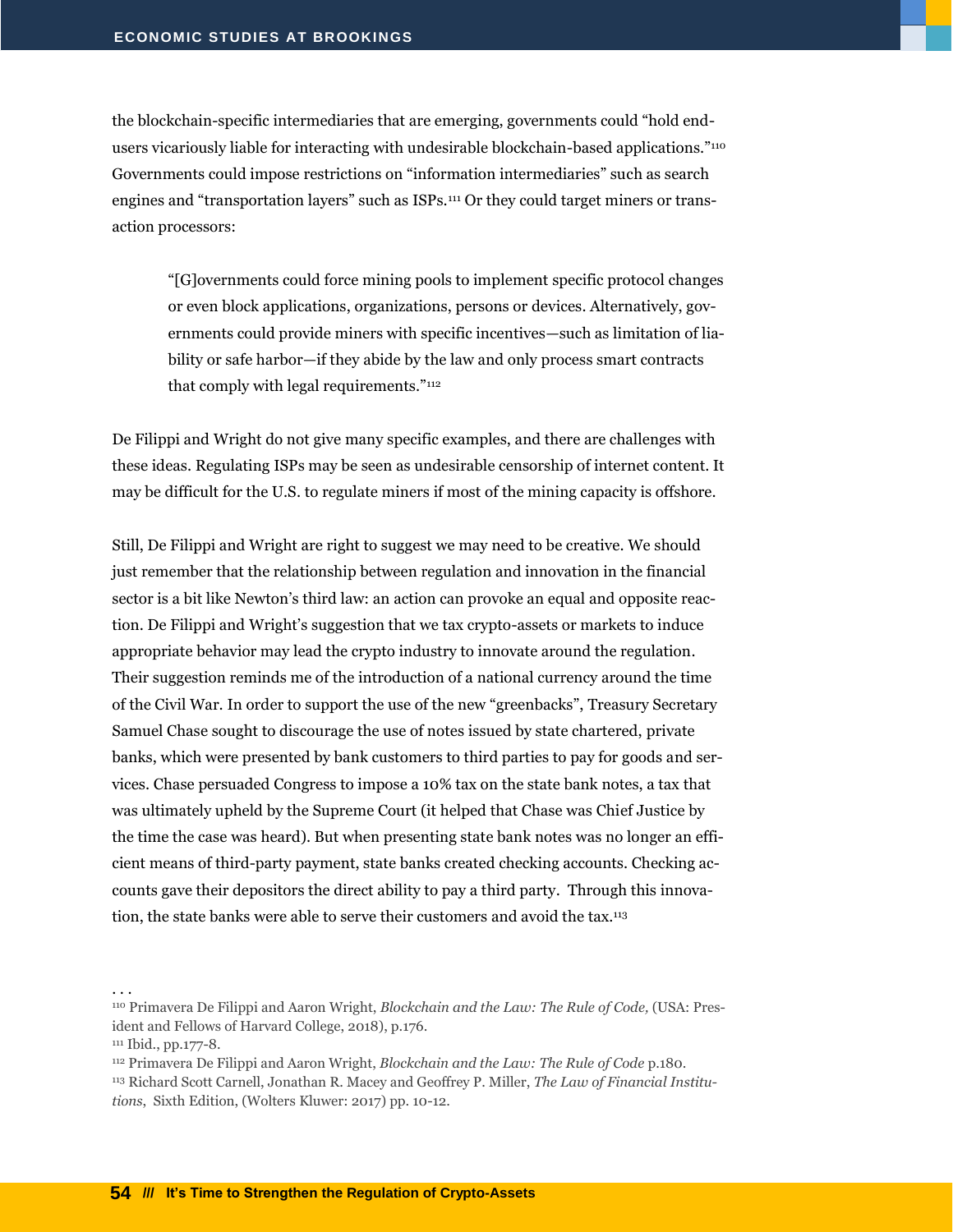the blockchain-specific intermediaries that are emerging, governments could "hold endusers vicariously liable for interacting with undesirable blockchain-based applications."<sup>110</sup> Governments could impose restrictions on "information intermediaries" such as search engines and "transportation layers" such as ISPs.<sup>111</sup> Or they could target miners or transaction processors:

"[G]overnments could force mining pools to implement specific protocol changes or even block applications, organizations, persons or devices. Alternatively, governments could provide miners with specific incentives—such as limitation of liability or safe harbor—if they abide by the law and only process smart contracts that comply with legal requirements."<sup>112</sup>

De Filippi and Wright do not give many specific examples, and there are challenges with these ideas. Regulating ISPs may be seen as undesirable censorship of internet content. It may be difficult for the U.S. to regulate miners if most of the mining capacity is offshore.

Still, De Filippi and Wright are right to suggest we may need to be creative. We should just remember that the relationship between regulation and innovation in the financial sector is a bit like Newton's third law: an action can provoke an equal and opposite reaction. De Filippi and Wright's suggestion that we tax crypto-assets or markets to induce appropriate behavior may lead the crypto industry to innovate around the regulation. Their suggestion reminds me of the introduction of a national currency around the time of the Civil War. In order to support the use of the new "greenbacks", Treasury Secretary Samuel Chase sought to discourage the use of notes issued by state chartered, private banks, which were presented by bank customers to third parties to pay for goods and services. Chase persuaded Congress to impose a 10% tax on the state bank notes, a tax that was ultimately upheld by the Supreme Court (it helped that Chase was Chief Justice by the time the case was heard). But when presenting state bank notes was no longer an efficient means of third-party payment, state banks created checking accounts. Checking accounts gave their depositors the direct ability to pay a third party. Through this innovation, the state banks were able to serve their customers and avoid the tax.<sup>113</sup>

<sup>110</sup> Primavera De Filippi and Aaron Wright, *Blockchain and the Law: The Rule of Code,* (USA: President and Fellows of Harvard College, 2018), p.176.

<sup>111</sup> Ibid., pp.177-8.

<sup>112</sup> Primavera De Filippi and Aaron Wright, *Blockchain and the Law: The Rule of Code* p.180. <sup>113</sup> Richard Scott Carnell, Jonathan R. Macey and Geoffrey P. Miller, *The Law of Financial Institutions*, Sixth Edition, (Wolters Kluwer: 2017) pp. 10-12.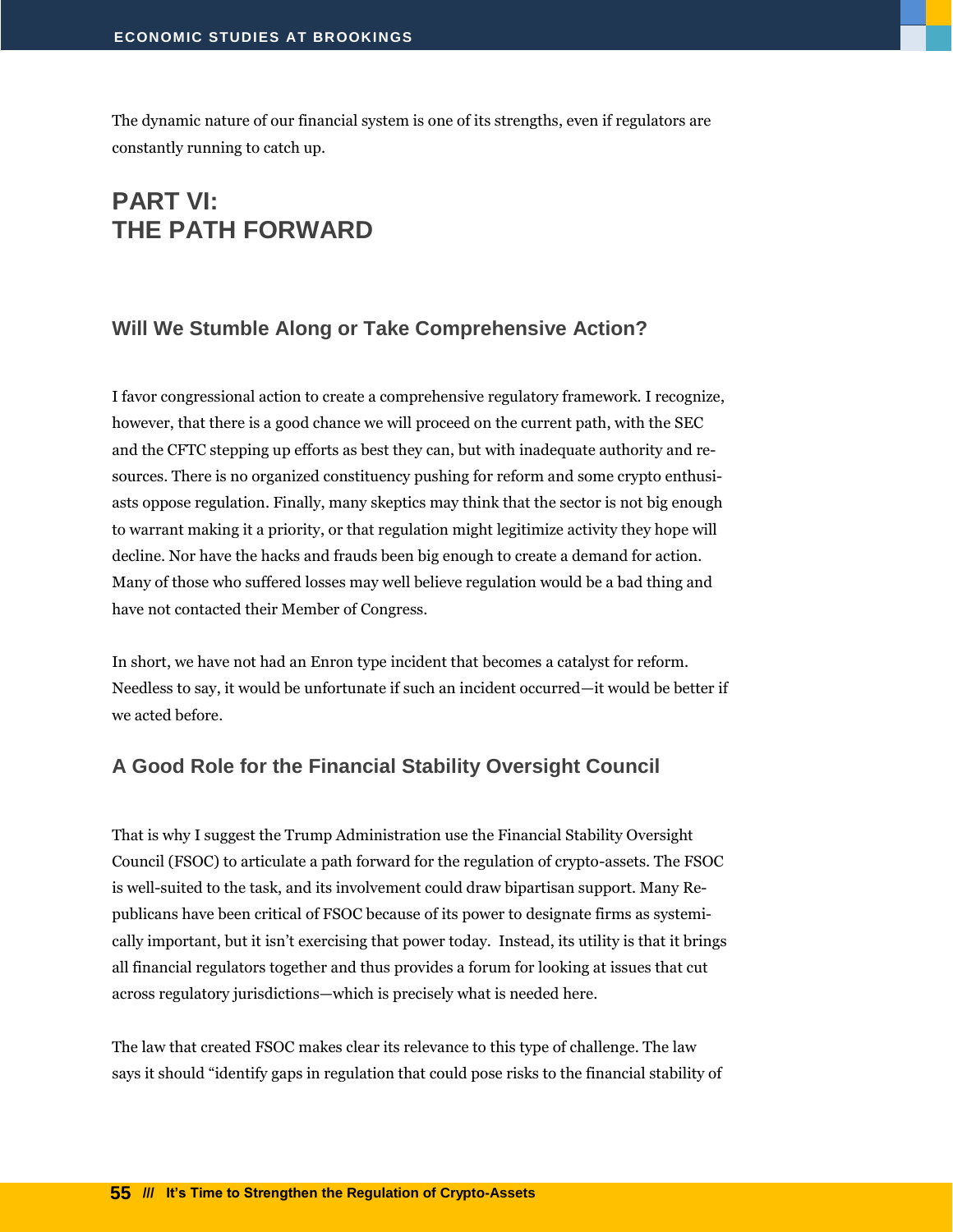The dynamic nature of our financial system is one of its strengths, even if regulators are constantly running to catch up.

# <span id="page-56-0"></span>**PART VI: THE PATH FORWARD**

#### <span id="page-56-1"></span>**Will We Stumble Along or Take Comprehensive Action?**

I favor congressional action to create a comprehensive regulatory framework. I recognize, however, that there is a good chance we will proceed on the current path, with the SEC and the CFTC stepping up efforts as best they can, but with inadequate authority and resources. There is no organized constituency pushing for reform and some crypto enthusiasts oppose regulation. Finally, many skeptics may think that the sector is not big enough to warrant making it a priority, or that regulation might legitimize activity they hope will decline. Nor have the hacks and frauds been big enough to create a demand for action. Many of those who suffered losses may well believe regulation would be a bad thing and have not contacted their Member of Congress.

In short, we have not had an Enron type incident that becomes a catalyst for reform. Needless to say, it would be unfortunate if such an incident occurred—it would be better if we acted before.

#### <span id="page-56-2"></span>**A Good Role for the Financial Stability Oversight Council**

That is why I suggest the Trump Administration use the Financial Stability Oversight Council (FSOC) to articulate a path forward for the regulation of crypto-assets. The FSOC is well-suited to the task, and its involvement could draw bipartisan support. Many Republicans have been critical of FSOC because of its power to designate firms as systemically important, but it isn't exercising that power today. Instead, its utility is that it brings all financial regulators together and thus provides a forum for looking at issues that cut across regulatory jurisdictions—which is precisely what is needed here.

The law that created FSOC makes clear its relevance to this type of challenge. The law says it should "identify gaps in regulation that could pose risks to the financial stability of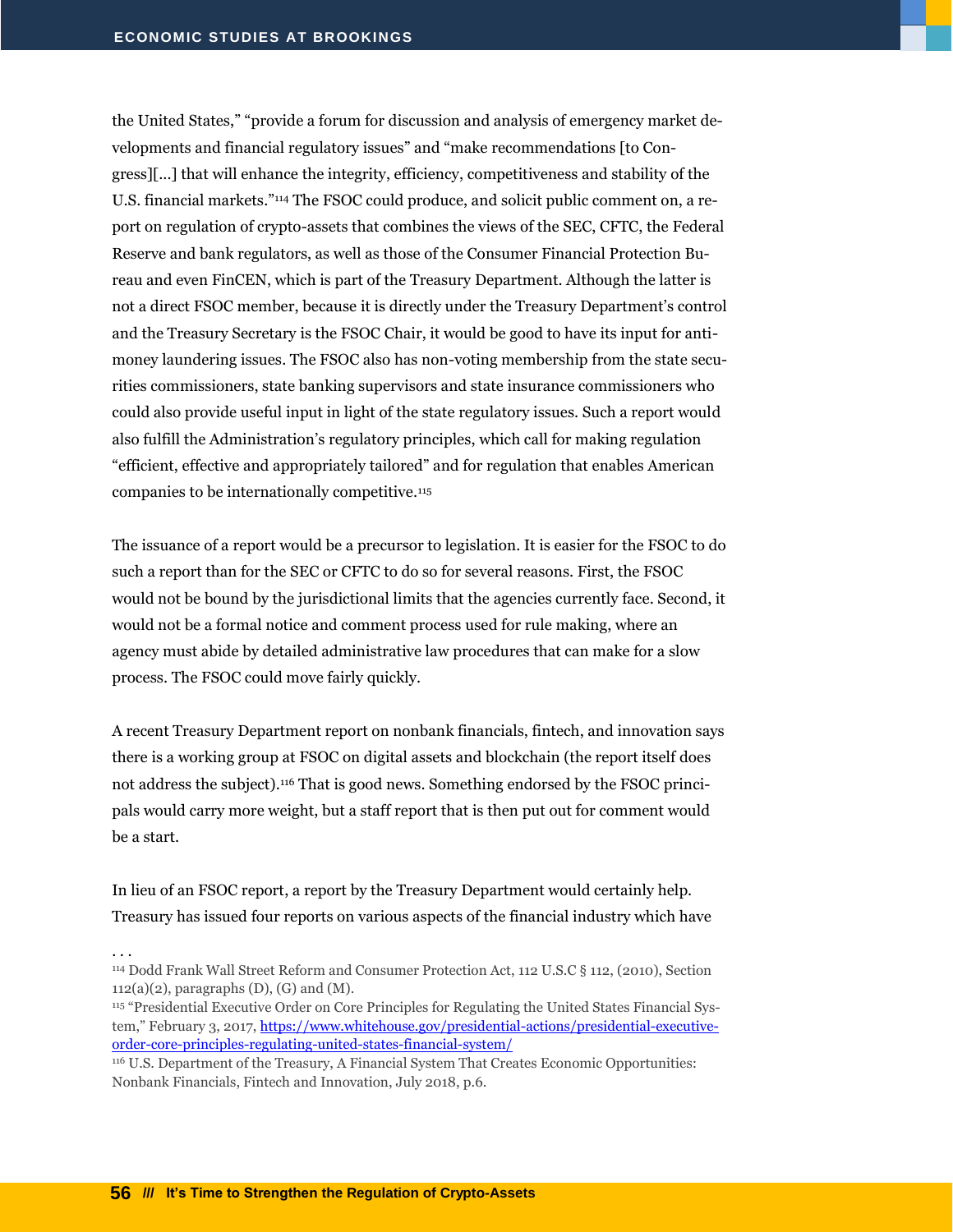the United States," "provide a forum for discussion and analysis of emergency market developments and financial regulatory issues" and "make recommendations [to Congress][...] that will enhance the integrity, efficiency, competitiveness and stability of the U.S. financial markets."<sup>114</sup> The FSOC could produce, and solicit public comment on, a report on regulation of crypto-assets that combines the views of the SEC, CFTC, the Federal Reserve and bank regulators, as well as those of the Consumer Financial Protection Bureau and even FinCEN, which is part of the Treasury Department. Although the latter is not a direct FSOC member, because it is directly under the Treasury Department's control and the Treasury Secretary is the FSOC Chair, it would be good to have its input for antimoney laundering issues. The FSOC also has non-voting membership from the state securities commissioners, state banking supervisors and state insurance commissioners who could also provide useful input in light of the state regulatory issues. Such a report would also fulfill the Administration's regulatory principles, which call for making regulation "efficient, effective and appropriately tailored" and for regulation that enables American companies to be internationally competitive.<sup>115</sup>

The issuance of a report would be a precursor to legislation. It is easier for the FSOC to do such a report than for the SEC or CFTC to do so for several reasons. First, the FSOC would not be bound by the jurisdictional limits that the agencies currently face. Second, it would not be a formal notice and comment process used for rule making, where an agency must abide by detailed administrative law procedures that can make for a slow process. The FSOC could move fairly quickly.

A recent Treasury Department report on nonbank financials, fintech, and innovation says there is a working group at FSOC on digital assets and blockchain (the report itself does not address the subject).<sup>116</sup> That is good news. Something endorsed by the FSOC principals would carry more weight, but a staff report that is then put out for comment would be a start.

In lieu of an FSOC report, a report by the Treasury Department would certainly help. Treasury has issued four reports on various aspects of the financial industry which have

<sup>114</sup> Dodd Frank Wall Street Reform and Consumer Protection Act, 112 U.S.C § 112, (2010), Section  $112(a)(2)$ , paragraphs  $(D)$ ,  $(G)$  and  $(M)$ .

<sup>115</sup> "Presidential Executive Order on Core Principles for Regulating the United States Financial System," February 3, 2017, [https://www.whitehouse.gov/presidential-actions/presidential-executive](https://www.whitehouse.gov/presidential-actions/presidential-executive-order-core-principles-regulating-united-states-financial-system/)[order-core-principles-regulating-united-states-financial-system/](https://www.whitehouse.gov/presidential-actions/presidential-executive-order-core-principles-regulating-united-states-financial-system/)

<sup>116</sup> U.S. Department of the Treasury, A Financial System That Creates Economic Opportunities: Nonbank Financials, Fintech and Innovation, July 2018, p.6.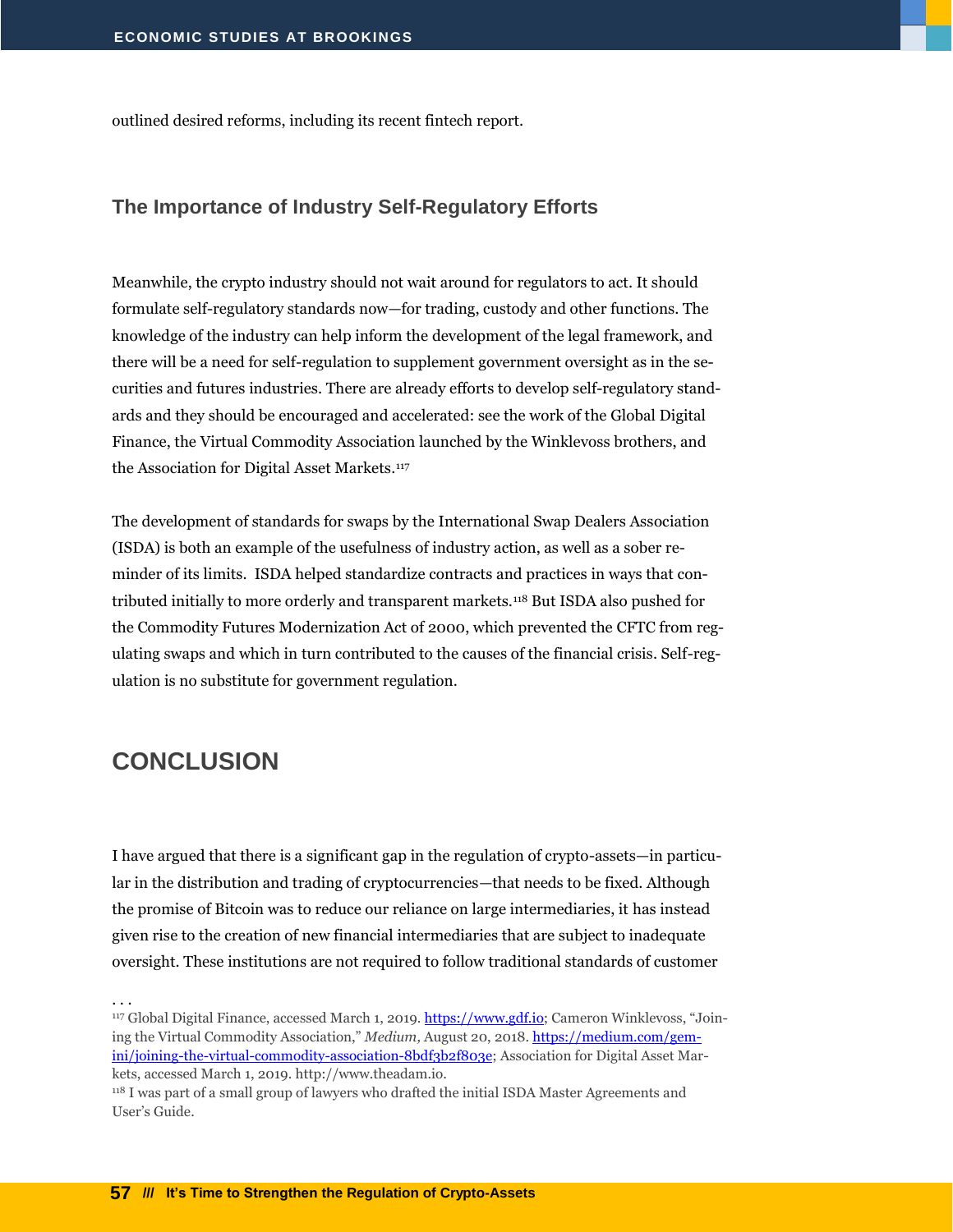outlined desired reforms, including its recent fintech report.

#### <span id="page-58-0"></span>**The Importance of Industry Self-Regulatory Efforts**

Meanwhile, the crypto industry should not wait around for regulators to act. It should formulate self-regulatory standards now—for trading, custody and other functions. The knowledge of the industry can help inform the development of the legal framework, and there will be a need for self-regulation to supplement government oversight as in the securities and futures industries. There are already efforts to develop self-regulatory standards and they should be encouraged and accelerated: see the work of the Global Digital Finance, the Virtual Commodity Association launched by the Winklevoss brothers, and the Association for Digital Asset Markets.<sup>117</sup>

The development of standards for swaps by the International Swap Dealers Association (ISDA) is both an example of the usefulness of industry action, as well as a sober reminder of its limits. ISDA helped standardize contracts and practices in ways that contributed initially to more orderly and transparent markets.<sup>118</sup> But ISDA also pushed for the Commodity Futures Modernization Act of 2000, which prevented the CFTC from regulating swaps and which in turn contributed to the causes of the financial crisis. Self-regulation is no substitute for government regulation.

### <span id="page-58-1"></span>**CONCLUSION**

I have argued that there is a significant gap in the regulation of crypto-assets—in particular in the distribution and trading of cryptocurrencies—that needs to be fixed. Although the promise of Bitcoin was to reduce our reliance on large intermediaries, it has instead given rise to the creation of new financial intermediaries that are subject to inadequate oversight. These institutions are not required to follow traditional standards of customer

. . .

<sup>117</sup> Global Digital Finance, accessed March 1, 2019. [https://www.gdf.io](https://www.gdf.io/); Cameron Winklevoss, "Joining the Virtual Commodity Association," *Medium,* August 20, 2018[. https://medium.com/gem](https://medium.com/gemini/joining-the-virtual-commodity-association-8bdf3b2f803e)[ini/joining-the-virtual-commodity-association-8bdf3b2f803e;](https://medium.com/gemini/joining-the-virtual-commodity-association-8bdf3b2f803e) Association for Digital Asset Markets, accessed March 1, 2019. http://www.theadam.io.

<sup>&</sup>lt;sup>118</sup> I was part of a small group of lawyers who drafted the initial ISDA Master Agreements and User's Guide.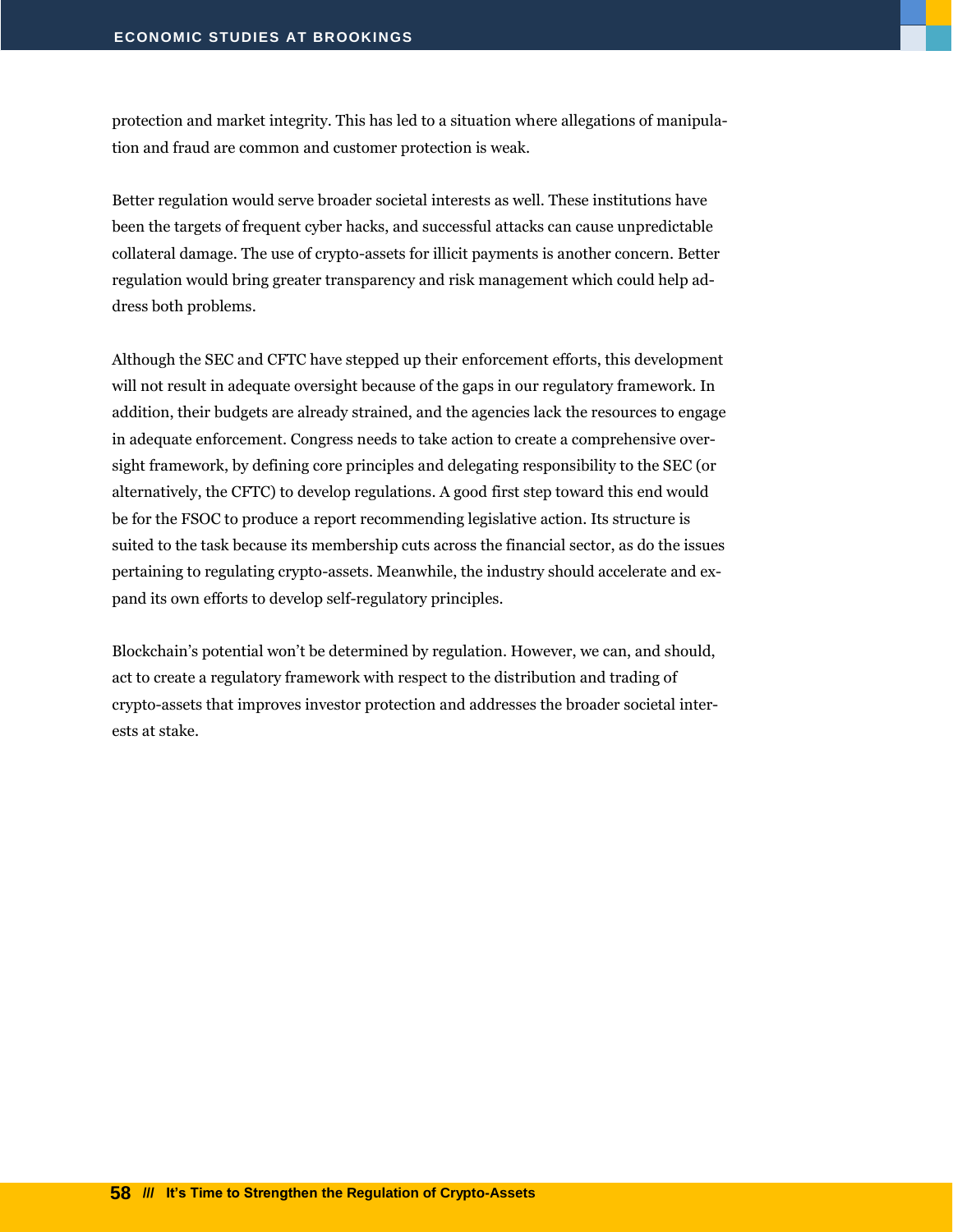protection and market integrity. This has led to a situation where allegations of manipulation and fraud are common and customer protection is weak.

Better regulation would serve broader societal interests as well. These institutions have been the targets of frequent cyber hacks, and successful attacks can cause unpredictable collateral damage. The use of crypto-assets for illicit payments is another concern. Better regulation would bring greater transparency and risk management which could help address both problems.

Although the SEC and CFTC have stepped up their enforcement efforts, this development will not result in adequate oversight because of the gaps in our regulatory framework. In addition, their budgets are already strained, and the agencies lack the resources to engage in adequate enforcement. Congress needs to take action to create a comprehensive oversight framework, by defining core principles and delegating responsibility to the SEC (or alternatively, the CFTC) to develop regulations. A good first step toward this end would be for the FSOC to produce a report recommending legislative action. Its structure is suited to the task because its membership cuts across the financial sector, as do the issues pertaining to regulating crypto-assets. Meanwhile, the industry should accelerate and expand its own efforts to develop self-regulatory principles.

Blockchain's potential won't be determined by regulation. However, we can, and should, act to create a regulatory framework with respect to the distribution and trading of crypto-assets that improves investor protection and addresses the broader societal interests at stake.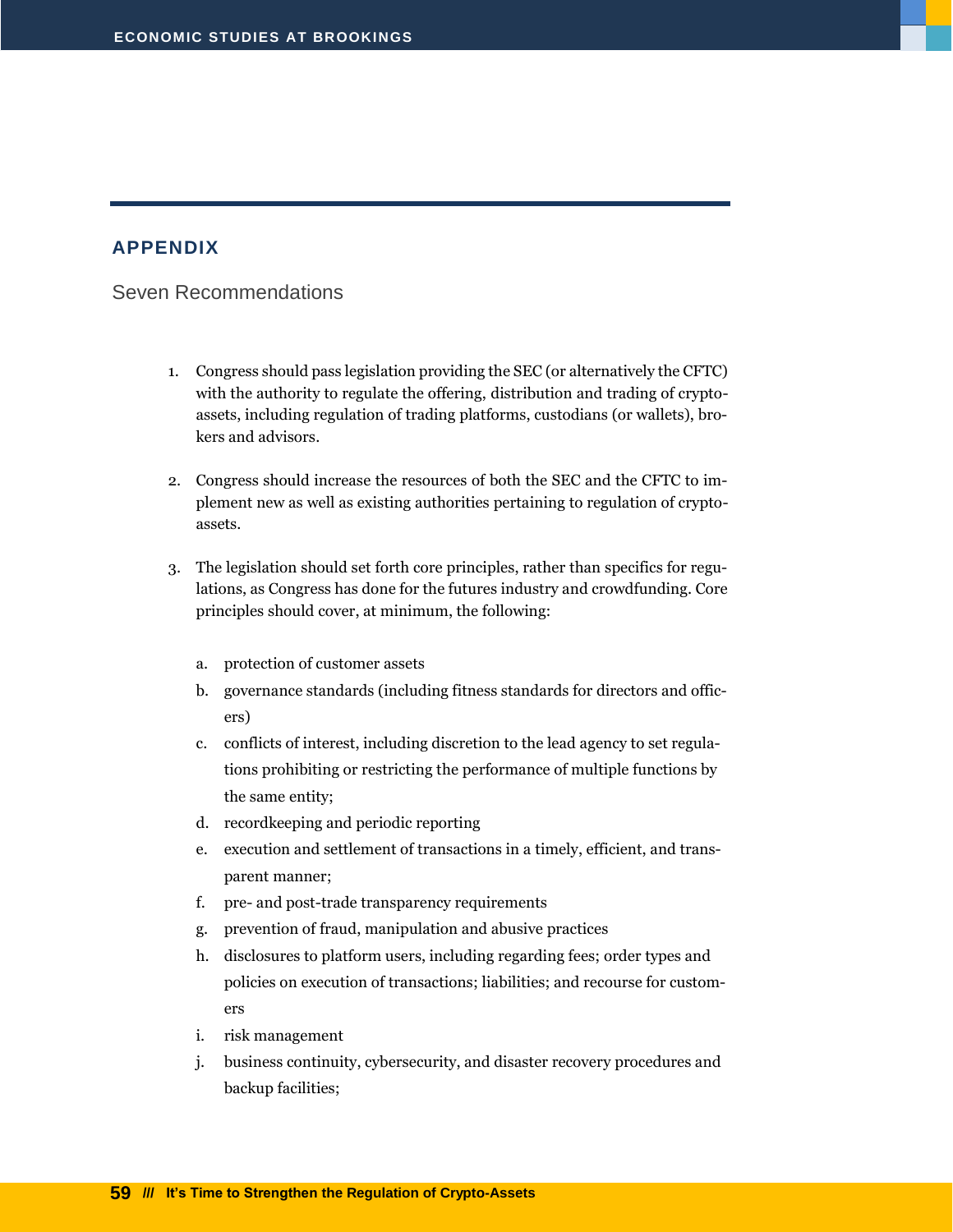#### <span id="page-60-0"></span>**APPENDIX**

<span id="page-60-1"></span>Seven Recommendations

- 1. Congress should pass legislation providing the SEC (or alternatively the CFTC) with the authority to regulate the offering, distribution and trading of cryptoassets, including regulation of trading platforms, custodians (or wallets), brokers and advisors.
- 2. Congress should increase the resources of both the SEC and the CFTC to implement new as well as existing authorities pertaining to regulation of cryptoassets.
- 3. The legislation should set forth core principles, rather than specifics for regulations, as Congress has done for the futures industry and crowdfunding. Core principles should cover, at minimum, the following:
	- a. protection of customer assets
	- b. governance standards (including fitness standards for directors and officers)
	- c. conflicts of interest, including discretion to the lead agency to set regulations prohibiting or restricting the performance of multiple functions by the same entity;
	- d. recordkeeping and periodic reporting
	- e. execution and settlement of transactions in a timely, efficient, and transparent manner;
	- f. pre- and post-trade transparency requirements
	- g. prevention of fraud, manipulation and abusive practices
	- h. disclosures to platform users, including regarding fees; order types and policies on execution of transactions; liabilities; and recourse for customers
	- i. risk management
	- j. business continuity, cybersecurity, and disaster recovery procedures and backup facilities;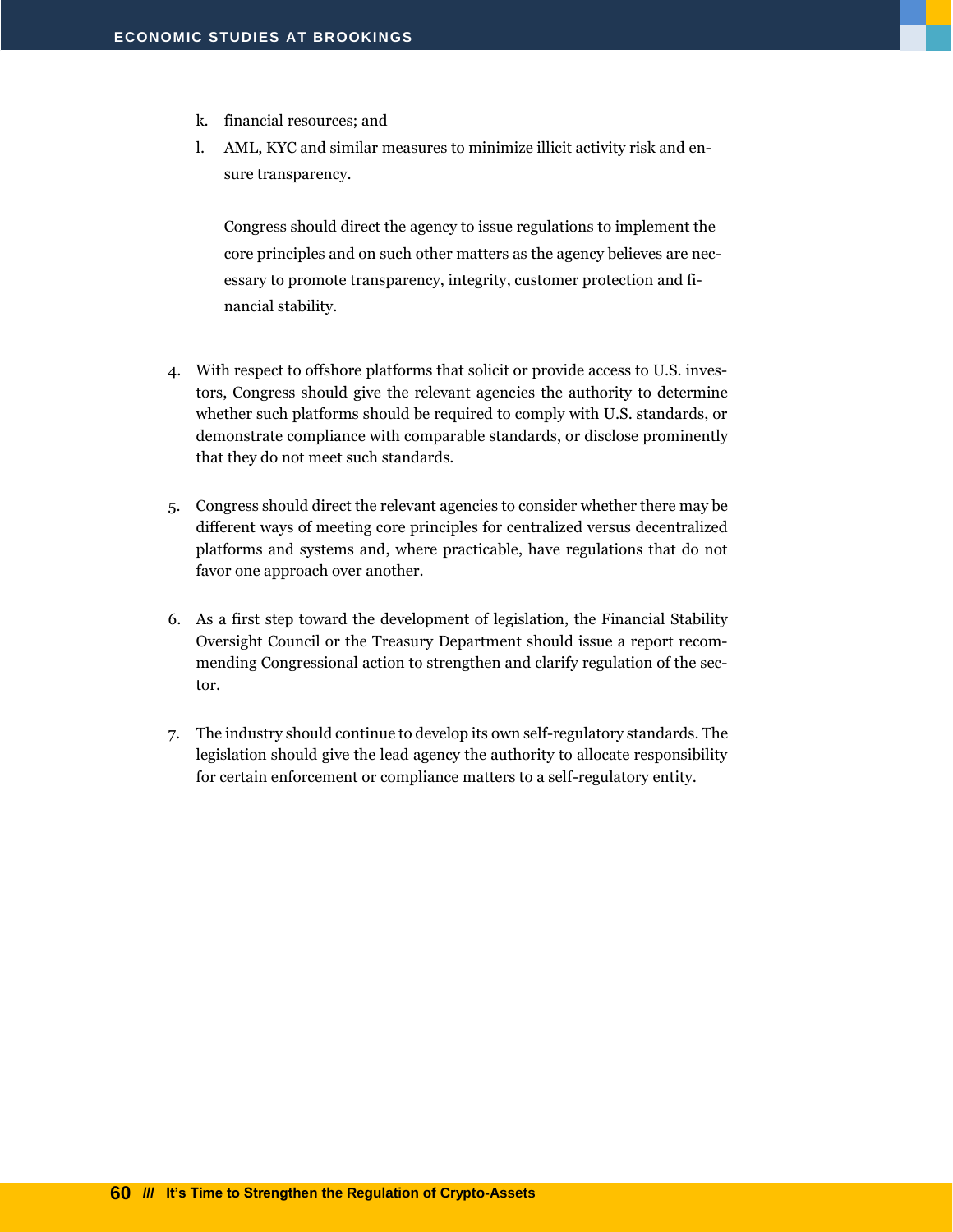- k. financial resources; and
- l. AML, KYC and similar measures to minimize illicit activity risk and ensure transparency.

Congress should direct the agency to issue regulations to implement the core principles and on such other matters as the agency believes are necessary to promote transparency, integrity, customer protection and financial stability.

- 4. With respect to offshore platforms that solicit or provide access to U.S. investors, Congress should give the relevant agencies the authority to determine whether such platforms should be required to comply with U.S. standards, or demonstrate compliance with comparable standards, or disclose prominently that they do not meet such standards.
- 5. Congress should direct the relevant agencies to consider whether there may be different ways of meeting core principles for centralized versus decentralized platforms and systems and, where practicable, have regulations that do not favor one approach over another.
- 6. As a first step toward the development of legislation, the Financial Stability Oversight Council or the Treasury Department should issue a report recommending Congressional action to strengthen and clarify regulation of the sector.
- 7. The industry should continue to develop its own self-regulatory standards. The legislation should give the lead agency the authority to allocate responsibility for certain enforcement or compliance matters to a self-regulatory entity.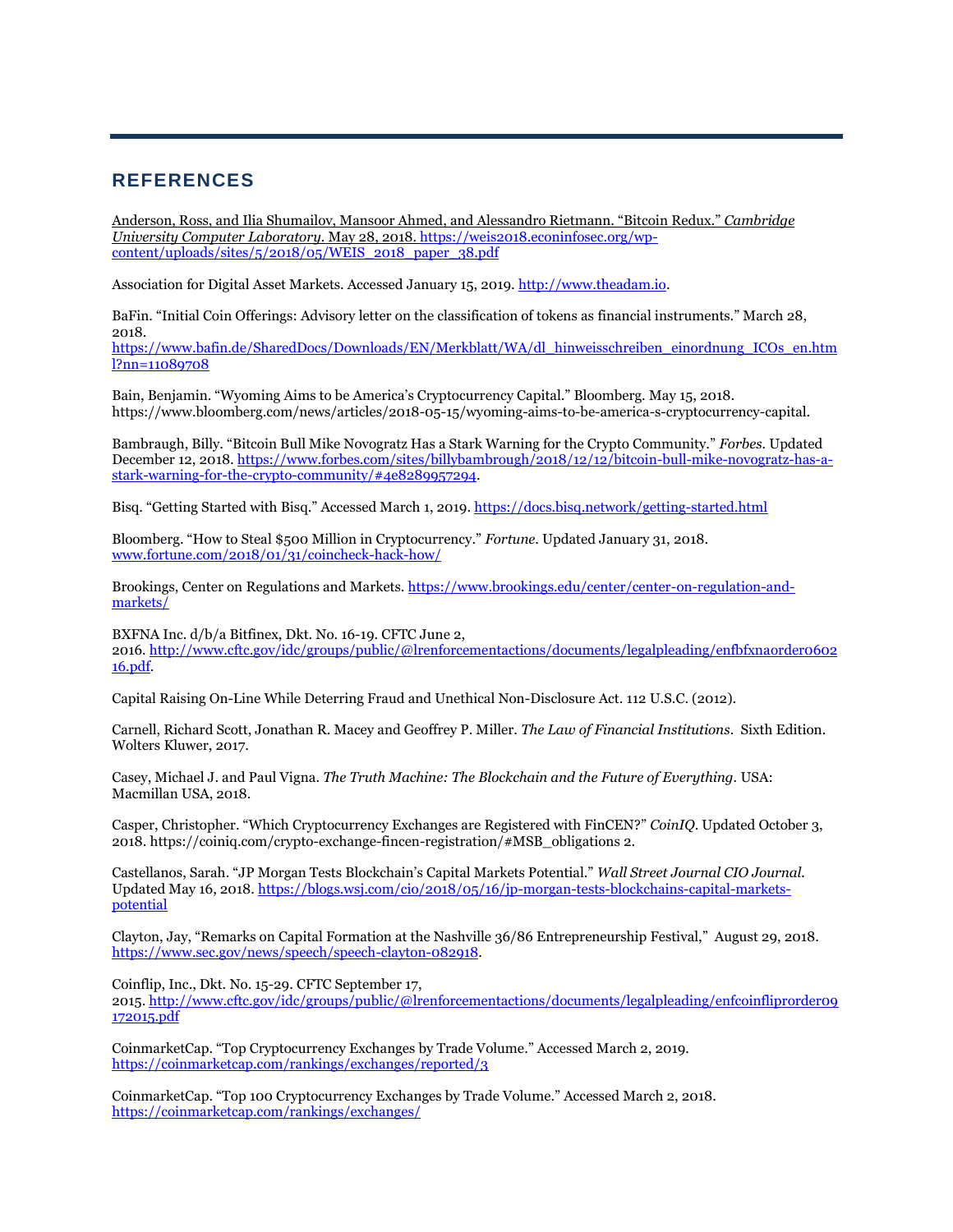#### <span id="page-62-0"></span>**REFERENCES**

Anderson, Ross, and Ilia Shumailov, Mansoor Ahmed, and Alessandro Rietmann. "Bitcoin Redux." *Cambridge University Computer Laboratory.* May 28, 2018. [https://weis2018.econinfosec.org/wp](https://weis2018.econinfosec.org/wp-content/uploads/sites/5/2018/05/WEIS_2018_paper_38.pdf)[content/uploads/sites/5/2018/05/WEIS\\_2018\\_paper\\_38.pdf](https://weis2018.econinfosec.org/wp-content/uploads/sites/5/2018/05/WEIS_2018_paper_38.pdf)

Association for Digital Asset Markets. Accessed January 15, 2019. [http://www.theadam.io.](http://www.theadam.io/)

BaFin. "Initial Coin Offerings: Advisory letter on the classification of tokens as financial instruments." March 28, 2018.

[https://www.bafin.de/SharedDocs/Downloads/EN/Merkblatt/WA/dl\\_hinweisschreiben\\_einordnung\\_ICOs\\_en.htm](https://www.bafin.de/SharedDocs/Downloads/EN/Merkblatt/WA/dl_hinweisschreiben_einordnung_ICOs_en.html?nn=11089708) [l?nn=11089708](https://www.bafin.de/SharedDocs/Downloads/EN/Merkblatt/WA/dl_hinweisschreiben_einordnung_ICOs_en.html?nn=11089708)

Bain, Benjamin. "Wyoming Aims to be America's Cryptocurrency Capital." Bloomberg. May 15, 2018. https://www.bloomberg.com/news/articles/2018-05-15/wyoming-aims-to-be-america-s-cryptocurrency-capital.

Bambraugh, Billy. "Bitcoin Bull Mike Novogratz Has a Stark Warning for the Crypto Community." *Forbes.* Updated December 12, 2018[. https://www.forbes.com/sites/billybambrough/2018/12/12/bitcoin-bull-mike-novogratz-has-a](https://www.forbes.com/sites/billybambrough/2018/12/12/bitcoin-bull-mike-novogratz-has-a-stark-warning-for-the-crypto-community/#4e8289957294)[stark-warning-for-the-crypto-community/#4e8289957294.](https://www.forbes.com/sites/billybambrough/2018/12/12/bitcoin-bull-mike-novogratz-has-a-stark-warning-for-the-crypto-community/#4e8289957294) 

Bisq. "Getting Started with Bisq." Accessed March 1, 2019. <https://docs.bisq.network/getting-started.html>

Bloomberg. "How to Steal \$500 Million in Cryptocurrency." *Fortune*. Updated January 31, 2018. [www.fortune.com/2018/01/31/coincheck-hack-how/](http://www.fortune.com/2018/01/31/coincheck-hack-how/)

Brookings, Center on Regulations and Markets[. https://www.brookings.edu/center/center-on-regulation-and](https://www.brookings.edu/center/center-on-regulation-and-markets/)[markets/](https://www.brookings.edu/center/center-on-regulation-and-markets/)

BXFNA Inc. d/b/a Bitfinex, Dkt. No. 16-19. CFTC June 2, 2016. [http://www.cftc.gov/idc/groups/public/@lrenforcementactions/documents/legalpleading/enfbfxnaorder0602](https://www.cftc.gov/idc/groups/public/@lrenforcementactions/documents/legalpleading/enfbfxnaorder060216.pdf) [16.pdf.](https://www.cftc.gov/idc/groups/public/@lrenforcementactions/documents/legalpleading/enfbfxnaorder060216.pdf)

Capital Raising On-Line While Deterring Fraud and Unethical Non-Disclosure Act. 112 U.S.C. (2012).

Carnell, Richard Scott, Jonathan R. Macey and Geoffrey P. Miller. *The Law of Financial Institutions*. Sixth Edition. Wolters Kluwer, 2017.

Casey, Michael J. and Paul Vigna. *The Truth Machine: The Blockchain and the Future of Everything*. USA: Macmillan USA, 2018.

Casper, Christopher. "Which Cryptocurrency Exchanges are Registered with FinCEN?" *CoinIQ*. Updated October 3, 2018. https://coiniq.com/crypto-exchange-fincen-registration/#MSB\_obligations 2.

Castellanos, Sarah. "JP Morgan Tests Blockchain's Capital Markets Potential." *Wall Street Journal CIO Journal.*  Updated May 16, 2018. [https://blogs.wsj.com/cio/2018/05/16/jp-morgan-tests-blockchains-capital-markets](https://blogs.wsj.com/cio/2018/05/16/jp-morgan-tests-blockchains-capital-markets-potential)[potential](https://blogs.wsj.com/cio/2018/05/16/jp-morgan-tests-blockchains-capital-markets-potential)

Clayton, Jay, "Remarks on Capital Formation at the Nashville 36/86 Entrepreneurship Festival," August 29, 2018. [https://www.sec.gov/news/speech/speech-clayton-082918.](https://www.sec.gov/news/speech/speech-clayton-082918) 

Coinflip, Inc., Dkt. No. 15-29. CFTC September 17,

2015. [http://www.cftc.gov/idc/groups/public/@lrenforcementactions/documents/legalpleading/enfcoinfliprorder09](https://www.cftc.gov/idc/groups/public/@lrenforcementactions/documents/legalpleading/enfcoinfliprorder09172015.pdf) [172015.pdf](https://www.cftc.gov/idc/groups/public/@lrenforcementactions/documents/legalpleading/enfcoinfliprorder09172015.pdf)

CoinmarketCap. "Top Cryptocurrency Exchanges by Trade Volume." Accessed March 2, 2019. <https://coinmarketcap.com/rankings/exchanges/reported/3>

CoinmarketCap. "Top 100 Cryptocurrency Exchanges by Trade Volume." Accessed March 2, 2018. <https://coinmarketcap.com/rankings/exchanges/>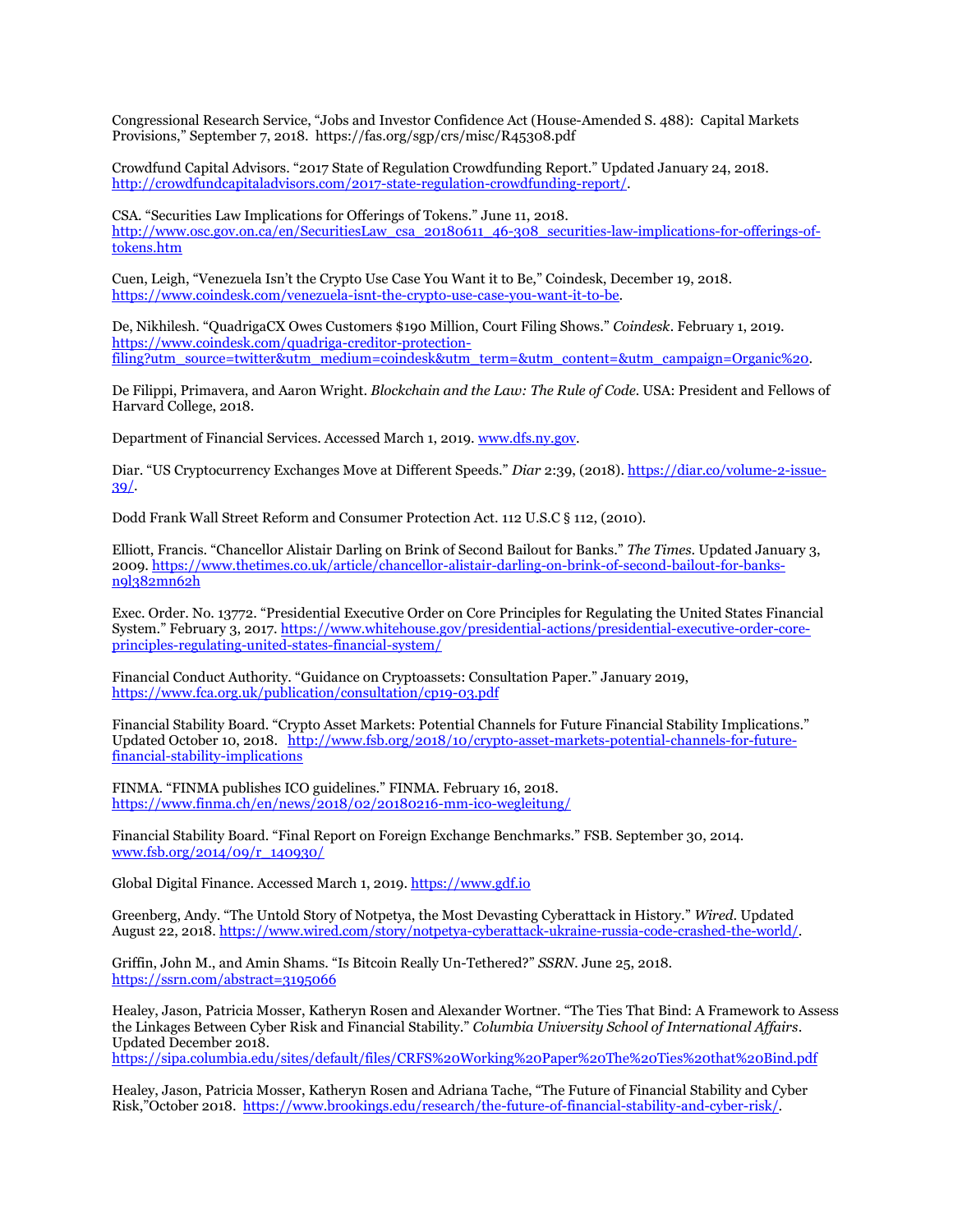Congressional Research Service, "Jobs and Investor Confidence Act (House-Amended S. 488): Capital Markets Provisions," September 7, 2018. https://fas.org/sgp/crs/misc/R45308.pdf

Crowdfund Capital Advisors. "2017 State of Regulation Crowdfunding Report." Updated January 24, 2018. [http://crowdfundcapitaladvisors.com/2017-state-regulation-crowdfunding-report/.](http://crowdfundcapitaladvisors.com/2017-state-regulation-crowdfunding-report/)

CSA. "Securities Law Implications for Offerings of Tokens." June 11, 2018. [http://www.osc.gov.on.ca/en/SecuritiesLaw\\_csa\\_20180611\\_46-308\\_securities-law-implications-for-offerings-of](http://www.osc.gov.on.ca/en/SecuritiesLaw_csa_20180611_46-308_securities-law-implications-for-offerings-of-tokens.htm)[tokens.htm](http://www.osc.gov.on.ca/en/SecuritiesLaw_csa_20180611_46-308_securities-law-implications-for-offerings-of-tokens.htm)

Cuen, Leigh, "Venezuela Isn't the Crypto Use Case You Want it to Be," Coindesk, December 19, 2018. [https://www.coindesk.com/venezuela-isnt-the-crypto-use-case-you-want-it-to-be.](https://www.coindesk.com/venezuela-isnt-the-crypto-use-case-you-want-it-to-be)

De, Nikhilesh. "QuadrigaCX Owes Customers \$190 Million, Court Filing Shows." *Coindesk.* February 1, 2019. [https://www.coindesk.com/quadriga-creditor-protection](https://www.coindesk.com/quadriga-creditor-protection-filing?utm_source=twitter&utm_medium=coindesk&utm_term=&utm_content=&utm_campaign=Organic%20)[filing?utm\\_source=twitter&utm\\_medium=coindesk&utm\\_term=&utm\\_content=&utm\\_campaign=Organic%20.](https://www.coindesk.com/quadriga-creditor-protection-filing?utm_source=twitter&utm_medium=coindesk&utm_term=&utm_content=&utm_campaign=Organic%20)

De Filippi, Primavera, and Aaron Wright. *Blockchain and the Law: The Rule of Code.* USA: President and Fellows of Harvard College, 2018.

Department of Financial Services. Accessed March 1, 2019[. www.dfs.ny.gov.](http://www.dfs.ny.gov/)

Diar. "US Cryptocurrency Exchanges Move at Different Speeds." *Diar* 2:39, (2018)[. https://diar.co/volume-2-issue-](https://diar.co/volume-2-issue-39/)[39/.](https://diar.co/volume-2-issue-39/) 

Dodd Frank Wall Street Reform and Consumer Protection Act. 112 U.S.C § 112, (2010).

Elliott, Francis. "Chancellor Alistair Darling on Brink of Second Bailout for Banks." *The Times*. Updated January 3, 2009. [https://www.thetimes.co.uk/article/chancellor-alistair-darling-on-brink-of-second-bailout-for-banks](https://www.thetimes.co.uk/article/chancellor-alistair-darling-on-brink-of-second-bailout-for-banks-n9l382mn62h)[n9l382mn62h](https://www.thetimes.co.uk/article/chancellor-alistair-darling-on-brink-of-second-bailout-for-banks-n9l382mn62h)

Exec. Order. No. 13772. "Presidential Executive Order on Core Principles for Regulating the United States Financial System." February 3, 2017. [https://www.whitehouse.gov/presidential-actions/presidential-executive-order-core](https://www.whitehouse.gov/presidential-actions/presidential-executive-order-core-principles-regulating-united-states-financial-system/)[principles-regulating-united-states-financial-system/](https://www.whitehouse.gov/presidential-actions/presidential-executive-order-core-principles-regulating-united-states-financial-system/)

Financial Conduct Authority. "Guidance on Cryptoassets: Consultation Paper." January 2019, <https://www.fca.org.uk/publication/consultation/cp19-03.pdf>

Financial Stability Board. "Crypto Asset Markets: Potential Channels for Future Financial Stability Implications." Updated October 10, 2018. [http://www.fsb.org/2018/10/crypto-asset-markets-potential-channels-for-future](http://www.fsb.org/2018/10/crypto-asset-markets-potential-channels-for-future-financial-stability-implications)[financial-stability-implications](http://www.fsb.org/2018/10/crypto-asset-markets-potential-channels-for-future-financial-stability-implications)

FINMA. "FINMA publishes ICO guidelines." FINMA. February 16, 2018. <https://www.finma.ch/en/news/2018/02/20180216-mm-ico-wegleitung/>

Financial Stability Board. "Final Report on Foreign Exchange Benchmarks." FSB. September 30, 2014. [www.fsb.org/2014/09/r\\_140930/](http://www.fsb.org/2014/09/r_140930/)

Global Digital Finance. Accessed March 1, 2019. [https://www.gdf.io](https://www.gdf.io/)

Greenberg, Andy. "The Untold Story of Notpetya, the Most Devasting Cyberattack in History." *Wired*. Updated August 22, 2018. [https://www.wired.com/story/notpetya-cyberattack-ukraine-russia-code-crashed-the-world/.](https://www.wired.com/story/notpetya-cyberattack-ukraine-russia-code-crashed-the-world/)

Griffin, John M., and Amin Shams. "Is Bitcoin Really Un-Tethered?" *SSRN.* June 25, 2018. <https://ssrn.com/abstract=3195066>

Healey, Jason, Patricia Mosser, Katheryn Rosen and Alexander Wortner. "The Ties That Bind: A Framework to Assess the Linkages Between Cyber Risk and Financial Stability." *Columbia University School of International Affairs*. Updated December 2018.

<https://sipa.columbia.edu/sites/default/files/CRFS%20Working%20Paper%20The%20Ties%20that%20Bind.pdf>

Healey, Jason, Patricia Mosser, Katheryn Rosen and Adriana Tache, "The Future of Financial Stability and Cyber Risk,"October 2018. [https://www.brookings.edu/research/the-future-of-financial-stability-and-cyber-risk/.](https://www.brookings.edu/research/the-future-of-financial-stability-and-cyber-risk/)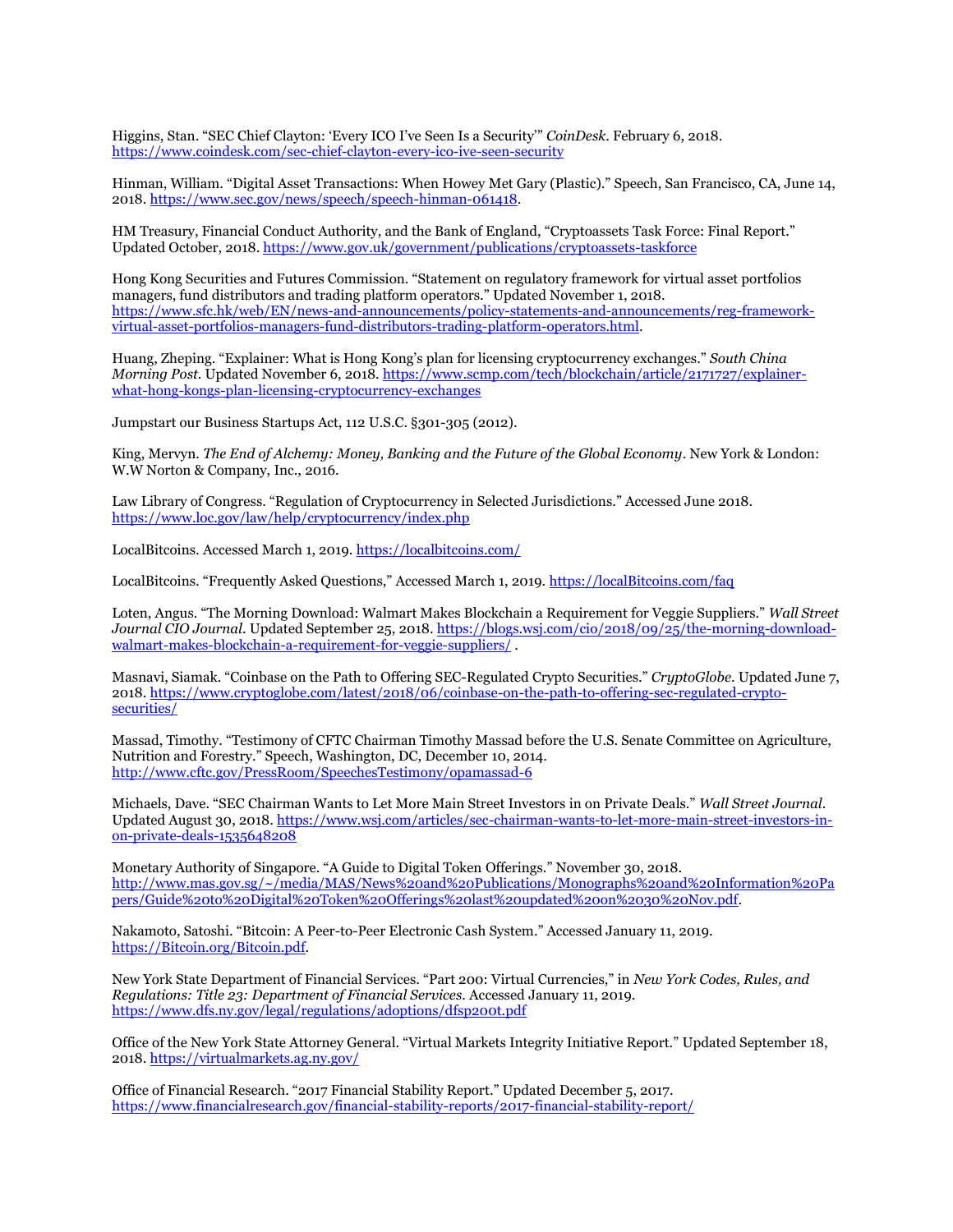Higgins, Stan. "SEC Chief Clayton: 'Every ICO I've Seen Is a Security'" *CoinDesk*. February 6, 2018. <https://www.coindesk.com/sec-chief-clayton-every-ico-ive-seen-security>

Hinman, William. "Digital Asset Transactions: When Howey Met Gary (Plastic)." Speech, San Francisco, CA, June 14, 2018[. https://www.sec.gov/news/speech/speech-hinman-061418.](https://www.sec.gov/news/speech/speech-hinman-061418)

HM Treasury, Financial Conduct Authority, and the Bank of England, "Cryptoassets Task Force: Final Report." Updated October, 2018[. https://www.gov.uk/government/publications/cryptoassets-taskforce](https://www.gov.uk/government/publications/cryptoassets-taskforce)

Hong Kong Securities and Futures Commission. "Statement on regulatory framework for virtual asset portfolios managers, fund distributors and trading platform operators." Updated November 1, 2018. [https://www.sfc.hk/web/EN/news-and-announcements/policy-statements-and-announcements/reg-framework](https://www.sfc.hk/web/EN/news-and-announcements/policy-statements-and-announcements/reg-framework-virtual-asset-portfolios-managers-fund-distributors-trading-platform-operators.html)[virtual-asset-portfolios-managers-fund-distributors-trading-platform-operators.html.](https://www.sfc.hk/web/EN/news-and-announcements/policy-statements-and-announcements/reg-framework-virtual-asset-portfolios-managers-fund-distributors-trading-platform-operators.html)

Huang, Zheping. "Explainer: What is Hong Kong's plan for licensing cryptocurrency exchanges." *South China Morning Post*. Updated November 6, 2018. [https://www.scmp.com/tech/blockchain/article/2171727/explainer](https://www.scmp.com/tech/blockchain/article/2171727/explainer-what-hong-kongs-plan-licensing-cryptocurrency-exchanges)[what-hong-kongs-plan-licensing-cryptocurrency-exchanges](https://www.scmp.com/tech/blockchain/article/2171727/explainer-what-hong-kongs-plan-licensing-cryptocurrency-exchanges)

Jumpstart our Business Startups Act, 112 U.S.C. §301-305 (2012).

King, Mervyn. *The End of Alchemy: Money, Banking and the Future of the Global Economy*. New York & London: W.W Norton & Company, Inc., 2016.

Law Library of Congress. "Regulation of Cryptocurrency in Selected Jurisdictions." Accessed June 2018. <https://www.loc.gov/law/help/cryptocurrency/index.php>

LocalBitcoins. Accessed March 1, 2019.<https://localbitcoins.com/>

LocalBitcoins. "Frequently Asked Questions," Accessed March 1, 2019. [https://localBitcoins.com/faq](https://localbitcoins.com/faq)

Loten, Angus. "The Morning Download: Walmart Makes Blockchain a Requirement for Veggie Suppliers." *Wall Street Journal CIO Journal*. Updated September 25, 2018. [https://blogs.wsj.com/cio/2018/09/25/the-morning-download](https://blogs.wsj.com/cio/2018/09/25/the-morning-download-walmart-makes-blockchain-a-requirement-for-veggie-suppliers/)[walmart-makes-blockchain-a-requirement-for-veggie-suppliers/](https://blogs.wsj.com/cio/2018/09/25/the-morning-download-walmart-makes-blockchain-a-requirement-for-veggie-suppliers/) .

Masnavi, Siamak. "Coinbase on the Path to Offering SEC-Regulated Crypto Securities." *CryptoGlobe*. Updated June 7, 2018[. https://www.cryptoglobe.com/latest/2018/06/coinbase-on-the-path-to-offering-sec-regulated-crypto](https://www.cryptoglobe.com/latest/2018/06/coinbase-on-the-path-to-offering-sec-regulated-crypto-securities/)[securities/](https://www.cryptoglobe.com/latest/2018/06/coinbase-on-the-path-to-offering-sec-regulated-crypto-securities/)

Massad, Timothy. "Testimony of CFTC Chairman Timothy Massad before the U.S. Senate Committee on Agriculture, Nutrition and Forestry." Speech, Washington, DC, December 10, 2014. [http://www.cftc.gov/PressRoom/SpeechesTestimony/opamassad-6](https://www.cftc.gov/PressRoom/SpeechesTestimony/opamassad-6)

Michaels, Dave. "SEC Chairman Wants to Let More Main Street Investors in on Private Deals." *Wall Street Journal*. Updated August 30, 2018. [https://www.wsj.com/articles/sec-chairman-wants-to-let-more-main-street-investors-in](https://www.wsj.com/articles/sec-chairman-wants-to-let-more-main-street-investors-in-on-private-deals-1535648208)[on-private-deals-1535648208](https://www.wsj.com/articles/sec-chairman-wants-to-let-more-main-street-investors-in-on-private-deals-1535648208)

Monetary Authority of Singapore. "A Guide to Digital Token Offerings." November 30, 2018. [http://www.mas.gov.sg/~/media/MAS/News%20and%20Publications/Monographs%20and%20Information%20Pa](http://www.mas.gov.sg/~/media/MAS/News%20and%20Publications/Monographs%20and%20Information%20Papers/Guide%20to%20Digital%20Token%20Offerings%20last%20updated%20on%2030%20Nov.pdf) [pers/Guide%20to%20Digital%20Token%20Offerings%20last%20updated%20on%2030%20Nov.pdf.](http://www.mas.gov.sg/~/media/MAS/News%20and%20Publications/Monographs%20and%20Information%20Papers/Guide%20to%20Digital%20Token%20Offerings%20last%20updated%20on%2030%20Nov.pdf)

Nakamoto, Satoshi. "Bitcoin: A Peer-to-Peer Electronic Cash System." Accessed January 11, 2019. [https://Bitcoin.org/Bitcoin.pdf.](https://bitcoin.org/Bitcoin.pdf)

New York State Department of Financial Services. "Part 200: Virtual Currencies," in *New York Codes, Rules, and Regulations: Title 23: Department of Financial Services.* Accessed January 11, 2019. <https://www.dfs.ny.gov/legal/regulations/adoptions/dfsp200t.pdf>

Office of the New York State Attorney General. "Virtual Markets Integrity Initiative Report." Updated September 18, 2018[. https://virtualmarkets.ag.ny.gov/](https://virtualmarkets.ag.ny.gov/)

Office of Financial Research. "2017 Financial Stability Report." Updated December 5, 2017. <https://www.financialresearch.gov/financial-stability-reports/2017-financial-stability-report/>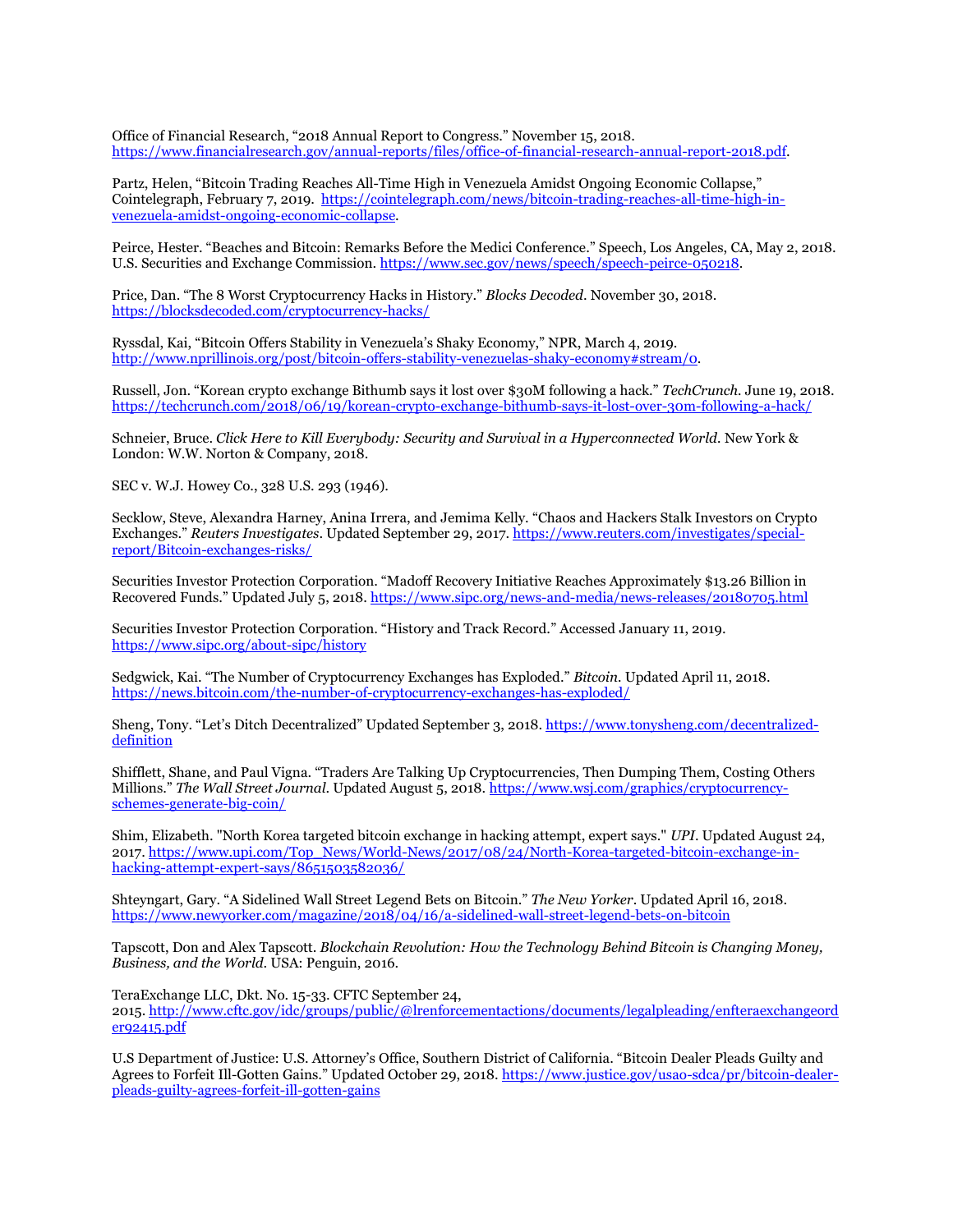Office of Financial Research, "2018 Annual Report to Congress." November 15, 2018. [https://www.financialresearch.gov/annual-reports/files/office-of-financial-research-annual-report-2018.pdf.](https://www.financialresearch.gov/annual-reports/files/office-of-financial-research-annual-report-2018.pdf)

Partz, Helen, "Bitcoin Trading Reaches All-Time High in Venezuela Amidst Ongoing Economic Collapse," Cointelegraph, February 7, 2019. [https://cointelegraph.com/news/bitcoin-trading-reaches-all-time-high-in](https://cointelegraph.com/news/bitcoin-trading-reaches-all-time-high-in-venezuela-amidst-ongoing-economic-collapse)[venezuela-amidst-ongoing-economic-collapse.](https://cointelegraph.com/news/bitcoin-trading-reaches-all-time-high-in-venezuela-amidst-ongoing-economic-collapse)

Peirce, Hester. "Beaches and Bitcoin: Remarks Before the Medici Conference." Speech, Los Angeles, CA, May 2, 2018. U.S. Securities and Exchange Commission. [https://www.sec.gov/news/speech/speech-peirce-050218.](https://www.sec.gov/news/speech/speech-peirce-050218)

Price, Dan. "The 8 Worst Cryptocurrency Hacks in History." *Blocks Decoded*. November 30, 2018. <https://blocksdecoded.com/cryptocurrency-hacks/>

Ryssdal, Kai, "Bitcoin Offers Stability in Venezuela's Shaky Economy," NPR, March 4, 2019. [http://www.nprillinois.org/post/bitcoin-offers-stability-venezuelas-shaky-economy#stream/0.](http://www.nprillinois.org/post/bitcoin-offers-stability-venezuelas-shaky-economy#stream/0) 

Russell, Jon. "Korean crypto exchange Bithumb says it lost over \$30M following a hack." *TechCrunch.* June 19, 2018. <https://techcrunch.com/2018/06/19/korean-crypto-exchange-bithumb-says-it-lost-over-30m-following-a-hack/>

Schneier, Bruce. *Click Here to Kill Everybody: Security and Survival in a Hyperconnected World.* New York & London: W.W. Norton & Company, 2018.

SEC v. W.J. Howey Co., 328 U.S. 293 (1946).

Secklow, Steve, Alexandra Harney, Anina Irrera, and Jemima Kelly. "Chaos and Hackers Stalk Investors on Crypto Exchanges." *Reuters Investigates*. Updated September 29, 2017[. https://www.reuters.com/investigates/special](https://www.reuters.com/investigates/special-report/Bitcoin-exchanges-risks/)[report/Bitcoin-exchanges-risks/](https://www.reuters.com/investigates/special-report/Bitcoin-exchanges-risks/)

Securities Investor Protection Corporation. "Madoff Recovery Initiative Reaches Approximately \$13.26 Billion in Recovered Funds." Updated July 5, 2018. <https://www.sipc.org/news-and-media/news-releases/20180705.html>

Securities Investor Protection Corporation. "History and Track Record." Accessed January 11, 2019. <https://www.sipc.org/about-sipc/history>

Sedgwick, Kai. "The Number of Cryptocurrency Exchanges has Exploded." *Bitcoin.* Updated April 11, 2018. <https://news.bitcoin.com/the-number-of-cryptocurrency-exchanges-has-exploded/>

Sheng, Tony. "Let's Ditch Decentralized" Updated September 3, 2018. [https://www.tonysheng.com/decentralized](https://www.tonysheng.com/decentralized-definition)[definition](https://www.tonysheng.com/decentralized-definition)

Shifflett, Shane, and Paul Vigna. "Traders Are Talking Up Cryptocurrencies, Then Dumping Them, Costing Others Millions." *The Wall Street Journal*. Updated August 5, 2018[. https://www.wsj.com/graphics/cryptocurrency](https://www.wsj.com/graphics/cryptocurrency-schemes-generate-big-coin/)[schemes-generate-big-coin/](https://www.wsj.com/graphics/cryptocurrency-schemes-generate-big-coin/)

Shim, Elizabeth. "North Korea targeted bitcoin exchange in hacking attempt, expert says." *UPI*. Updated August 24, 2017[. https://www.upi.com/Top\\_News/World-News/2017/08/24/North-Korea-targeted-bitcoin-exchange-in](https://www.upi.com/Top_News/World-News/2017/08/24/North-Korea-targeted-bitcoin-exchange-in-hacking-attempt-expert-says/8651503582036/)[hacking-attempt-expert-says/8651503582036/](https://www.upi.com/Top_News/World-News/2017/08/24/North-Korea-targeted-bitcoin-exchange-in-hacking-attempt-expert-says/8651503582036/)

Shteyngart, Gary. "A Sidelined Wall Street Legend Bets on Bitcoin." *The New Yorker*. Updated April 16, 2018. <https://www.newyorker.com/magazine/2018/04/16/a-sidelined-wall-street-legend-bets-on-bitcoin>

Tapscott, Don and Alex Tapscott. *Blockchain Revolution: How the Technology Behind Bitcoin is Changing Money, Business, and the World*. USA: Penguin, 2016.

TeraExchange LLC, Dkt. No. 15-33. CFTC September 24,

2015. [http://www.cftc.gov/idc/groups/public/@lrenforcementactions/documents/legalpleading/enfteraexchangeord](https://www.cftc.gov/idc/groups/public/@lrenforcementactions/documents/legalpleading/enfteraexchangeorder92415.pdf) [er92415.pdf](https://www.cftc.gov/idc/groups/public/@lrenforcementactions/documents/legalpleading/enfteraexchangeorder92415.pdf)

U.S Department of Justice: U.S. Attorney's Office, Southern District of California. "Bitcoin Dealer Pleads Guilty and Agrees to Forfeit Ill-Gotten Gains." Updated October 29, 2018. [https://www.justice.gov/usao-sdca/pr/bitcoin-dealer](https://www.justice.gov/usao-sdca/pr/bitcoin-dealer-pleads-guilty-agrees-forfeit-ill-gotten-gains)[pleads-guilty-agrees-forfeit-ill-gotten-gains](https://www.justice.gov/usao-sdca/pr/bitcoin-dealer-pleads-guilty-agrees-forfeit-ill-gotten-gains)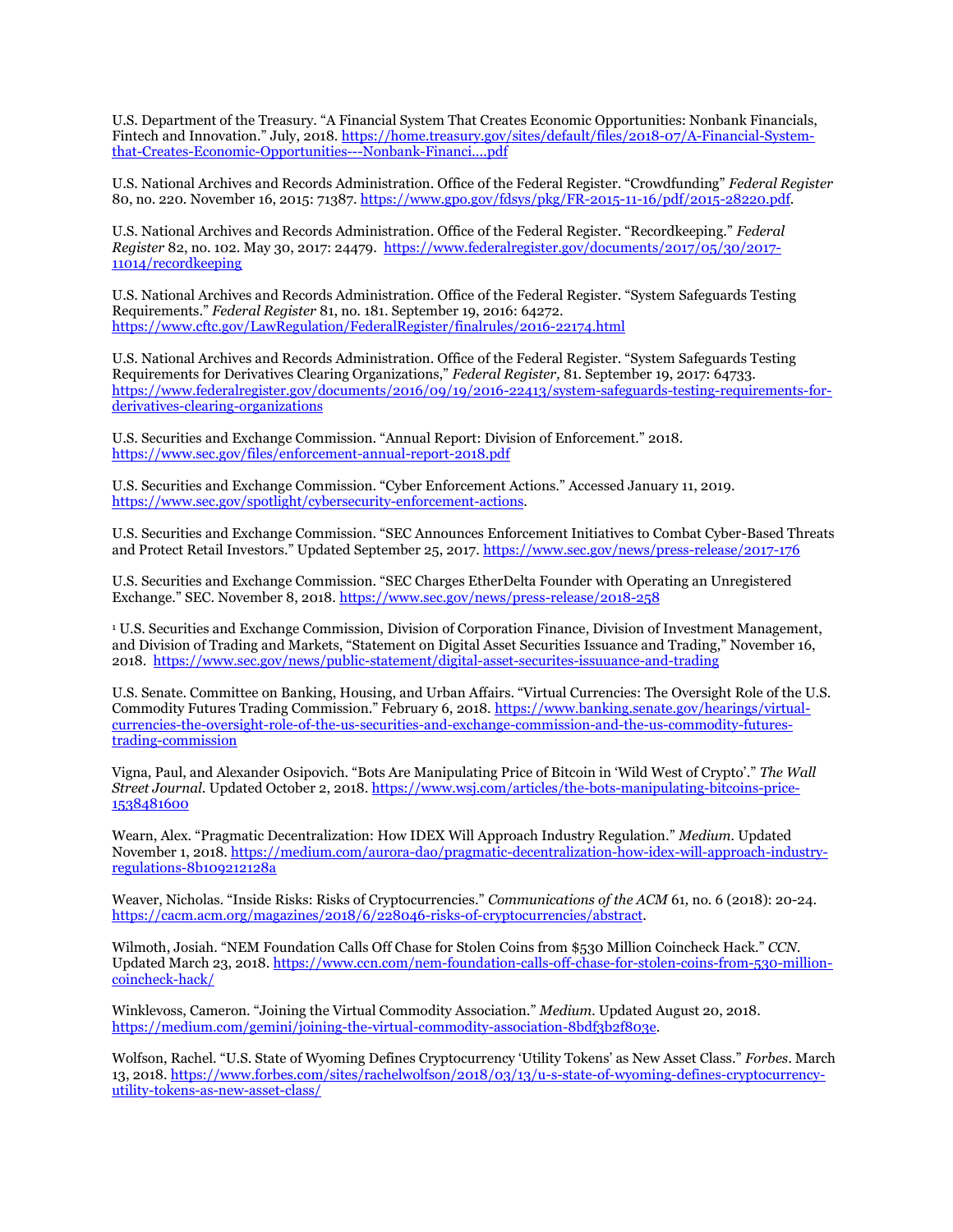U.S. Department of the Treasury. "A Financial System That Creates Economic Opportunities: Nonbank Financials, Fintech and Innovation." July, 2018. [https://home.treasury.gov/sites/default/files/2018-07/A-Financial-System](https://home.treasury.gov/sites/default/files/2018-07/A-Financial-System-that-Creates-Economic-Opportunities---Nonbank-Financi....pdf)[that-Creates-Economic-Opportunities---Nonbank-Financi....pdf](https://home.treasury.gov/sites/default/files/2018-07/A-Financial-System-that-Creates-Economic-Opportunities---Nonbank-Financi....pdf)

U.S. National Archives and Records Administration. Office of the Federal Register. "Crowdfunding" *Federal Register*  80, no. 220. November 16, 2015: 71387[. https://www.gpo.gov/fdsys/pkg/FR-2015-11-16/pdf/2015-28220.pdf.](https://www.gpo.gov/fdsys/pkg/FR-2015-11-16/pdf/2015-28220.pdf)

U.S. National Archives and Records Administration. Office of the Federal Register. "Recordkeeping." *Federal Register* 82, no. 102. May 30, 2017: 24479. [https://www.federalregister.gov/documents/2017/05/30/2017-](https://www.federalregister.gov/documents/2017/05/30/2017-11014/recordkeeping) [11014/recordkeeping](https://www.federalregister.gov/documents/2017/05/30/2017-11014/recordkeeping)

U.S. National Archives and Records Administration. Office of the Federal Register. "System Safeguards Testing Requirements." *Federal Register* 81, no. 181. September 19, 2016: 64272. <https://www.cftc.gov/LawRegulation/FederalRegister/finalrules/2016-22174.html>

U.S. National Archives and Records Administration. Office of the Federal Register. "System Safeguards Testing Requirements for Derivatives Clearing Organizations," *Federal Register,* 81. September 19, 2017: 64733. [https://www.federalregister.gov/documents/2016/09/19/2016-22413/system-safeguards-testing-requirements-for](https://www.federalregister.gov/documents/2016/09/19/2016-22413/system-safeguards-testing-requirements-for-derivatives-clearing-organizations)[derivatives-clearing-organizations](https://www.federalregister.gov/documents/2016/09/19/2016-22413/system-safeguards-testing-requirements-for-derivatives-clearing-organizations)

U.S. Securities and Exchange Commission. "Annual Report: Division of Enforcement." 2018. <https://www.sec.gov/files/enforcement-annual-report-2018.pdf>

U.S. Securities and Exchange Commission. "Cyber Enforcement Actions." Accessed January 11, 2019. [https://www.sec.gov/spotlight/cybersecurity-enforcement-actions.](https://www.sec.gov/spotlight/cybersecurity-enforcement-actions)

U.S. Securities and Exchange Commission. "SEC Announces Enforcement Initiatives to Combat Cyber-Based Threats and Protect Retail Investors." Updated September 25, 2017. <https://www.sec.gov/news/press-release/2017-176>

U.S. Securities and Exchange Commission. "SEC Charges EtherDelta Founder with Operating an Unregistered Exchange." SEC. November 8, 2018. <https://www.sec.gov/news/press-release/2018-258>

<sup>1</sup> U.S. Securities and Exchange Commission, Division of Corporation Finance, Division of Investment Management, and Division of Trading and Markets, "Statement on Digital Asset Securities Issuance and Trading," November 16, 2018.<https://www.sec.gov/news/public-statement/digital-asset-securites-issuuance-and-trading>

U.S. Senate. Committee on Banking, Housing, and Urban Affairs. "Virtual Currencies: The Oversight Role of the U.S. Commodity Futures Trading Commission." February 6, 2018. [https://www.banking.senate.gov/hearings/virtual](https://www.banking.senate.gov/hearings/virtual-currencies-the-oversight-role-of-the-us-securities-and-exchange-commission-and-the-us-commodity-futures-trading-commission)[currencies-the-oversight-role-of-the-us-securities-and-exchange-commission-and-the-us-commodity-futures](https://www.banking.senate.gov/hearings/virtual-currencies-the-oversight-role-of-the-us-securities-and-exchange-commission-and-the-us-commodity-futures-trading-commission)[trading-commission](https://www.banking.senate.gov/hearings/virtual-currencies-the-oversight-role-of-the-us-securities-and-exchange-commission-and-the-us-commodity-futures-trading-commission)

Vigna, Paul, and Alexander Osipovich. "Bots Are Manipulating Price of Bitcoin in 'Wild West of Crypto'." *The Wall Street Journal*. Updated October 2, 2018. [https://www.wsj.com/articles/the-bots-manipulating-bitcoins-price-](https://www.wsj.com/articles/the-bots-manipulating-bitcoins-price-1538481600)[1538481600](https://www.wsj.com/articles/the-bots-manipulating-bitcoins-price-1538481600)

Wearn, Alex. "Pragmatic Decentralization: How IDEX Will Approach Industry Regulation." *Medium.* Updated November 1, 2018[. https://medium.com/aurora-dao/pragmatic-decentralization-how-idex-will-approach-industry](https://medium.com/aurora-dao/pragmatic-decentralization-how-idex-will-approach-industry-regulations-8b109212128a)[regulations-8b109212128a](https://medium.com/aurora-dao/pragmatic-decentralization-how-idex-will-approach-industry-regulations-8b109212128a)

Weaver, Nicholas. "Inside Risks: Risks of Cryptocurrencies." *Communications of the ACM* 61*,* no. 6 (2018): 20-24. [https://cacm.acm.org/magazines/2018/6/228046-risks-of-cryptocurrencies/abstract.](https://cacm.acm.org/magazines/2018/6/228046-risks-of-cryptocurrencies/abstract)

Wilmoth, Josiah. "NEM Foundation Calls Off Chase for Stolen Coins from \$530 Million Coincheck Hack." *CCN*. Updated March 23, 2018[. https://www.ccn.com/nem-foundation-calls-off-chase-for-stolen-coins-from-530-million](https://www.ccn.com/nem-foundation-calls-off-chase-for-stolen-coins-from-530-million-coincheck-hack/)[coincheck-hack/](https://www.ccn.com/nem-foundation-calls-off-chase-for-stolen-coins-from-530-million-coincheck-hack/)

Winklevoss, Cameron. "Joining the Virtual Commodity Association." *Medium.* Updated August 20, 2018. [https://medium.com/gemini/joining-the-virtual-commodity-association-8bdf3b2f803e.](https://medium.com/gemini/joining-the-virtual-commodity-association-8bdf3b2f803e)

Wolfson, Rachel. "U.S. State of Wyoming Defines Cryptocurrency 'Utility Tokens' as New Asset Class." *Forbes*. March 13, 2018. [https://www.forbes.com/sites/rachelwolfson/2018/03/13/u-s-state-of-wyoming-defines-cryptocurrency](https://www.forbes.com/sites/rachelwolfson/2018/03/13/u-s-state-of-wyoming-defines-cryptocurrency-utility-tokens-as-new-asset-class/)[utility-tokens-as-new-asset-class/](https://www.forbes.com/sites/rachelwolfson/2018/03/13/u-s-state-of-wyoming-defines-cryptocurrency-utility-tokens-as-new-asset-class/)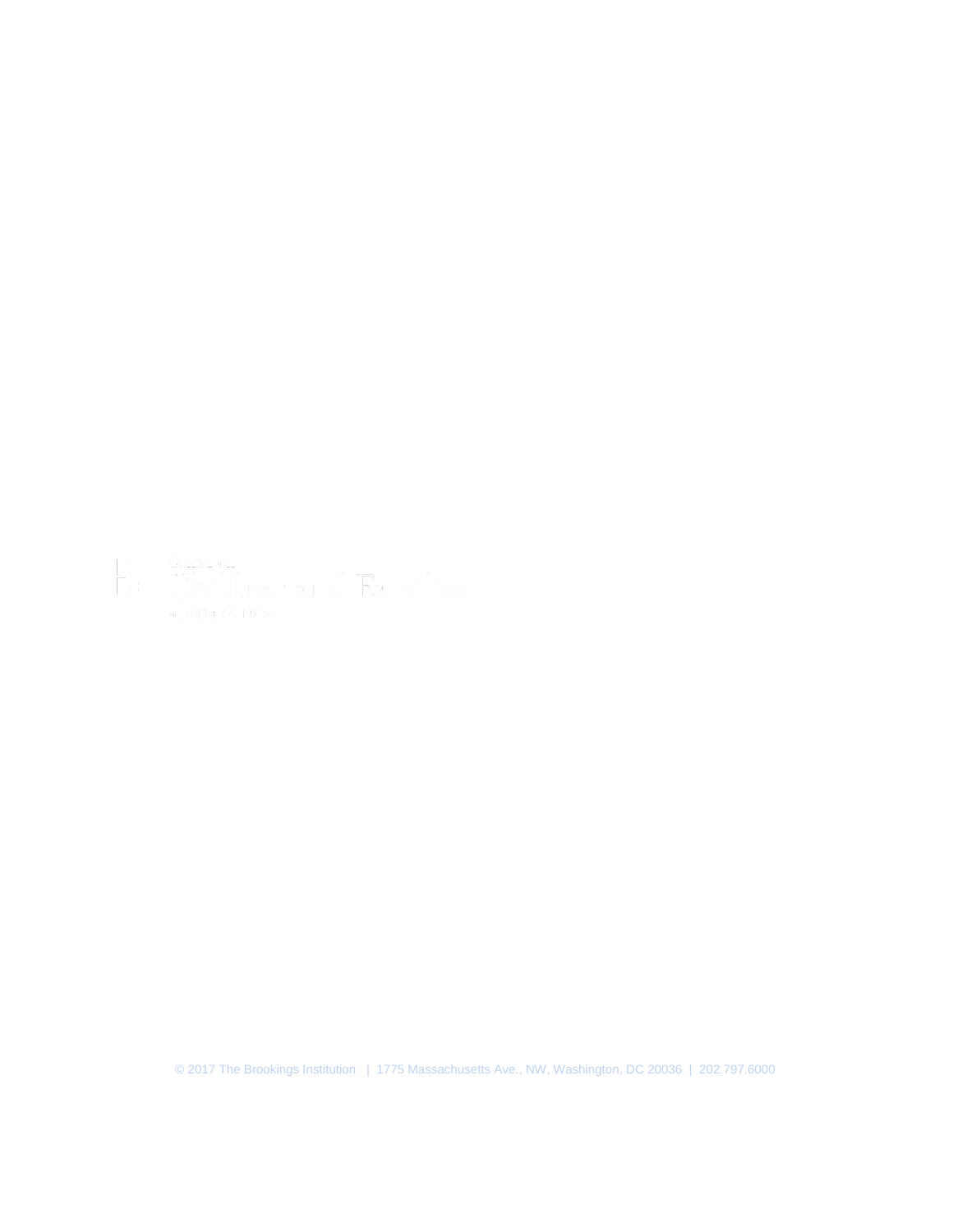© 2017 The Brookings Institution | 1775 Massachusetts Ave., NW, Washington, DC 20036 | 202.797.6000